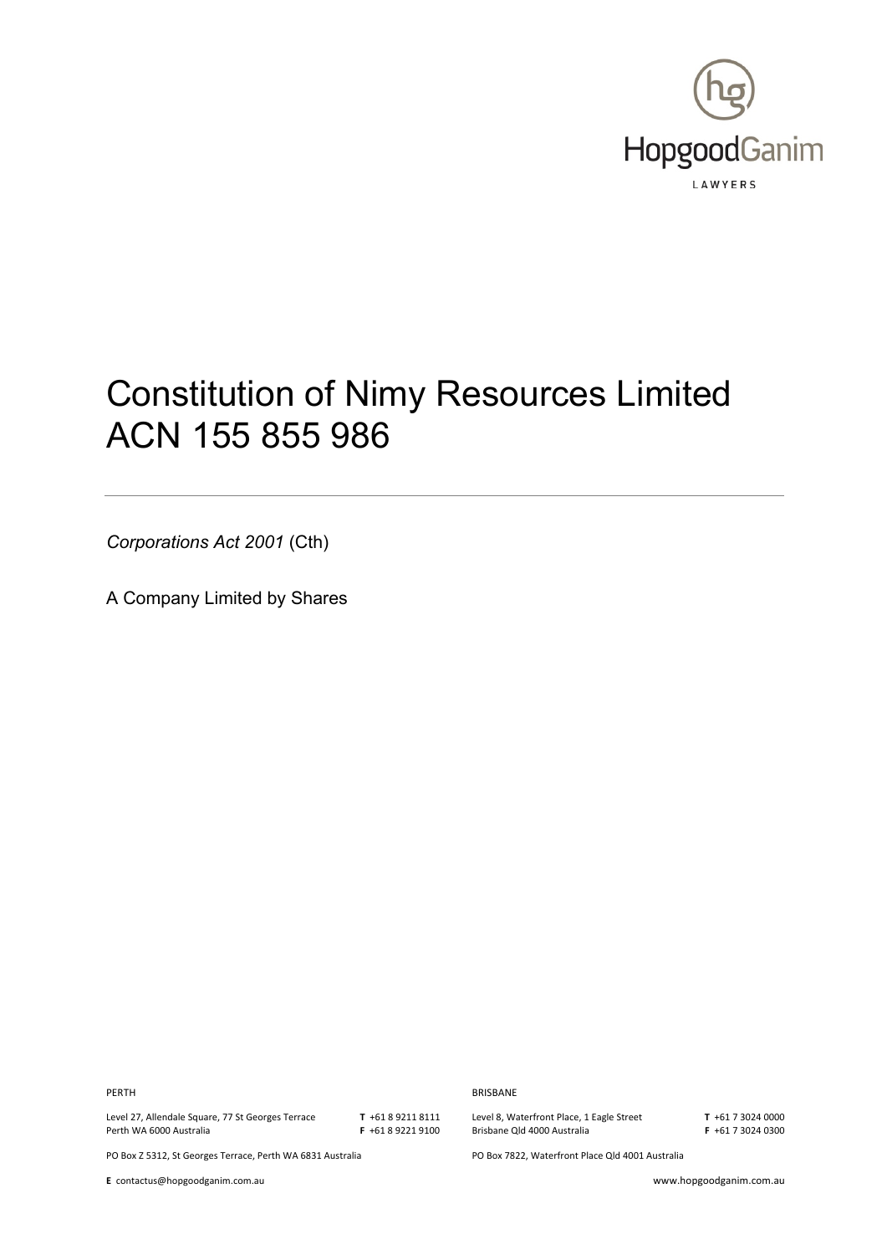

# Constitution of Nimy Resources Limited ACN 155 855 986

*Corporations Act 2001* (Cth)

A Company Limited by Shares

**PERTH** BRISBANE

Level 27, Allendale Square, 77 St Georges Terrace Perth WA 6000 Australia

**T** +61 8 9211 8111 **F** +61 8 9221 9100 Level 8, Waterfront Place, 1 Eagle Street Brisbane Qld 4000 Australia

**T** +61 7 3024 0000 **F** +61 7 3024 0300

PO Box Z 5312, St Georges Terrace, Perth WA 6831 Australia PO Box 7822, Waterfront Place Qld 4001 Australia

**E** contactus@hopgoodganim.com.au www.hopgoodganim.com.au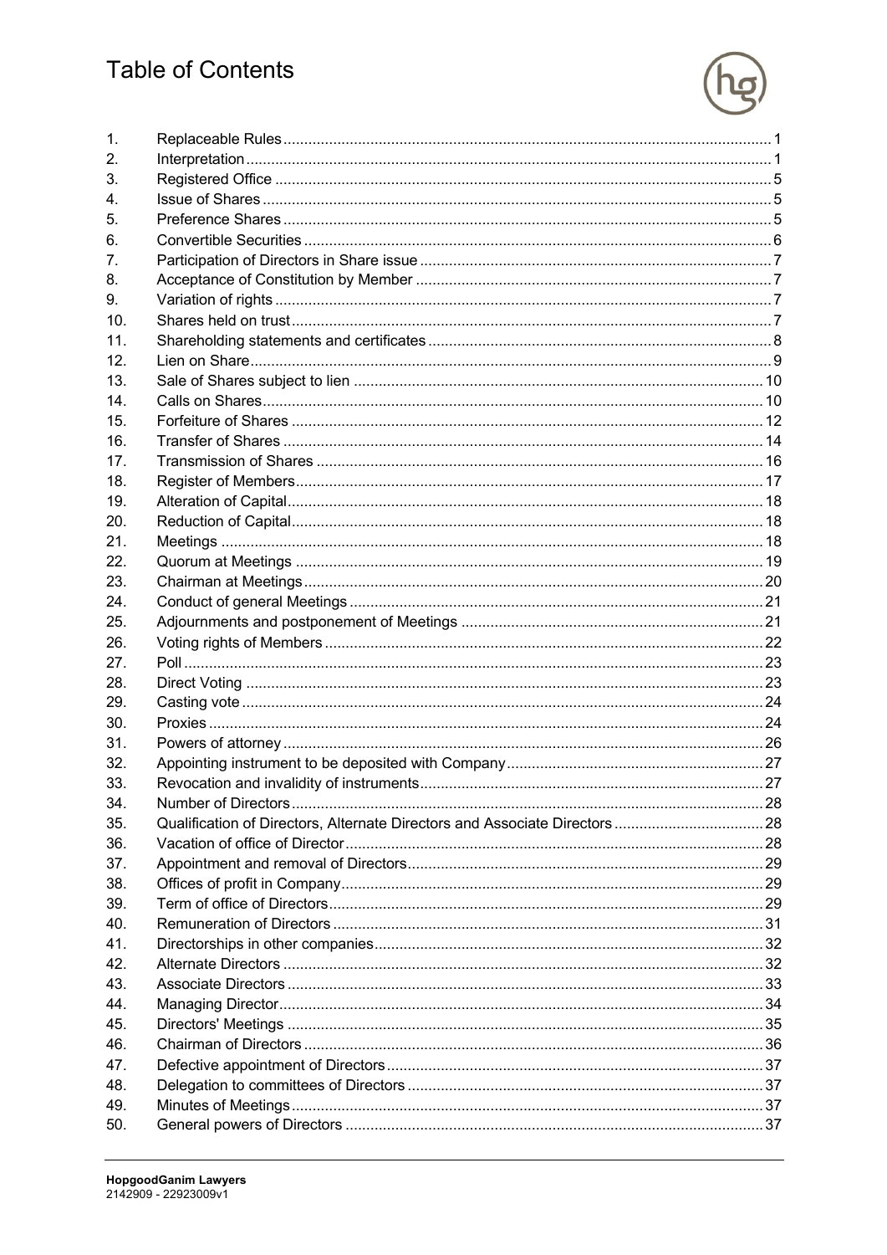# **Table of Contents**



| 1.              |                                                                           |  |
|-----------------|---------------------------------------------------------------------------|--|
| 2.              |                                                                           |  |
| 3.              |                                                                           |  |
| 4.              |                                                                           |  |
| 5.              |                                                                           |  |
| 6.              |                                                                           |  |
| 7.              |                                                                           |  |
| 8.              |                                                                           |  |
| 9.              |                                                                           |  |
| 10 <sub>1</sub> |                                                                           |  |
| 11.             |                                                                           |  |
| 12.             |                                                                           |  |
| 13.             |                                                                           |  |
| 14 <sub>1</sub> |                                                                           |  |
| 15.             |                                                                           |  |
| 16.             |                                                                           |  |
| 17.             |                                                                           |  |
| 18.             |                                                                           |  |
| 19.             |                                                                           |  |
| 20.             |                                                                           |  |
| 21.             |                                                                           |  |
| 22.             |                                                                           |  |
| 23.             |                                                                           |  |
| 24.             |                                                                           |  |
| 25.             |                                                                           |  |
| 26.             |                                                                           |  |
| 27.             |                                                                           |  |
| 28.             |                                                                           |  |
| 29.             |                                                                           |  |
| 30.             |                                                                           |  |
| 31.             |                                                                           |  |
| 32.             |                                                                           |  |
| 33.             |                                                                           |  |
| 34.             |                                                                           |  |
| 35.             | Qualification of Directors, Alternate Directors and Associate Directors28 |  |
| 36.             |                                                                           |  |
| 37.             |                                                                           |  |
| 38.             |                                                                           |  |
| 39.             |                                                                           |  |
| 40.             |                                                                           |  |
| 41.             |                                                                           |  |
| 42.             |                                                                           |  |
| 43.             |                                                                           |  |
| 44.             |                                                                           |  |
| 45.             |                                                                           |  |
| 46.             |                                                                           |  |
| 47.             |                                                                           |  |
| 48.             |                                                                           |  |
| 49.             |                                                                           |  |
|                 |                                                                           |  |
| 50.             |                                                                           |  |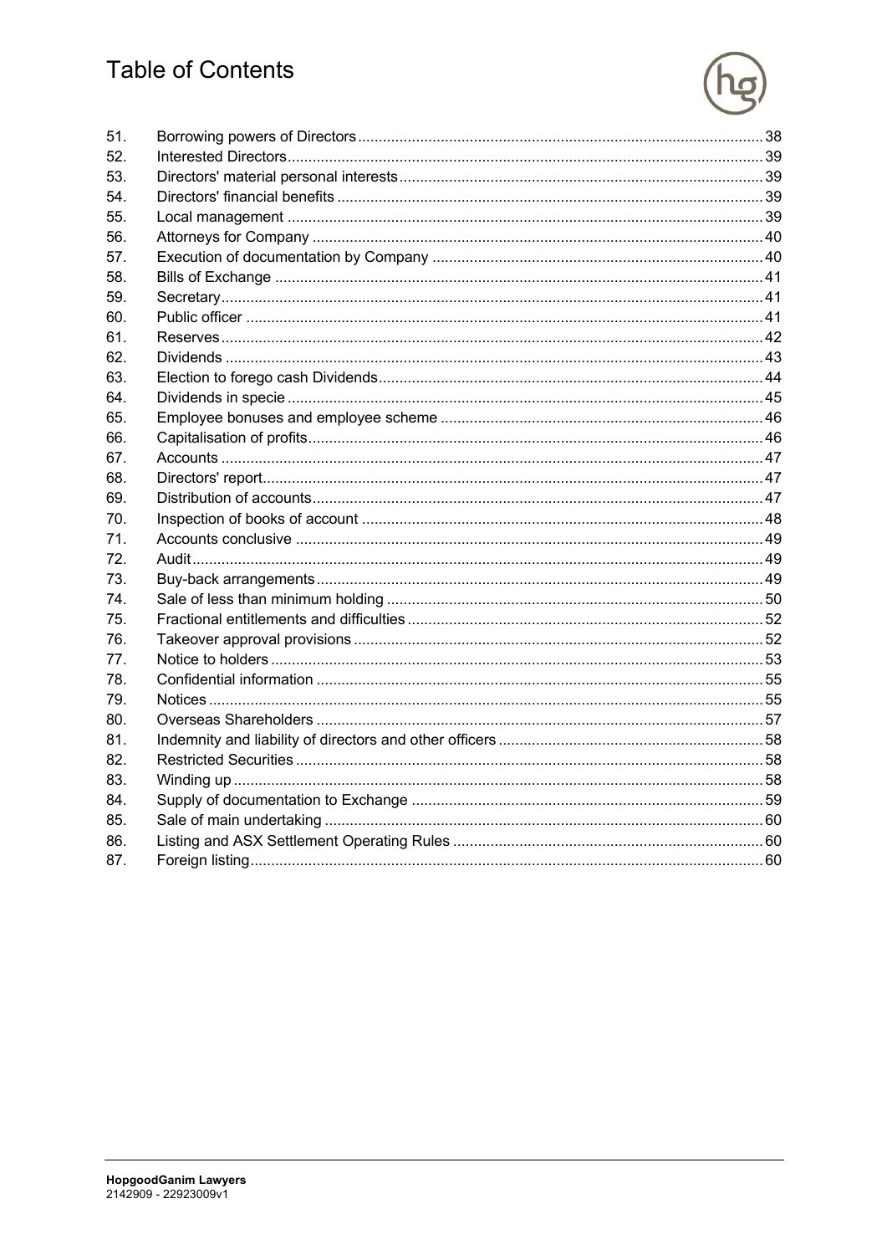# **Table of Contents**



| 51. |  |
|-----|--|
| 52. |  |
| 53. |  |
| 54. |  |
| 55. |  |
| 56. |  |
| 57. |  |
| 58. |  |
| 59. |  |
| 60. |  |
| 61. |  |
| 62. |  |
| 63. |  |
| 64. |  |
| 65. |  |
| 66. |  |
| 67. |  |
| 68. |  |
| 69. |  |
| 70. |  |
| 71. |  |
| 72. |  |
| 73. |  |
| 74. |  |
| 75. |  |
| 76. |  |
| 77. |  |
| 78. |  |
| 79. |  |
| 80. |  |
| 81. |  |
| 82. |  |
| 83. |  |
| 84. |  |
| 85. |  |
| 86. |  |
| 87. |  |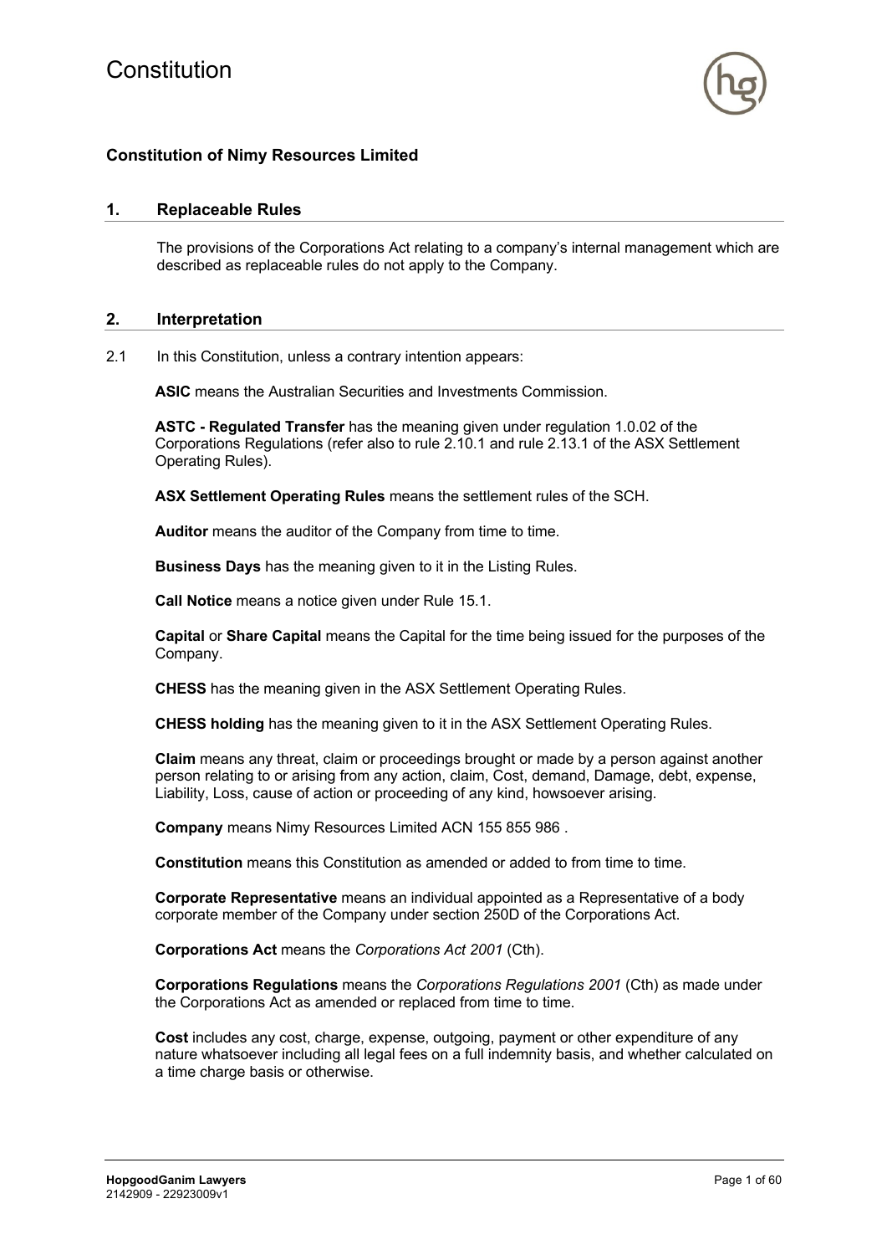

# **Constitution of Nimy Resources Limited**

#### **1. Replaceable Rules**

The provisions of the Corporations Act relating to a company's internal management which are described as replaceable rules do not apply to the Company.

#### **2. Interpretation**

2.1 In this Constitution, unless a contrary intention appears:

**ASIC** means the Australian Securities and Investments Commission.

**ASTC - Regulated Transfer** has the meaning given under regulation 1.0.02 of the Corporations Regulations (refer also to rule 2.10.1 and rule 2.13.1 of the ASX Settlement Operating Rules).

**ASX Settlement Operating Rules** means the settlement rules of the SCH.

**Auditor** means the auditor of the Company from time to time.

**Business Days** has the meaning given to it in the Listing Rules.

**Call Notice** means a notice given under Rule 15.1.

**Capital** or **Share Capital** means the Capital for the time being issued for the purposes of the Company.

**CHESS** has the meaning given in the ASX Settlement Operating Rules.

**CHESS holding** has the meaning given to it in the ASX Settlement Operating Rules.

**Claim** means any threat, claim or proceedings brought or made by a person against another person relating to or arising from any action, claim, Cost, demand, Damage, debt, expense, Liability, Loss, cause of action or proceeding of any kind, howsoever arising.

**Company** means Nimy Resources Limited ACN 155 855 986 .

**Constitution** means this Constitution as amended or added to from time to time.

**Corporate Representative** means an individual appointed as a Representative of a body corporate member of the Company under section 250D of the Corporations Act.

**Corporations Act** means the *Corporations Act 2001* (Cth).

**Corporations Regulations** means the *Corporations Regulations 2001* (Cth) as made under the Corporations Act as amended or replaced from time to time.

**Cost** includes any cost, charge, expense, outgoing, payment or other expenditure of any nature whatsoever including all legal fees on a full indemnity basis, and whether calculated on a time charge basis or otherwise.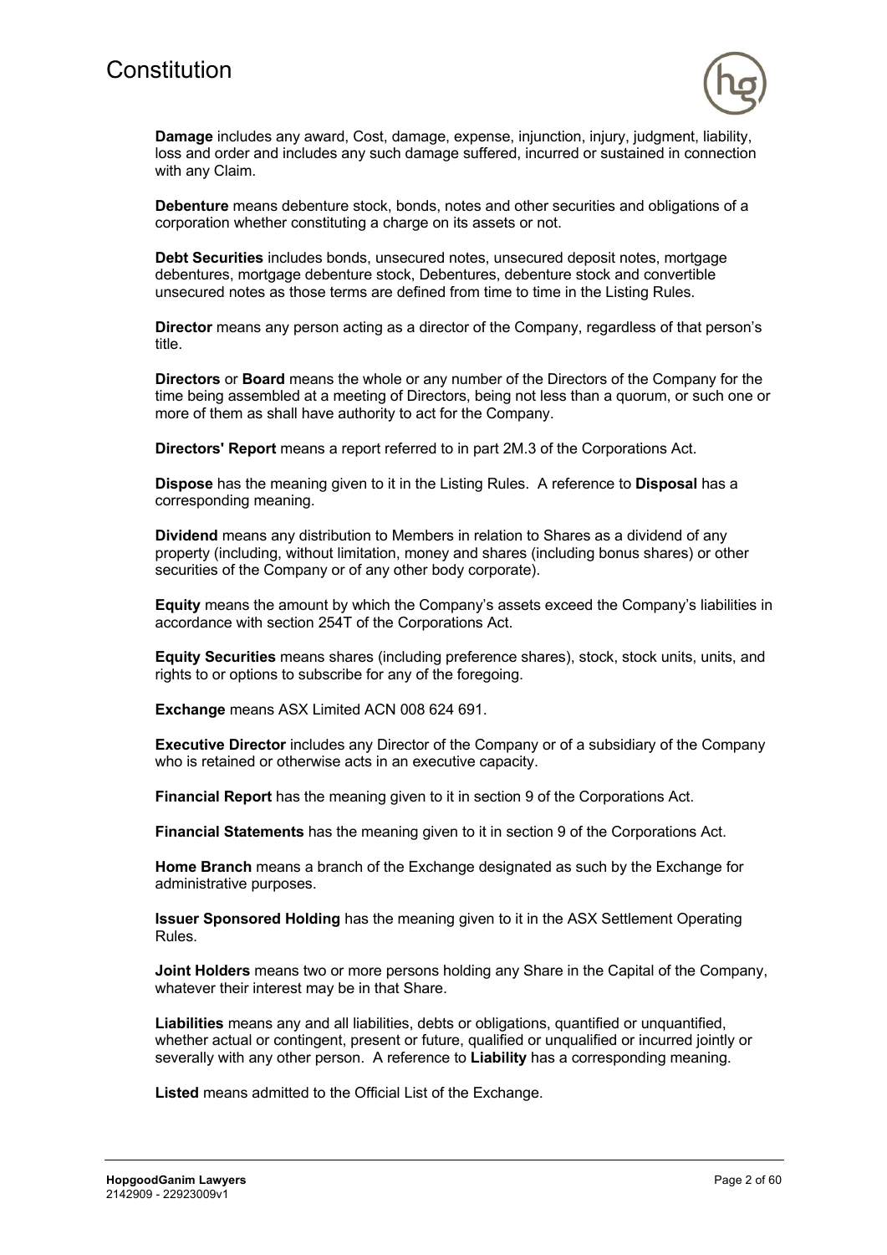

**Damage** includes any award, Cost, damage, expense, injunction, injury, judgment, liability, loss and order and includes any such damage suffered, incurred or sustained in connection with any Claim.

**Debenture** means debenture stock, bonds, notes and other securities and obligations of a corporation whether constituting a charge on its assets or not.

**Debt Securities** includes bonds, unsecured notes, unsecured deposit notes, mortgage debentures, mortgage debenture stock, Debentures, debenture stock and convertible unsecured notes as those terms are defined from time to time in the Listing Rules.

**Director** means any person acting as a director of the Company, regardless of that person's title.

**Directors** or **Board** means the whole or any number of the Directors of the Company for the time being assembled at a meeting of Directors, being not less than a quorum, or such one or more of them as shall have authority to act for the Company.

**Directors' Report** means a report referred to in part 2M.3 of the Corporations Act.

**Dispose** has the meaning given to it in the Listing Rules. A reference to **Disposal** has a corresponding meaning.

**Dividend** means any distribution to Members in relation to Shares as a dividend of any property (including, without limitation, money and shares (including bonus shares) or other securities of the Company or of any other body corporate).

**Equity** means the amount by which the Company's assets exceed the Company's liabilities in accordance with section 254T of the Corporations Act.

**Equity Securities** means shares (including preference shares), stock, stock units, units, and rights to or options to subscribe for any of the foregoing.

**Exchange** means ASX Limited ACN 008 624 691.

**Executive Director** includes any Director of the Company or of a subsidiary of the Company who is retained or otherwise acts in an executive capacity.

**Financial Report** has the meaning given to it in section 9 of the Corporations Act.

**Financial Statements** has the meaning given to it in section 9 of the Corporations Act.

**Home Branch** means a branch of the Exchange designated as such by the Exchange for administrative purposes.

**Issuer Sponsored Holding** has the meaning given to it in the ASX Settlement Operating Rules.

**Joint Holders** means two or more persons holding any Share in the Capital of the Company, whatever their interest may be in that Share.

**Liabilities** means any and all liabilities, debts or obligations, quantified or unquantified, whether actual or contingent, present or future, qualified or unqualified or incurred jointly or severally with any other person. A reference to **Liability** has a corresponding meaning.

**Listed** means admitted to the Official List of the Exchange.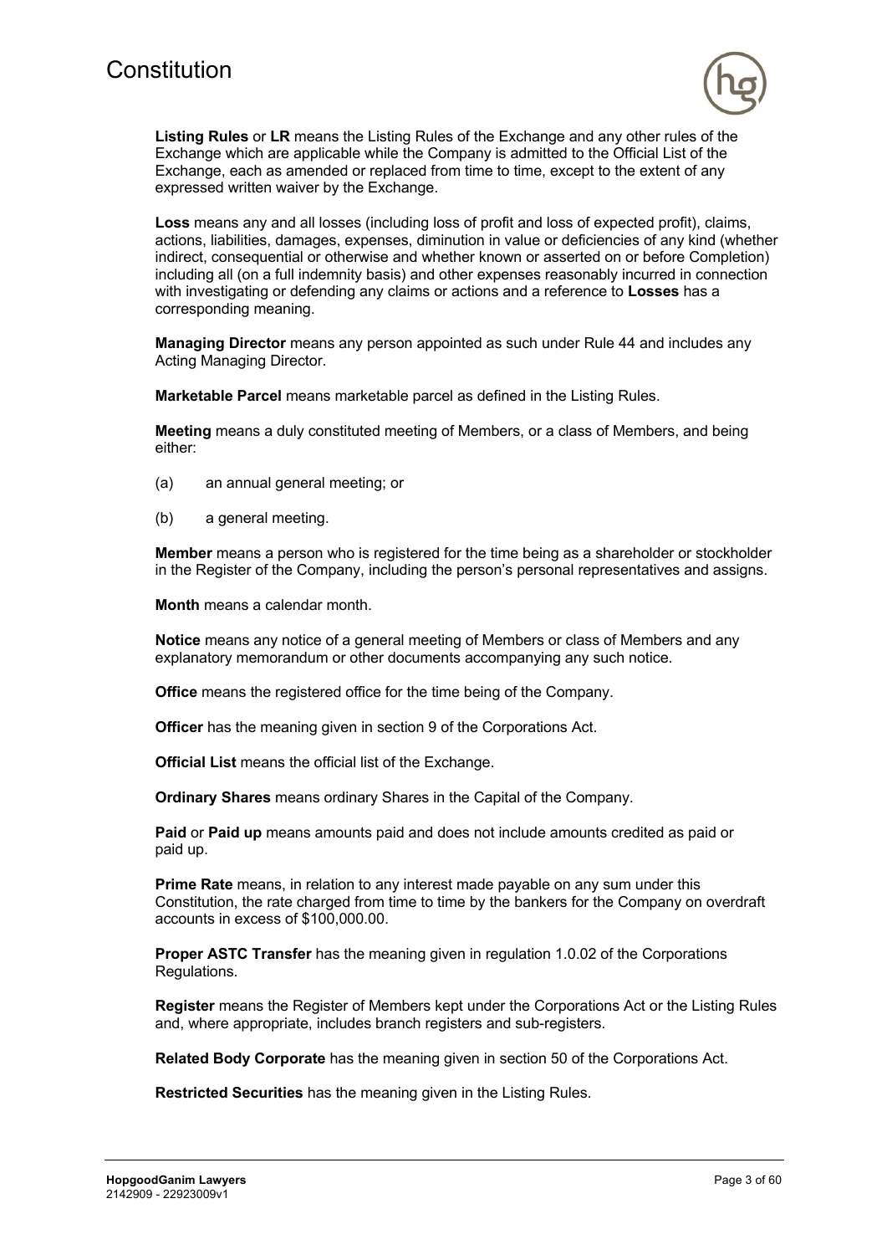

**Listing Rules** or **LR** means the Listing Rules of the Exchange and any other rules of the Exchange which are applicable while the Company is admitted to the Official List of the Exchange, each as amended or replaced from time to time, except to the extent of any expressed written waiver by the Exchange.

**Loss** means any and all losses (including loss of profit and loss of expected profit), claims, actions, liabilities, damages, expenses, diminution in value or deficiencies of any kind (whether indirect, consequential or otherwise and whether known or asserted on or before Completion) including all (on a full indemnity basis) and other expenses reasonably incurred in connection with investigating or defending any claims or actions and a reference to **Losses** has a corresponding meaning.

**Managing Director** means any person appointed as such under Rule 44 and includes any Acting Managing Director.

**Marketable Parcel** means marketable parcel as defined in the Listing Rules.

**Meeting** means a duly constituted meeting of Members, or a class of Members, and being either:

- (a) an annual general meeting; or
- (b) a general meeting.

**Member** means a person who is registered for the time being as a shareholder or stockholder in the Register of the Company, including the person's personal representatives and assigns.

**Month** means a calendar month.

**Notice** means any notice of a general meeting of Members or class of Members and any explanatory memorandum or other documents accompanying any such notice.

**Office** means the registered office for the time being of the Company.

**Officer** has the meaning given in section 9 of the Corporations Act.

**Official List** means the official list of the Exchange.

**Ordinary Shares** means ordinary Shares in the Capital of the Company.

**Paid** or **Paid up** means amounts paid and does not include amounts credited as paid or paid up.

**Prime Rate** means, in relation to any interest made payable on any sum under this Constitution, the rate charged from time to time by the bankers for the Company on overdraft accounts in excess of \$100,000.00.

**Proper ASTC Transfer** has the meaning given in regulation 1.0.02 of the Corporations Regulations.

**Register** means the Register of Members kept under the Corporations Act or the Listing Rules and, where appropriate, includes branch registers and sub-registers.

**Related Body Corporate** has the meaning given in section 50 of the Corporations Act.

**Restricted Securities** has the meaning given in the Listing Rules.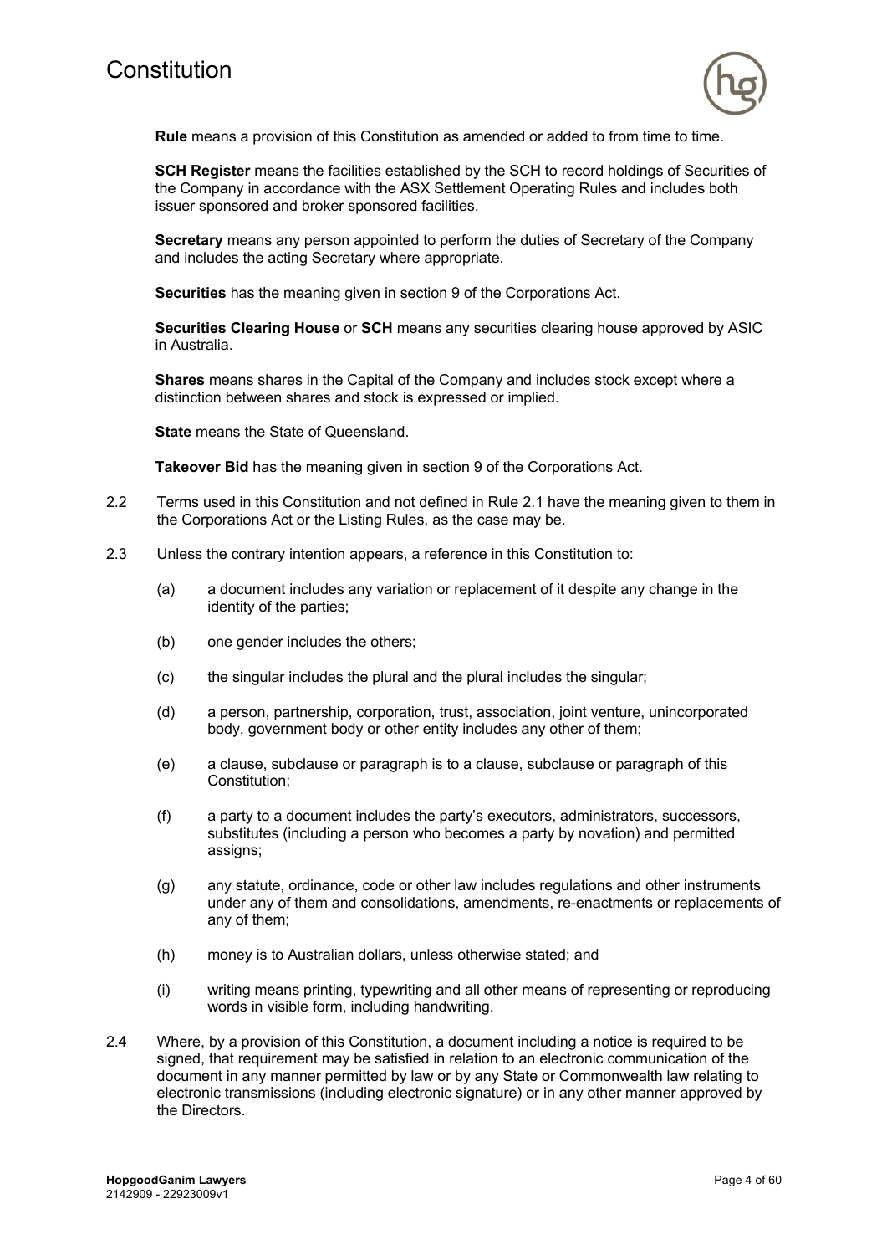

**Rule** means a provision of this Constitution as amended or added to from time to time.

**SCH Register** means the facilities established by the SCH to record holdings of Securities of the Company in accordance with the ASX Settlement Operating Rules and includes both issuer sponsored and broker sponsored facilities.

**Secretary** means any person appointed to perform the duties of Secretary of the Company and includes the acting Secretary where appropriate.

**Securities** has the meaning given in section 9 of the Corporations Act.

**Securities Clearing House** or **SCH** means any securities clearing house approved by ASIC in Australia.

**Shares** means shares in the Capital of the Company and includes stock except where a distinction between shares and stock is expressed or implied.

**State** means the State of Queensland.

**Takeover Bid** has the meaning given in section 9 of the Corporations Act.

- 2.2 Terms used in this Constitution and not defined in Rule 2.1 have the meaning given to them in the Corporations Act or the Listing Rules, as the case may be.
- 2.3 Unless the contrary intention appears, a reference in this Constitution to:
	- (a) a document includes any variation or replacement of it despite any change in the identity of the parties;
	- (b) one gender includes the others;
	- (c) the singular includes the plural and the plural includes the singular;
	- (d) a person, partnership, corporation, trust, association, joint venture, unincorporated body, government body or other entity includes any other of them;
	- (e) a clause, subclause or paragraph is to a clause, subclause or paragraph of this Constitution;
	- (f) a party to a document includes the party's executors, administrators, successors, substitutes (including a person who becomes a party by novation) and permitted assigns;
	- (g) any statute, ordinance, code or other law includes regulations and other instruments under any of them and consolidations, amendments, re-enactments or replacements of any of them;
	- (h) money is to Australian dollars, unless otherwise stated; and
	- (i) writing means printing, typewriting and all other means of representing or reproducing words in visible form, including handwriting.
- 2.4 Where, by a provision of this Constitution, a document including a notice is required to be signed, that requirement may be satisfied in relation to an electronic communication of the document in any manner permitted by law or by any State or Commonwealth law relating to electronic transmissions (including electronic signature) or in any other manner approved by the Directors.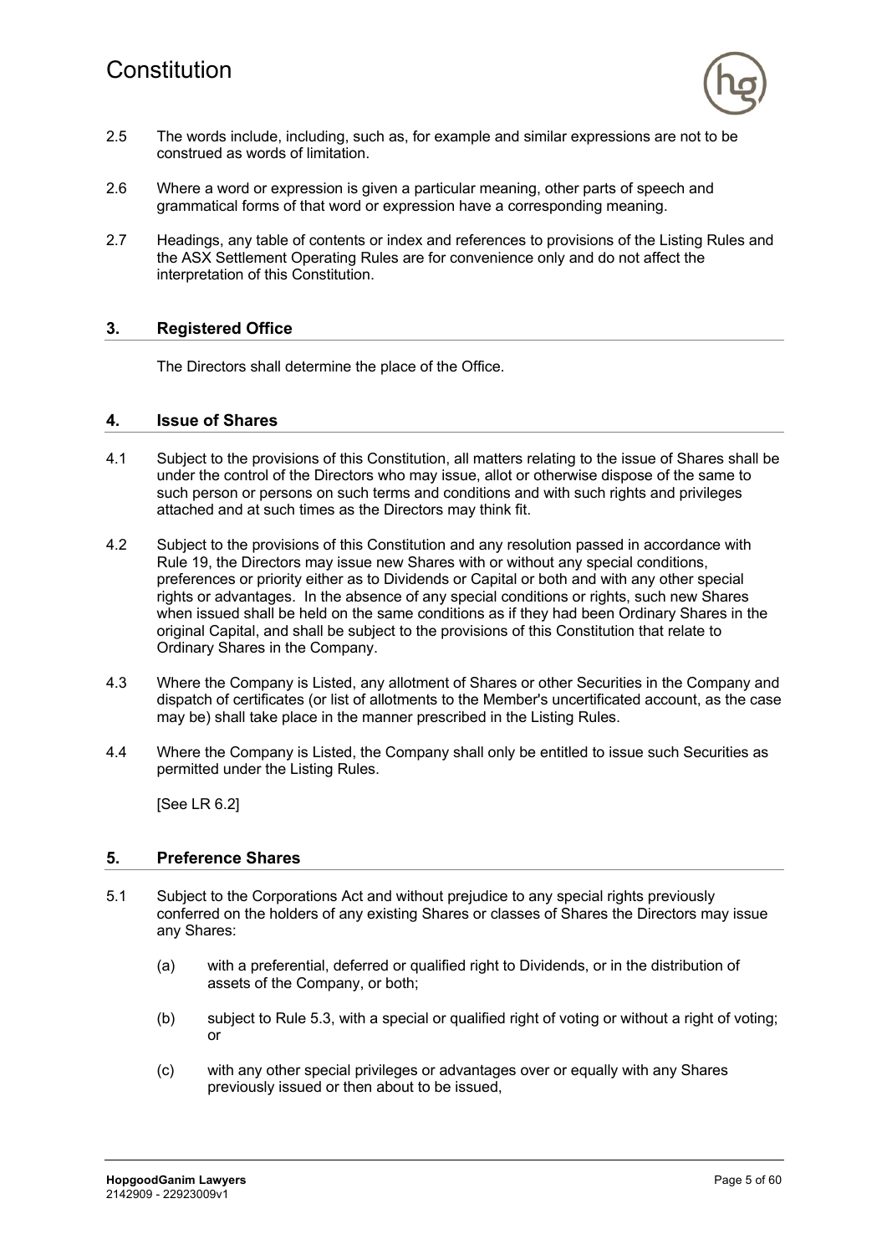

- 2.5 The words include, including, such as, for example and similar expressions are not to be construed as words of limitation.
- 2.6 Where a word or expression is given a particular meaning, other parts of speech and grammatical forms of that word or expression have a corresponding meaning.
- 2.7 Headings, any table of contents or index and references to provisions of the Listing Rules and the ASX Settlement Operating Rules are for convenience only and do not affect the interpretation of this Constitution.

# **3. Registered Office**

The Directors shall determine the place of the Office.

#### **4. Issue of Shares**

- 4.1 Subject to the provisions of this Constitution, all matters relating to the issue of Shares shall be under the control of the Directors who may issue, allot or otherwise dispose of the same to such person or persons on such terms and conditions and with such rights and privileges attached and at such times as the Directors may think fit.
- 4.2 Subject to the provisions of this Constitution and any resolution passed in accordance with Rule 19, the Directors may issue new Shares with or without any special conditions, preferences or priority either as to Dividends or Capital or both and with any other special rights or advantages. In the absence of any special conditions or rights, such new Shares when issued shall be held on the same conditions as if they had been Ordinary Shares in the original Capital, and shall be subject to the provisions of this Constitution that relate to Ordinary Shares in the Company.
- 4.3 Where the Company is Listed, any allotment of Shares or other Securities in the Company and dispatch of certificates (or list of allotments to the Member's uncertificated account, as the case may be) shall take place in the manner prescribed in the Listing Rules.
- 4.4 Where the Company is Listed, the Company shall only be entitled to issue such Securities as permitted under the Listing Rules.

[See LR 6.2]

#### **5. Preference Shares**

- 5.1 Subject to the Corporations Act and without prejudice to any special rights previously conferred on the holders of any existing Shares or classes of Shares the Directors may issue any Shares:
	- (a) with a preferential, deferred or qualified right to Dividends, or in the distribution of assets of the Company, or both;
	- (b) subject to Rule 5.3, with a special or qualified right of voting or without a right of voting; or
	- (c) with any other special privileges or advantages over or equally with any Shares previously issued or then about to be issued,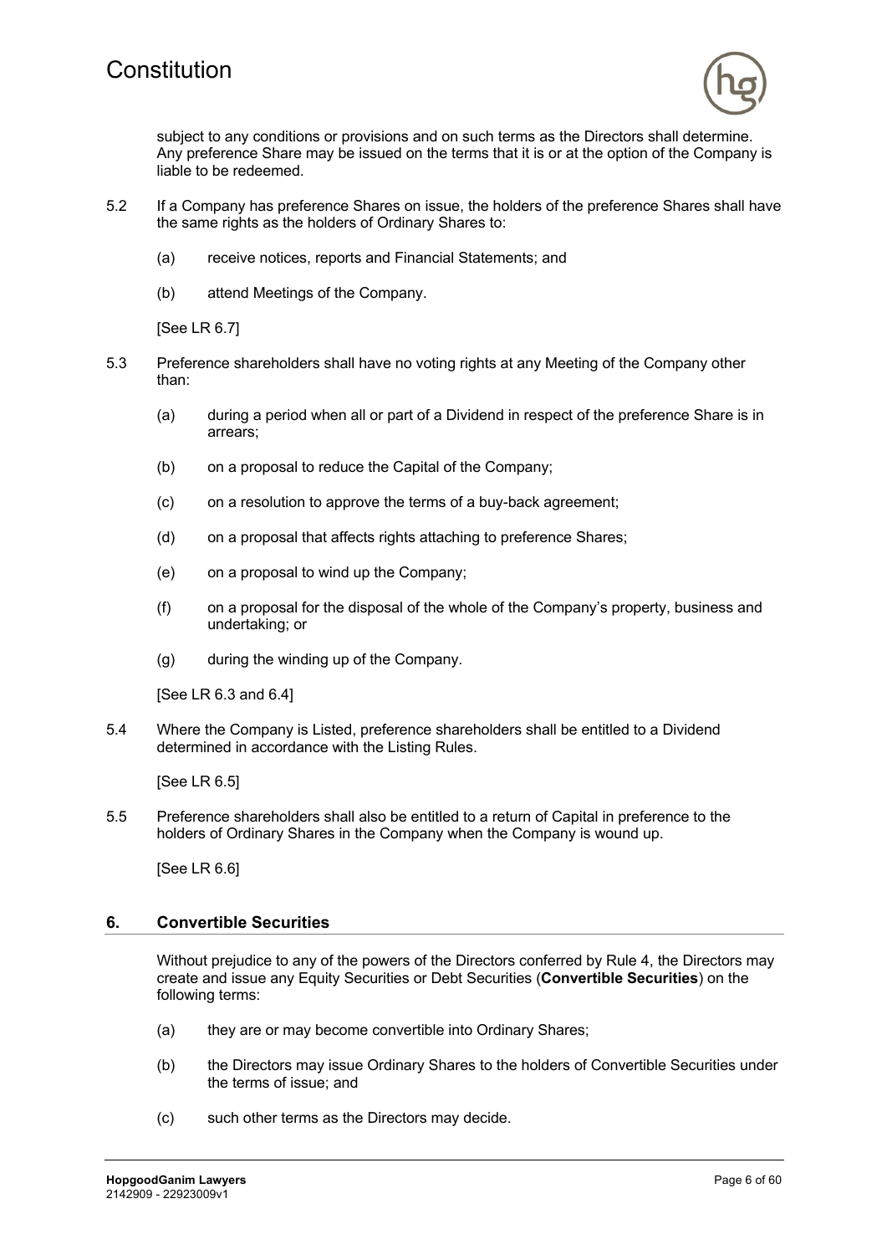

subject to any conditions or provisions and on such terms as the Directors shall determine. Any preference Share may be issued on the terms that it is or at the option of the Company is liable to be redeemed.

- 5.2 If a Company has preference Shares on issue, the holders of the preference Shares shall have the same rights as the holders of Ordinary Shares to:
	- (a) receive notices, reports and Financial Statements; and
	- (b) attend Meetings of the Company.

[See LR 6.7]

- 5.3 Preference shareholders shall have no voting rights at any Meeting of the Company other than:
	- (a) during a period when all or part of a Dividend in respect of the preference Share is in arrears;
	- (b) on a proposal to reduce the Capital of the Company;
	- (c) on a resolution to approve the terms of a buy-back agreement;
	- (d) on a proposal that affects rights attaching to preference Shares;
	- (e) on a proposal to wind up the Company;
	- (f) on a proposal for the disposal of the whole of the Company's property, business and undertaking; or
	- (g) during the winding up of the Company.

[See LR 6.3 and 6.4]

5.4 Where the Company is Listed, preference shareholders shall be entitled to a Dividend determined in accordance with the Listing Rules.

[See LR 6.5]

5.5 Preference shareholders shall also be entitled to a return of Capital in preference to the holders of Ordinary Shares in the Company when the Company is wound up.

[See LR 6.6]

#### **6. Convertible Securities**

Without prejudice to any of the powers of the Directors conferred by Rule 4, the Directors may create and issue any Equity Securities or Debt Securities (**Convertible Securities**) on the following terms:

- (a) they are or may become convertible into Ordinary Shares;
- (b) the Directors may issue Ordinary Shares to the holders of Convertible Securities under the terms of issue; and
- (c) such other terms as the Directors may decide.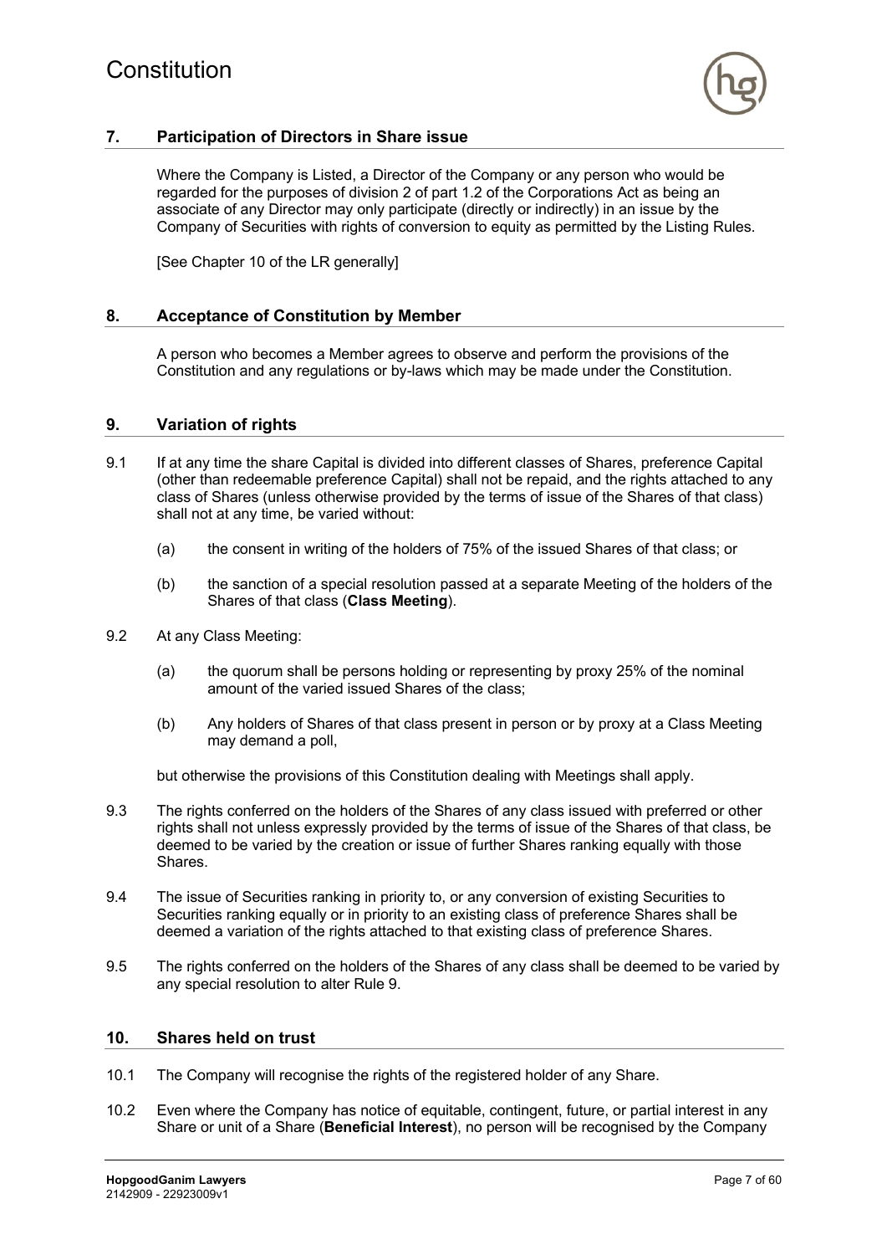

# **7. Participation of Directors in Share issue**

Where the Company is Listed, a Director of the Company or any person who would be regarded for the purposes of division 2 of part 1.2 of the Corporations Act as being an associate of any Director may only participate (directly or indirectly) in an issue by the Company of Securities with rights of conversion to equity as permitted by the Listing Rules.

[See Chapter 10 of the LR generally]

#### **8. Acceptance of Constitution by Member**

A person who becomes a Member agrees to observe and perform the provisions of the Constitution and any regulations or by-laws which may be made under the Constitution.

### **9. Variation of rights**

- 9.1 If at any time the share Capital is divided into different classes of Shares, preference Capital (other than redeemable preference Capital) shall not be repaid, and the rights attached to any class of Shares (unless otherwise provided by the terms of issue of the Shares of that class) shall not at any time, be varied without:
	- (a) the consent in writing of the holders of 75% of the issued Shares of that class; or
	- (b) the sanction of a special resolution passed at a separate Meeting of the holders of the Shares of that class (**Class Meeting**).
- 9.2 At any Class Meeting:
	- (a) the quorum shall be persons holding or representing by proxy 25% of the nominal amount of the varied issued Shares of the class;
	- (b) Any holders of Shares of that class present in person or by proxy at a Class Meeting may demand a poll,

but otherwise the provisions of this Constitution dealing with Meetings shall apply.

- 9.3 The rights conferred on the holders of the Shares of any class issued with preferred or other rights shall not unless expressly provided by the terms of issue of the Shares of that class, be deemed to be varied by the creation or issue of further Shares ranking equally with those Shares.
- 9.4 The issue of Securities ranking in priority to, or any conversion of existing Securities to Securities ranking equally or in priority to an existing class of preference Shares shall be deemed a variation of the rights attached to that existing class of preference Shares.
- 9.5 The rights conferred on the holders of the Shares of any class shall be deemed to be varied by any special resolution to alter Rule 9.

#### **10. Shares held on trust**

- 10.1 The Company will recognise the rights of the registered holder of any Share.
- 10.2 Even where the Company has notice of equitable, contingent, future, or partial interest in any Share or unit of a Share (**Beneficial Interest**), no person will be recognised by the Company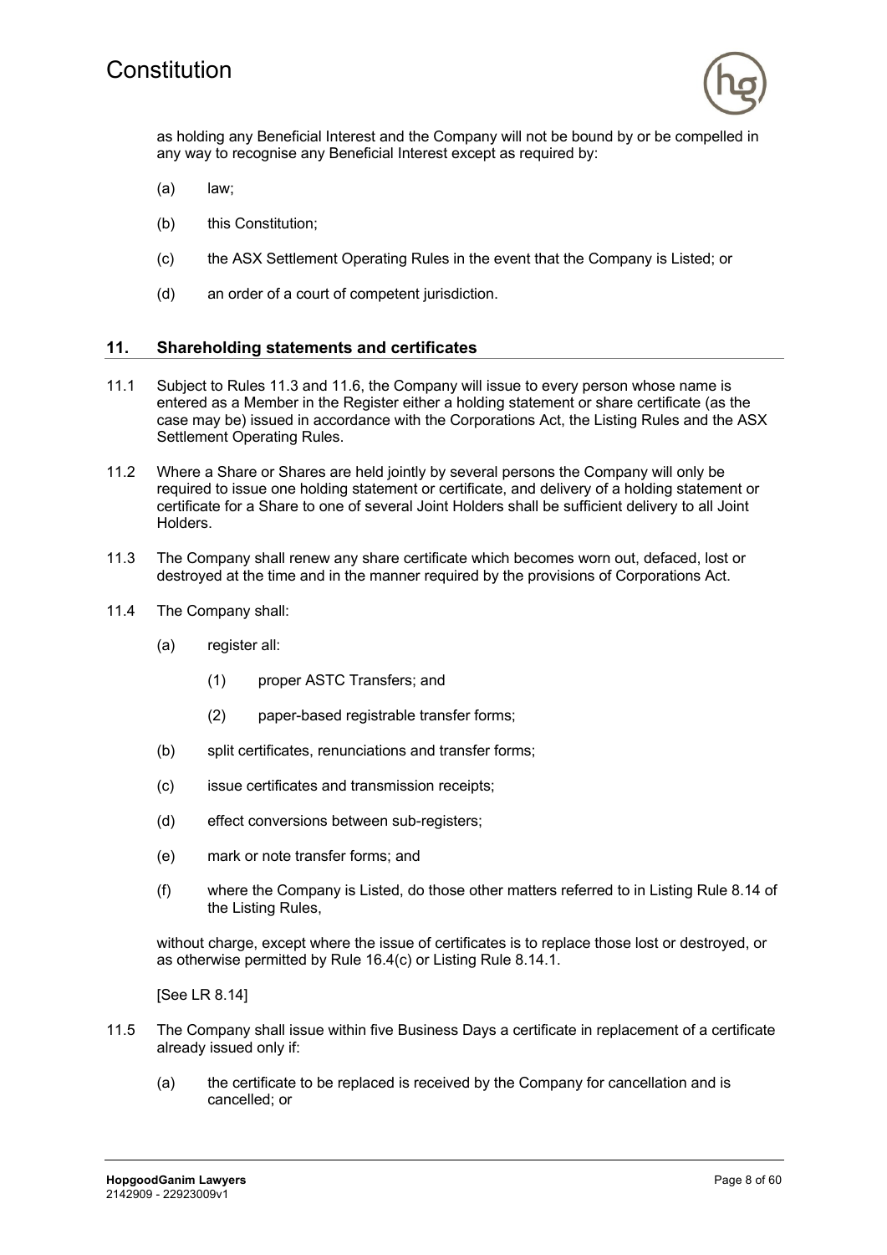

as holding any Beneficial Interest and the Company will not be bound by or be compelled in any way to recognise any Beneficial Interest except as required by:

- (a) law;
- (b) this Constitution;
- (c) the ASX Settlement Operating Rules in the event that the Company is Listed; or
- (d) an order of a court of competent jurisdiction.

#### **11. Shareholding statements and certificates**

- 11.1 Subject to Rules 11.3 and 11.6, the Company will issue to every person whose name is entered as a Member in the Register either a holding statement or share certificate (as the case may be) issued in accordance with the Corporations Act, the Listing Rules and the ASX Settlement Operating Rules.
- 11.2 Where a Share or Shares are held jointly by several persons the Company will only be required to issue one holding statement or certificate, and delivery of a holding statement or certificate for a Share to one of several Joint Holders shall be sufficient delivery to all Joint Holders.
- 11.3 The Company shall renew any share certificate which becomes worn out, defaced, lost or destroyed at the time and in the manner required by the provisions of Corporations Act.
- 11.4 The Company shall:
	- (a) register all:
		- (1) proper ASTC Transfers; and
		- (2) paper-based registrable transfer forms;
	- (b) split certificates, renunciations and transfer forms;
	- (c) issue certificates and transmission receipts;
	- (d) effect conversions between sub-registers;
	- (e) mark or note transfer forms; and
	- (f) where the Company is Listed, do those other matters referred to in Listing Rule 8.14 of the Listing Rules,

without charge, except where the issue of certificates is to replace those lost or destroyed, or as otherwise permitted by Rule 16.4(c) or Listing Rule 8.14.1.

[See LR 8.14]

- 11.5 The Company shall issue within five Business Days a certificate in replacement of a certificate already issued only if:
	- (a) the certificate to be replaced is received by the Company for cancellation and is cancelled; or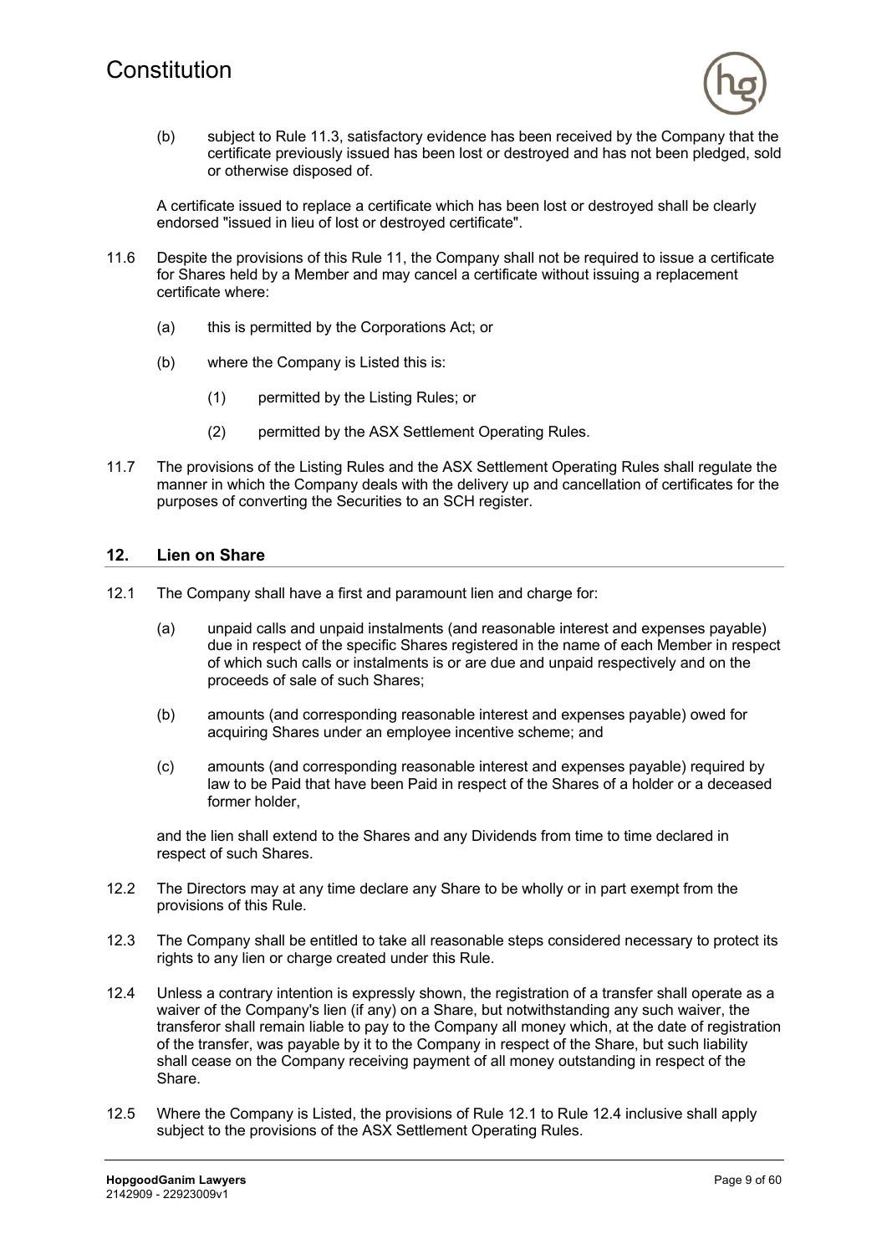

(b) subject to Rule 11.3, satisfactory evidence has been received by the Company that the certificate previously issued has been lost or destroyed and has not been pledged, sold or otherwise disposed of.

A certificate issued to replace a certificate which has been lost or destroyed shall be clearly endorsed "issued in lieu of lost or destroyed certificate".

- 11.6 Despite the provisions of this Rule 11, the Company shall not be required to issue a certificate for Shares held by a Member and may cancel a certificate without issuing a replacement certificate where:
	- (a) this is permitted by the Corporations Act; or
	- (b) where the Company is Listed this is:
		- (1) permitted by the Listing Rules; or
		- (2) permitted by the ASX Settlement Operating Rules.
- 11.7 The provisions of the Listing Rules and the ASX Settlement Operating Rules shall regulate the manner in which the Company deals with the delivery up and cancellation of certificates for the purposes of converting the Securities to an SCH register.

#### **12. Lien on Share**

- 12.1 The Company shall have a first and paramount lien and charge for:
	- (a) unpaid calls and unpaid instalments (and reasonable interest and expenses payable) due in respect of the specific Shares registered in the name of each Member in respect of which such calls or instalments is or are due and unpaid respectively and on the proceeds of sale of such Shares;
	- (b) amounts (and corresponding reasonable interest and expenses payable) owed for acquiring Shares under an employee incentive scheme; and
	- (c) amounts (and corresponding reasonable interest and expenses payable) required by law to be Paid that have been Paid in respect of the Shares of a holder or a deceased former holder,

and the lien shall extend to the Shares and any Dividends from time to time declared in respect of such Shares.

- 12.2 The Directors may at any time declare any Share to be wholly or in part exempt from the provisions of this Rule.
- 12.3 The Company shall be entitled to take all reasonable steps considered necessary to protect its rights to any lien or charge created under this Rule.
- 12.4 Unless a contrary intention is expressly shown, the registration of a transfer shall operate as a waiver of the Company's lien (if any) on a Share, but notwithstanding any such waiver, the transferor shall remain liable to pay to the Company all money which, at the date of registration of the transfer, was payable by it to the Company in respect of the Share, but such liability shall cease on the Company receiving payment of all money outstanding in respect of the Share.
- 12.5 Where the Company is Listed, the provisions of Rule 12.1 to Rule 12.4 inclusive shall apply subject to the provisions of the ASX Settlement Operating Rules.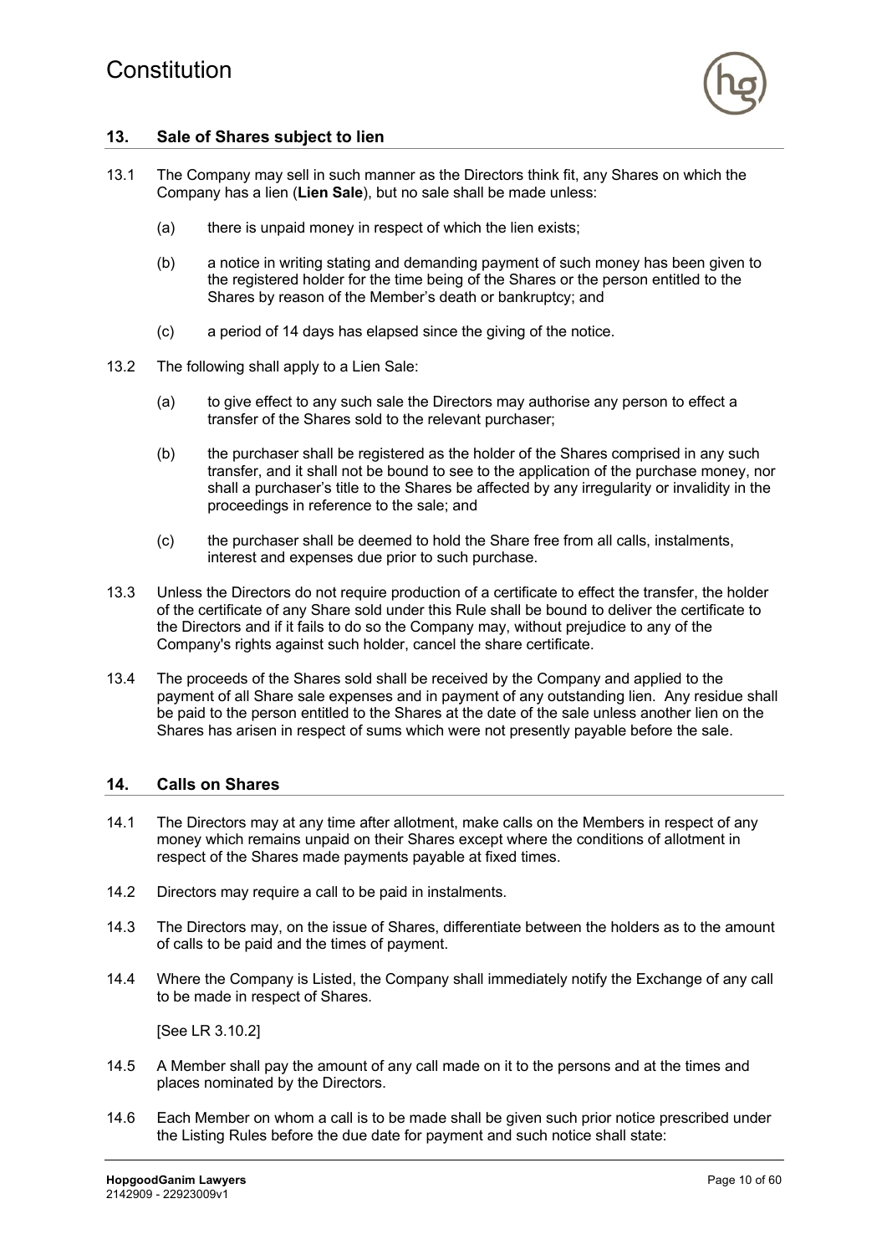

# **13. Sale of Shares subject to lien**

- 13.1 The Company may sell in such manner as the Directors think fit, any Shares on which the Company has a lien (**Lien Sale**), but no sale shall be made unless:
	- (a) there is unpaid money in respect of which the lien exists;
	- (b) a notice in writing stating and demanding payment of such money has been given to the registered holder for the time being of the Shares or the person entitled to the Shares by reason of the Member's death or bankruptcy; and
	- (c) a period of 14 days has elapsed since the giving of the notice.
- 13.2 The following shall apply to a Lien Sale:
	- (a) to give effect to any such sale the Directors may authorise any person to effect a transfer of the Shares sold to the relevant purchaser;
	- (b) the purchaser shall be registered as the holder of the Shares comprised in any such transfer, and it shall not be bound to see to the application of the purchase money, nor shall a purchaser's title to the Shares be affected by any irregularity or invalidity in the proceedings in reference to the sale; and
	- (c) the purchaser shall be deemed to hold the Share free from all calls, instalments, interest and expenses due prior to such purchase.
- 13.3 Unless the Directors do not require production of a certificate to effect the transfer, the holder of the certificate of any Share sold under this Rule shall be bound to deliver the certificate to the Directors and if it fails to do so the Company may, without prejudice to any of the Company's rights against such holder, cancel the share certificate.
- 13.4 The proceeds of the Shares sold shall be received by the Company and applied to the payment of all Share sale expenses and in payment of any outstanding lien. Any residue shall be paid to the person entitled to the Shares at the date of the sale unless another lien on the Shares has arisen in respect of sums which were not presently payable before the sale.

#### **14. Calls on Shares**

- 14.1 The Directors may at any time after allotment, make calls on the Members in respect of any money which remains unpaid on their Shares except where the conditions of allotment in respect of the Shares made payments payable at fixed times.
- 14.2 Directors may require a call to be paid in instalments.
- 14.3 The Directors may, on the issue of Shares, differentiate between the holders as to the amount of calls to be paid and the times of payment.
- 14.4 Where the Company is Listed, the Company shall immediately notify the Exchange of any call to be made in respect of Shares.

[See LR 3.10.2]

- 14.5 A Member shall pay the amount of any call made on it to the persons and at the times and places nominated by the Directors.
- 14.6 Each Member on whom a call is to be made shall be given such prior notice prescribed under the Listing Rules before the due date for payment and such notice shall state: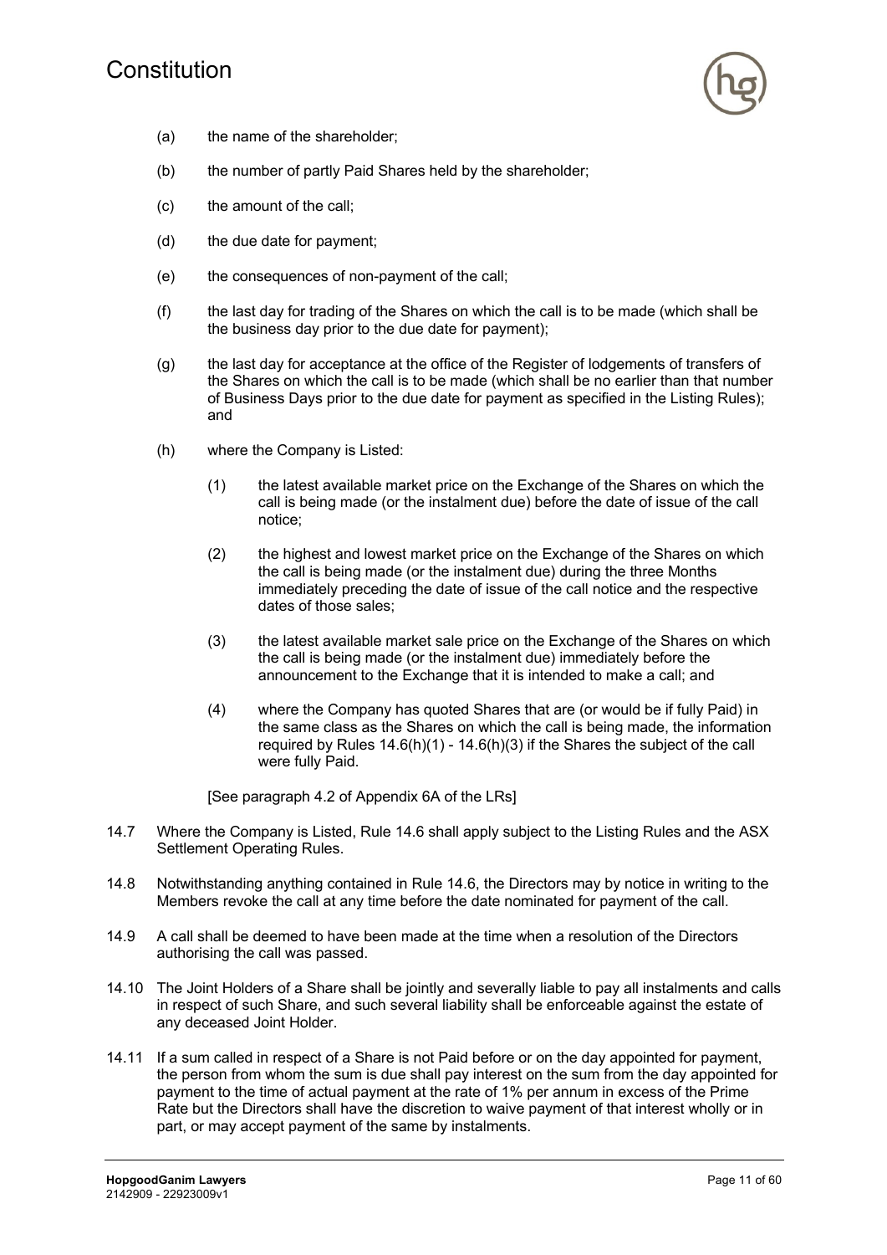# Constitution



- (a) the name of the shareholder;
- (b) the number of partly Paid Shares held by the shareholder;
- (c) the amount of the call;
- (d) the due date for payment;
- (e) the consequences of non-payment of the call;
- (f) the last day for trading of the Shares on which the call is to be made (which shall be the business day prior to the due date for payment);
- (g) the last day for acceptance at the office of the Register of lodgements of transfers of the Shares on which the call is to be made (which shall be no earlier than that number of Business Days prior to the due date for payment as specified in the Listing Rules); and
- (h) where the Company is Listed:
	- (1) the latest available market price on the Exchange of the Shares on which the call is being made (or the instalment due) before the date of issue of the call notice;
	- (2) the highest and lowest market price on the Exchange of the Shares on which the call is being made (or the instalment due) during the three Months immediately preceding the date of issue of the call notice and the respective dates of those sales;
	- (3) the latest available market sale price on the Exchange of the Shares on which the call is being made (or the instalment due) immediately before the announcement to the Exchange that it is intended to make a call; and
	- (4) where the Company has quoted Shares that are (or would be if fully Paid) in the same class as the Shares on which the call is being made, the information required by Rules 14.6(h)(1) - 14.6(h)(3) if the Shares the subject of the call were fully Paid.

[See paragraph 4.2 of Appendix 6A of the LRs]

- 14.7 Where the Company is Listed, Rule 14.6 shall apply subject to the Listing Rules and the ASX Settlement Operating Rules.
- 14.8 Notwithstanding anything contained in Rule 14.6, the Directors may by notice in writing to the Members revoke the call at any time before the date nominated for payment of the call.
- 14.9 A call shall be deemed to have been made at the time when a resolution of the Directors authorising the call was passed.
- 14.10 The Joint Holders of a Share shall be jointly and severally liable to pay all instalments and calls in respect of such Share, and such several liability shall be enforceable against the estate of any deceased Joint Holder.
- 14.11 If a sum called in respect of a Share is not Paid before or on the day appointed for payment, the person from whom the sum is due shall pay interest on the sum from the day appointed for payment to the time of actual payment at the rate of 1% per annum in excess of the Prime Rate but the Directors shall have the discretion to waive payment of that interest wholly or in part, or may accept payment of the same by instalments.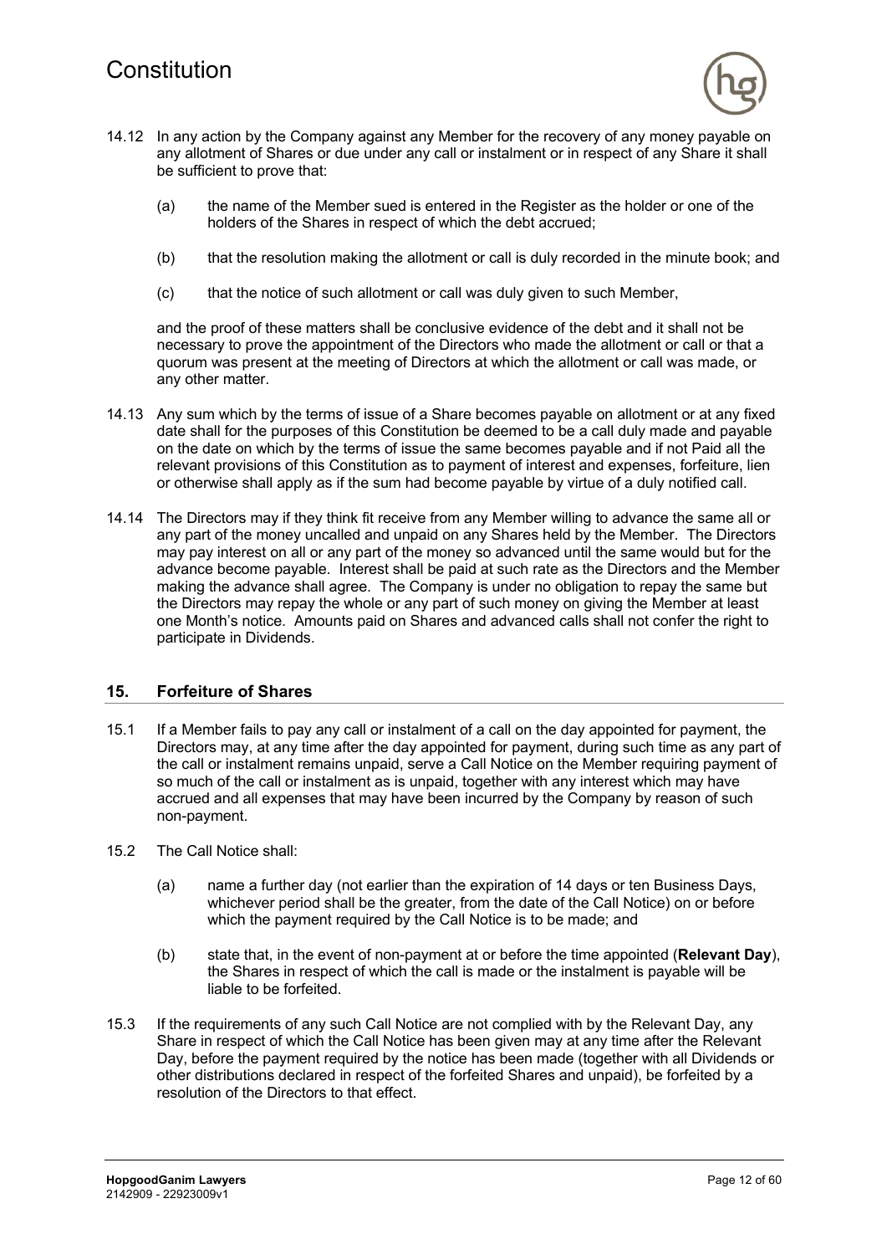

- 14.12 In any action by the Company against any Member for the recovery of any money payable on any allotment of Shares or due under any call or instalment or in respect of any Share it shall be sufficient to prove that:
	- (a) the name of the Member sued is entered in the Register as the holder or one of the holders of the Shares in respect of which the debt accrued;
	- (b) that the resolution making the allotment or call is duly recorded in the minute book; and
	- (c) that the notice of such allotment or call was duly given to such Member,

and the proof of these matters shall be conclusive evidence of the debt and it shall not be necessary to prove the appointment of the Directors who made the allotment or call or that a quorum was present at the meeting of Directors at which the allotment or call was made, or any other matter.

- 14.13 Any sum which by the terms of issue of a Share becomes payable on allotment or at any fixed date shall for the purposes of this Constitution be deemed to be a call duly made and payable on the date on which by the terms of issue the same becomes payable and if not Paid all the relevant provisions of this Constitution as to payment of interest and expenses, forfeiture, lien or otherwise shall apply as if the sum had become payable by virtue of a duly notified call.
- 14.14 The Directors may if they think fit receive from any Member willing to advance the same all or any part of the money uncalled and unpaid on any Shares held by the Member. The Directors may pay interest on all or any part of the money so advanced until the same would but for the advance become payable. Interest shall be paid at such rate as the Directors and the Member making the advance shall agree. The Company is under no obligation to repay the same but the Directors may repay the whole or any part of such money on giving the Member at least one Month's notice. Amounts paid on Shares and advanced calls shall not confer the right to participate in Dividends.

# **15. Forfeiture of Shares**

- 15.1 If a Member fails to pay any call or instalment of a call on the day appointed for payment, the Directors may, at any time after the day appointed for payment, during such time as any part of the call or instalment remains unpaid, serve a Call Notice on the Member requiring payment of so much of the call or instalment as is unpaid, together with any interest which may have accrued and all expenses that may have been incurred by the Company by reason of such non-payment.
- 15.2 The Call Notice shall:
	- (a) name a further day (not earlier than the expiration of 14 days or ten Business Days, whichever period shall be the greater, from the date of the Call Notice) on or before which the payment required by the Call Notice is to be made; and
	- (b) state that, in the event of non-payment at or before the time appointed (**Relevant Day**), the Shares in respect of which the call is made or the instalment is payable will be liable to be forfeited.
- 15.3 If the requirements of any such Call Notice are not complied with by the Relevant Day, any Share in respect of which the Call Notice has been given may at any time after the Relevant Day, before the payment required by the notice has been made (together with all Dividends or other distributions declared in respect of the forfeited Shares and unpaid), be forfeited by a resolution of the Directors to that effect.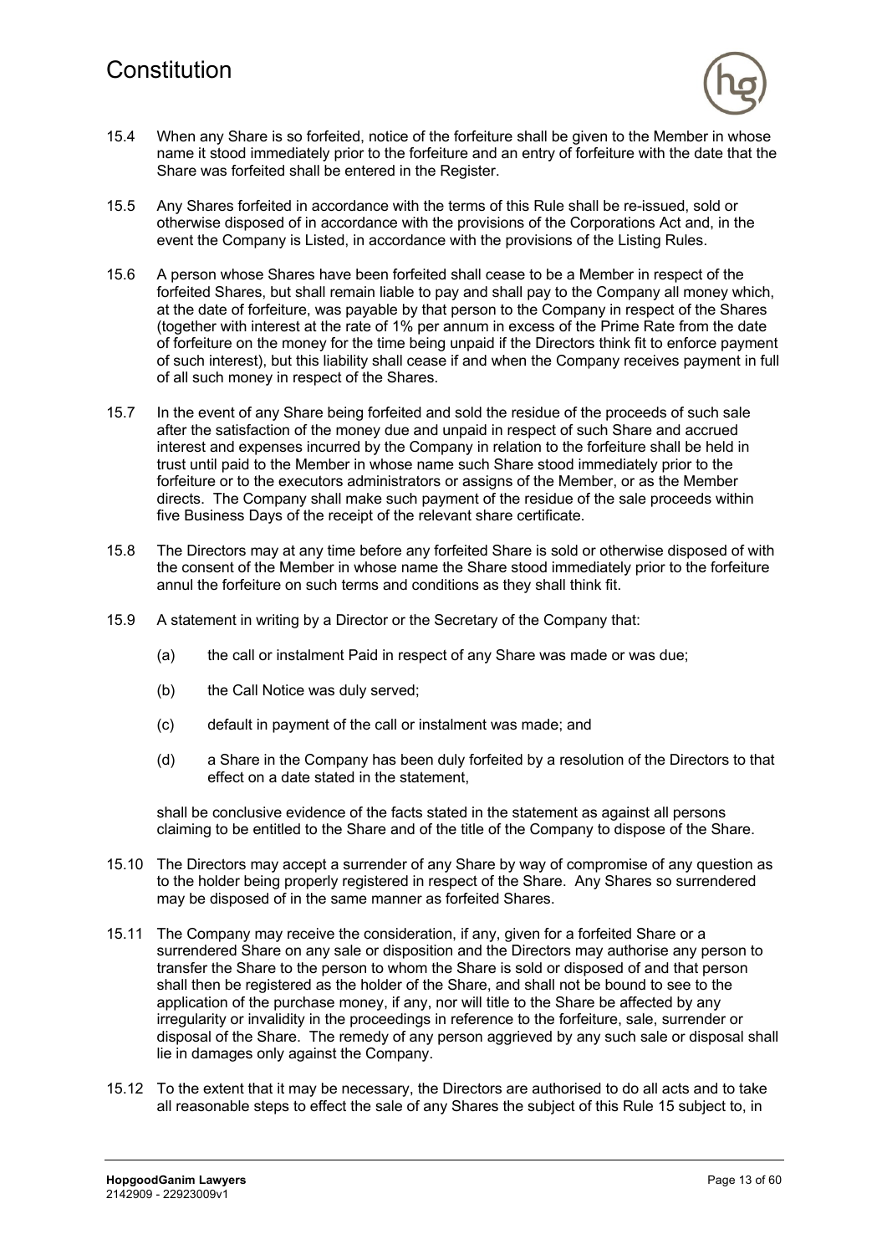

- 15.4 When any Share is so forfeited, notice of the forfeiture shall be given to the Member in whose name it stood immediately prior to the forfeiture and an entry of forfeiture with the date that the Share was forfeited shall be entered in the Register.
- 15.5 Any Shares forfeited in accordance with the terms of this Rule shall be re-issued, sold or otherwise disposed of in accordance with the provisions of the Corporations Act and, in the event the Company is Listed, in accordance with the provisions of the Listing Rules.
- 15.6 A person whose Shares have been forfeited shall cease to be a Member in respect of the forfeited Shares, but shall remain liable to pay and shall pay to the Company all money which, at the date of forfeiture, was payable by that person to the Company in respect of the Shares (together with interest at the rate of 1% per annum in excess of the Prime Rate from the date of forfeiture on the money for the time being unpaid if the Directors think fit to enforce payment of such interest), but this liability shall cease if and when the Company receives payment in full of all such money in respect of the Shares.
- 15.7 In the event of any Share being forfeited and sold the residue of the proceeds of such sale after the satisfaction of the money due and unpaid in respect of such Share and accrued interest and expenses incurred by the Company in relation to the forfeiture shall be held in trust until paid to the Member in whose name such Share stood immediately prior to the forfeiture or to the executors administrators or assigns of the Member, or as the Member directs. The Company shall make such payment of the residue of the sale proceeds within five Business Days of the receipt of the relevant share certificate.
- 15.8 The Directors may at any time before any forfeited Share is sold or otherwise disposed of with the consent of the Member in whose name the Share stood immediately prior to the forfeiture annul the forfeiture on such terms and conditions as they shall think fit.
- 15.9 A statement in writing by a Director or the Secretary of the Company that:
	- (a) the call or instalment Paid in respect of any Share was made or was due;
	- (b) the Call Notice was duly served;
	- (c) default in payment of the call or instalment was made; and
	- (d) a Share in the Company has been duly forfeited by a resolution of the Directors to that effect on a date stated in the statement,

shall be conclusive evidence of the facts stated in the statement as against all persons claiming to be entitled to the Share and of the title of the Company to dispose of the Share.

- 15.10 The Directors may accept a surrender of any Share by way of compromise of any question as to the holder being properly registered in respect of the Share. Any Shares so surrendered may be disposed of in the same manner as forfeited Shares.
- 15.11 The Company may receive the consideration, if any, given for a forfeited Share or a surrendered Share on any sale or disposition and the Directors may authorise any person to transfer the Share to the person to whom the Share is sold or disposed of and that person shall then be registered as the holder of the Share, and shall not be bound to see to the application of the purchase money, if any, nor will title to the Share be affected by any irregularity or invalidity in the proceedings in reference to the forfeiture, sale, surrender or disposal of the Share. The remedy of any person aggrieved by any such sale or disposal shall lie in damages only against the Company.
- 15.12 To the extent that it may be necessary, the Directors are authorised to do all acts and to take all reasonable steps to effect the sale of any Shares the subject of this Rule 15 subject to, in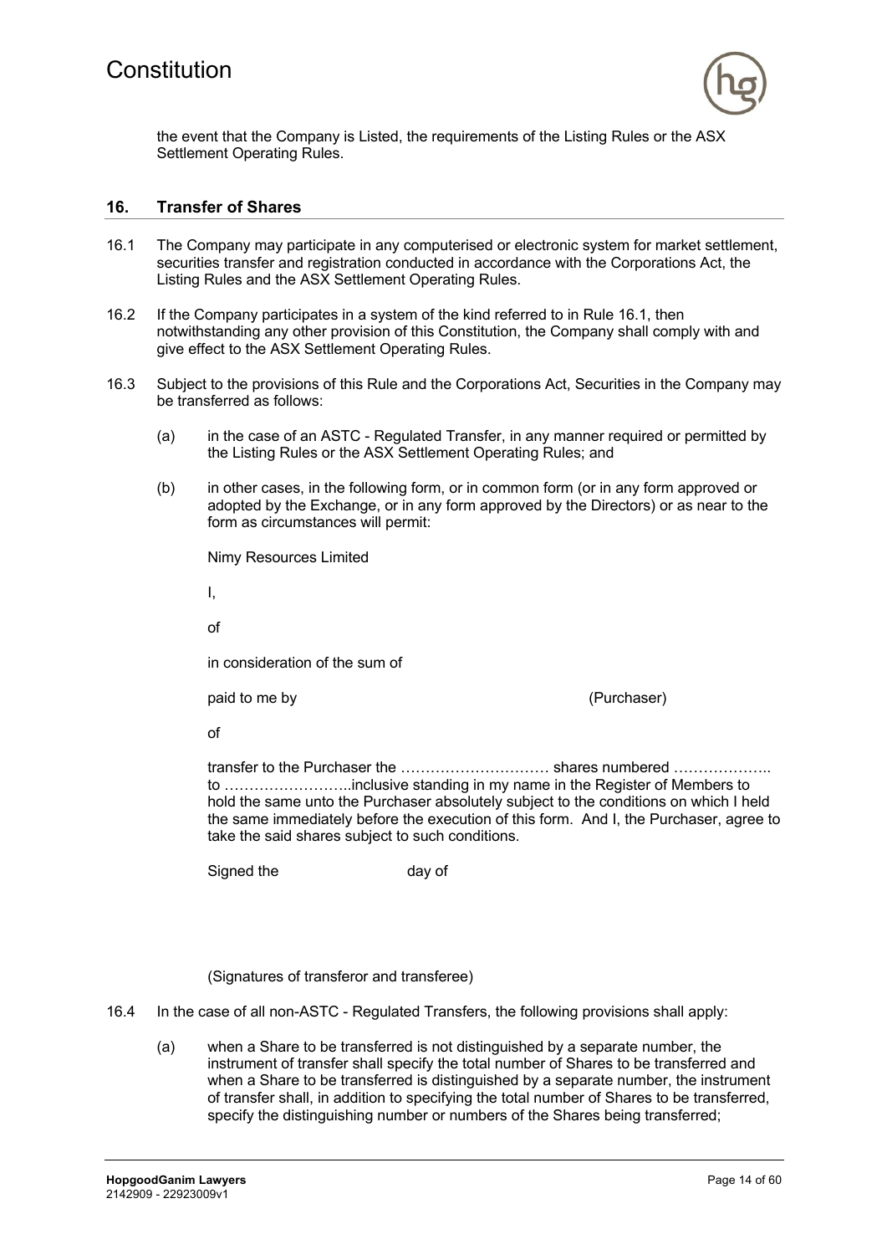

the event that the Company is Listed, the requirements of the Listing Rules or the ASX Settlement Operating Rules.

#### **16. Transfer of Shares**

- 16.1 The Company may participate in any computerised or electronic system for market settlement, securities transfer and registration conducted in accordance with the Corporations Act, the Listing Rules and the ASX Settlement Operating Rules.
- 16.2 If the Company participates in a system of the kind referred to in Rule 16.1, then notwithstanding any other provision of this Constitution, the Company shall comply with and give effect to the ASX Settlement Operating Rules.
- 16.3 Subject to the provisions of this Rule and the Corporations Act, Securities in the Company may be transferred as follows:
	- (a) in the case of an ASTC Regulated Transfer, in any manner required or permitted by the Listing Rules or the ASX Settlement Operating Rules; and
	- (b) in other cases, in the following form, or in common form (or in any form approved or adopted by the Exchange, or in any form approved by the Directors) or as near to the form as circumstances will permit:

Nimy Resources Limited

I,

of

in consideration of the sum of

paid to me by (Purchaser)

of

transfer to the Purchaser the ………………………… shares numbered ……………….. to ……………………..inclusive standing in my name in the Register of Members to hold the same unto the Purchaser absolutely subject to the conditions on which I held the same immediately before the execution of this form. And I, the Purchaser, agree to take the said shares subject to such conditions.

Signed the day of

(Signatures of transferor and transferee)

- 16.4 In the case of all non-ASTC Regulated Transfers, the following provisions shall apply:
	- (a) when a Share to be transferred is not distinguished by a separate number, the instrument of transfer shall specify the total number of Shares to be transferred and when a Share to be transferred is distinguished by a separate number, the instrument of transfer shall, in addition to specifying the total number of Shares to be transferred, specify the distinguishing number or numbers of the Shares being transferred;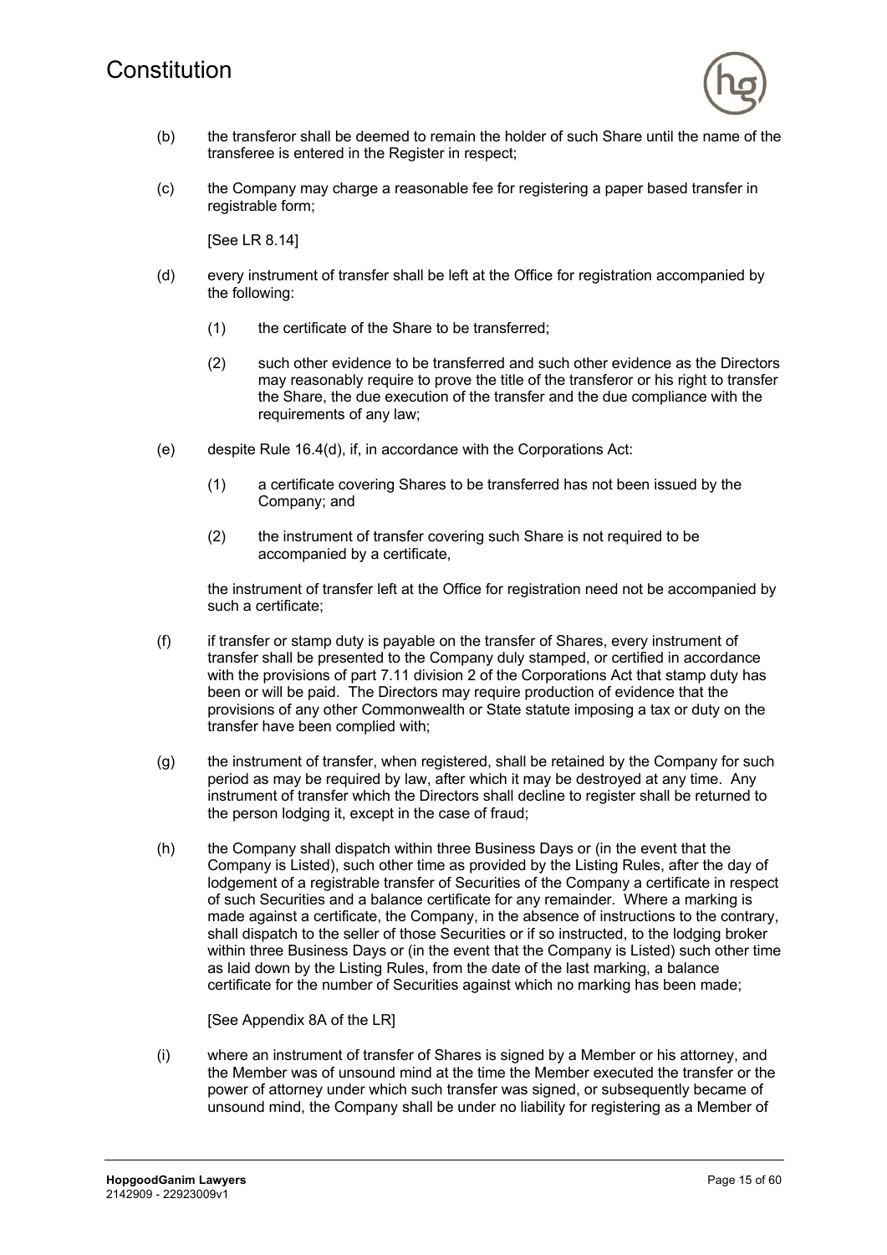

- (b) the transferor shall be deemed to remain the holder of such Share until the name of the transferee is entered in the Register in respect;
- (c) the Company may charge a reasonable fee for registering a paper based transfer in registrable form;

[See LR 8.14]

- (d) every instrument of transfer shall be left at the Office for registration accompanied by the following:
	- (1) the certificate of the Share to be transferred;
	- (2) such other evidence to be transferred and such other evidence as the Directors may reasonably require to prove the title of the transferor or his right to transfer the Share, the due execution of the transfer and the due compliance with the requirements of any law;
- (e) despite Rule 16.4(d), if, in accordance with the Corporations Act:
	- (1) a certificate covering Shares to be transferred has not been issued by the Company; and
	- (2) the instrument of transfer covering such Share is not required to be accompanied by a certificate,

the instrument of transfer left at the Office for registration need not be accompanied by such a certificate;

- (f) if transfer or stamp duty is payable on the transfer of Shares, every instrument of transfer shall be presented to the Company duly stamped, or certified in accordance with the provisions of part 7.11 division 2 of the Corporations Act that stamp duty has been or will be paid. The Directors may require production of evidence that the provisions of any other Commonwealth or State statute imposing a tax or duty on the transfer have been complied with;
- (g) the instrument of transfer, when registered, shall be retained by the Company for such period as may be required by law, after which it may be destroyed at any time. Any instrument of transfer which the Directors shall decline to register shall be returned to the person lodging it, except in the case of fraud;
- (h) the Company shall dispatch within three Business Days or (in the event that the Company is Listed), such other time as provided by the Listing Rules, after the day of lodgement of a registrable transfer of Securities of the Company a certificate in respect of such Securities and a balance certificate for any remainder. Where a marking is made against a certificate, the Company, in the absence of instructions to the contrary, shall dispatch to the seller of those Securities or if so instructed, to the lodging broker within three Business Days or (in the event that the Company is Listed) such other time as laid down by the Listing Rules, from the date of the last marking, a balance certificate for the number of Securities against which no marking has been made;

[See Appendix 8A of the LR]

(i) where an instrument of transfer of Shares is signed by a Member or his attorney, and the Member was of unsound mind at the time the Member executed the transfer or the power of attorney under which such transfer was signed, or subsequently became of unsound mind, the Company shall be under no liability for registering as a Member of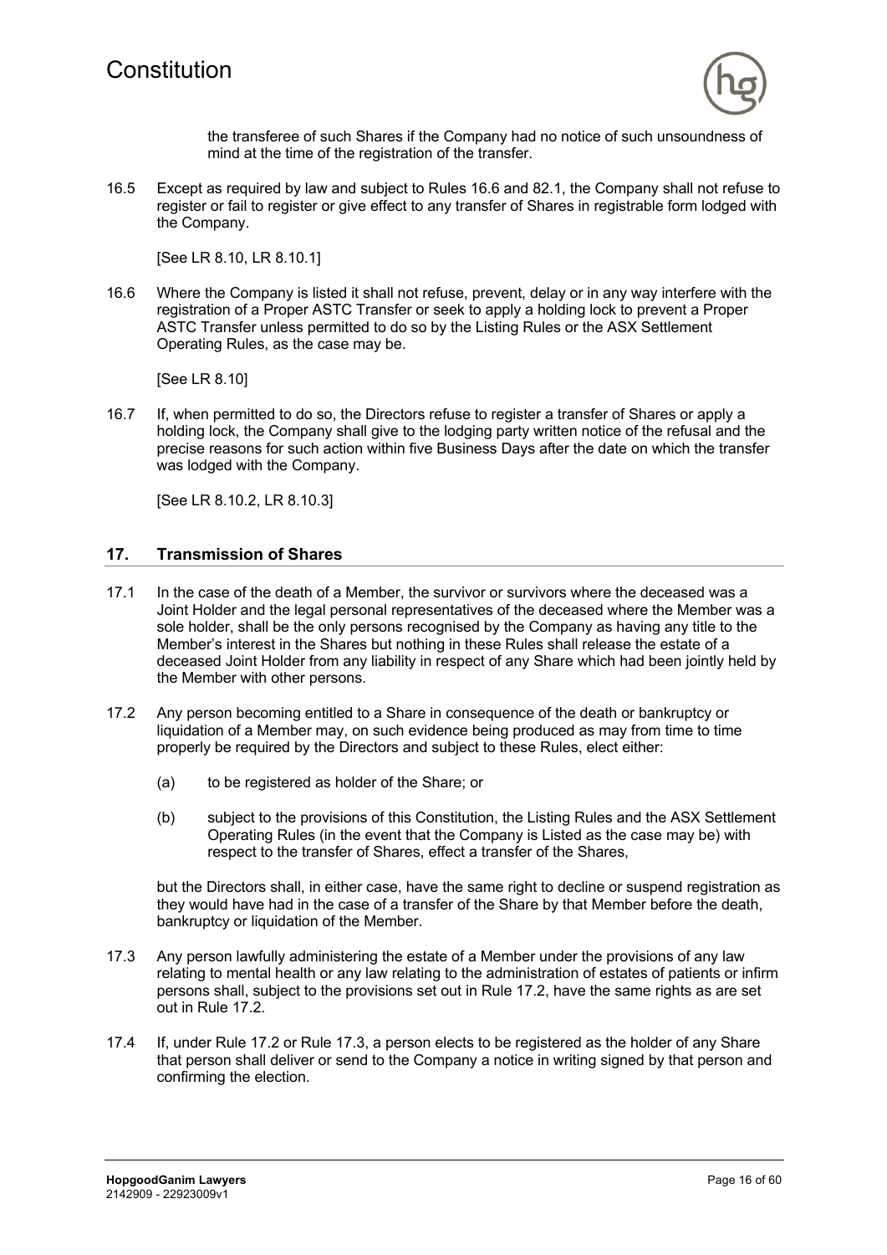

the transferee of such Shares if the Company had no notice of such unsoundness of mind at the time of the registration of the transfer.

16.5 Except as required by law and subject to Rules 16.6 and 82.1, the Company shall not refuse to register or fail to register or give effect to any transfer of Shares in registrable form lodged with the Company.

[See LR 8.10, LR 8.10.1]

16.6 Where the Company is listed it shall not refuse, prevent, delay or in any way interfere with the registration of a Proper ASTC Transfer or seek to apply a holding lock to prevent a Proper ASTC Transfer unless permitted to do so by the Listing Rules or the ASX Settlement Operating Rules, as the case may be.

[See LR 8.10]

16.7 If, when permitted to do so, the Directors refuse to register a transfer of Shares or apply a holding lock, the Company shall give to the lodging party written notice of the refusal and the precise reasons for such action within five Business Days after the date on which the transfer was lodged with the Company.

[See LR 8.10.2, LR 8.10.3]

# **17. Transmission of Shares**

- 17.1 In the case of the death of a Member, the survivor or survivors where the deceased was a Joint Holder and the legal personal representatives of the deceased where the Member was a sole holder, shall be the only persons recognised by the Company as having any title to the Member's interest in the Shares but nothing in these Rules shall release the estate of a deceased Joint Holder from any liability in respect of any Share which had been jointly held by the Member with other persons.
- 17.2 Any person becoming entitled to a Share in consequence of the death or bankruptcy or liquidation of a Member may, on such evidence being produced as may from time to time properly be required by the Directors and subject to these Rules, elect either:
	- (a) to be registered as holder of the Share; or
	- (b) subject to the provisions of this Constitution, the Listing Rules and the ASX Settlement Operating Rules (in the event that the Company is Listed as the case may be) with respect to the transfer of Shares, effect a transfer of the Shares,

but the Directors shall, in either case, have the same right to decline or suspend registration as they would have had in the case of a transfer of the Share by that Member before the death, bankruptcy or liquidation of the Member.

- 17.3 Any person lawfully administering the estate of a Member under the provisions of any law relating to mental health or any law relating to the administration of estates of patients or infirm persons shall, subject to the provisions set out in Rule 17.2, have the same rights as are set out in Rule 17.2.
- 17.4 If, under Rule 17.2 or Rule 17.3, a person elects to be registered as the holder of any Share that person shall deliver or send to the Company a notice in writing signed by that person and confirming the election.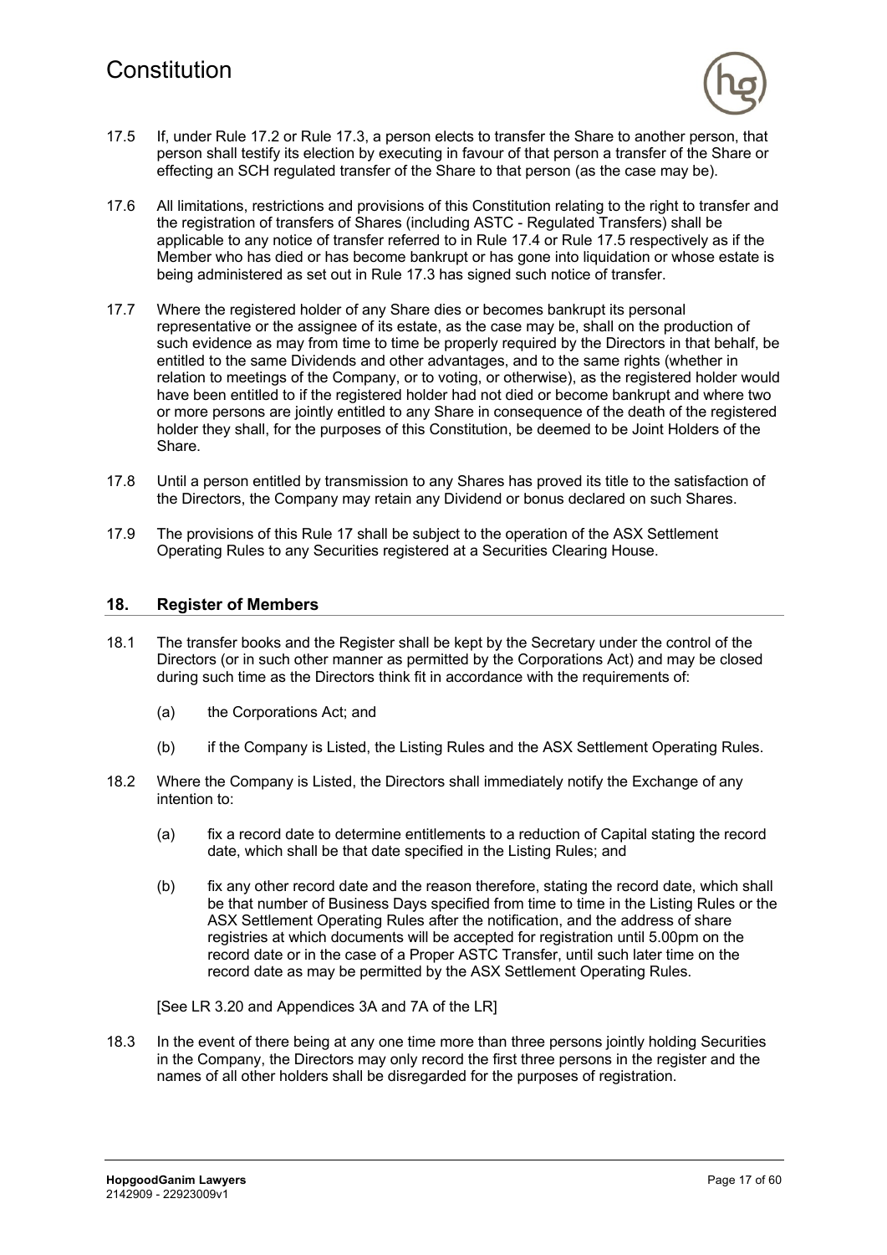

- 17.5 If, under Rule 17.2 or Rule 17.3, a person elects to transfer the Share to another person, that person shall testify its election by executing in favour of that person a transfer of the Share or effecting an SCH regulated transfer of the Share to that person (as the case may be).
- 17.6 All limitations, restrictions and provisions of this Constitution relating to the right to transfer and the registration of transfers of Shares (including ASTC - Regulated Transfers) shall be applicable to any notice of transfer referred to in Rule 17.4 or Rule 17.5 respectively as if the Member who has died or has become bankrupt or has gone into liquidation or whose estate is being administered as set out in Rule 17.3 has signed such notice of transfer.
- 17.7 Where the registered holder of any Share dies or becomes bankrupt its personal representative or the assignee of its estate, as the case may be, shall on the production of such evidence as may from time to time be properly required by the Directors in that behalf, be entitled to the same Dividends and other advantages, and to the same rights (whether in relation to meetings of the Company, or to voting, or otherwise), as the registered holder would have been entitled to if the registered holder had not died or become bankrupt and where two or more persons are jointly entitled to any Share in consequence of the death of the registered holder they shall, for the purposes of this Constitution, be deemed to be Joint Holders of the Share.
- 17.8 Until a person entitled by transmission to any Shares has proved its title to the satisfaction of the Directors, the Company may retain any Dividend or bonus declared on such Shares.
- 17.9 The provisions of this Rule 17 shall be subject to the operation of the ASX Settlement Operating Rules to any Securities registered at a Securities Clearing House.

### **18. Register of Members**

- 18.1 The transfer books and the Register shall be kept by the Secretary under the control of the Directors (or in such other manner as permitted by the Corporations Act) and may be closed during such time as the Directors think fit in accordance with the requirements of:
	- (a) the Corporations Act; and
	- (b) if the Company is Listed, the Listing Rules and the ASX Settlement Operating Rules.
- 18.2 Where the Company is Listed, the Directors shall immediately notify the Exchange of any intention to:
	- (a) fix a record date to determine entitlements to a reduction of Capital stating the record date, which shall be that date specified in the Listing Rules; and
	- (b) fix any other record date and the reason therefore, stating the record date, which shall be that number of Business Days specified from time to time in the Listing Rules or the ASX Settlement Operating Rules after the notification, and the address of share registries at which documents will be accepted for registration until 5.00pm on the record date or in the case of a Proper ASTC Transfer, until such later time on the record date as may be permitted by the ASX Settlement Operating Rules.

[See LR 3.20 and Appendices 3A and 7A of the LR]

18.3 In the event of there being at any one time more than three persons jointly holding Securities in the Company, the Directors may only record the first three persons in the register and the names of all other holders shall be disregarded for the purposes of registration.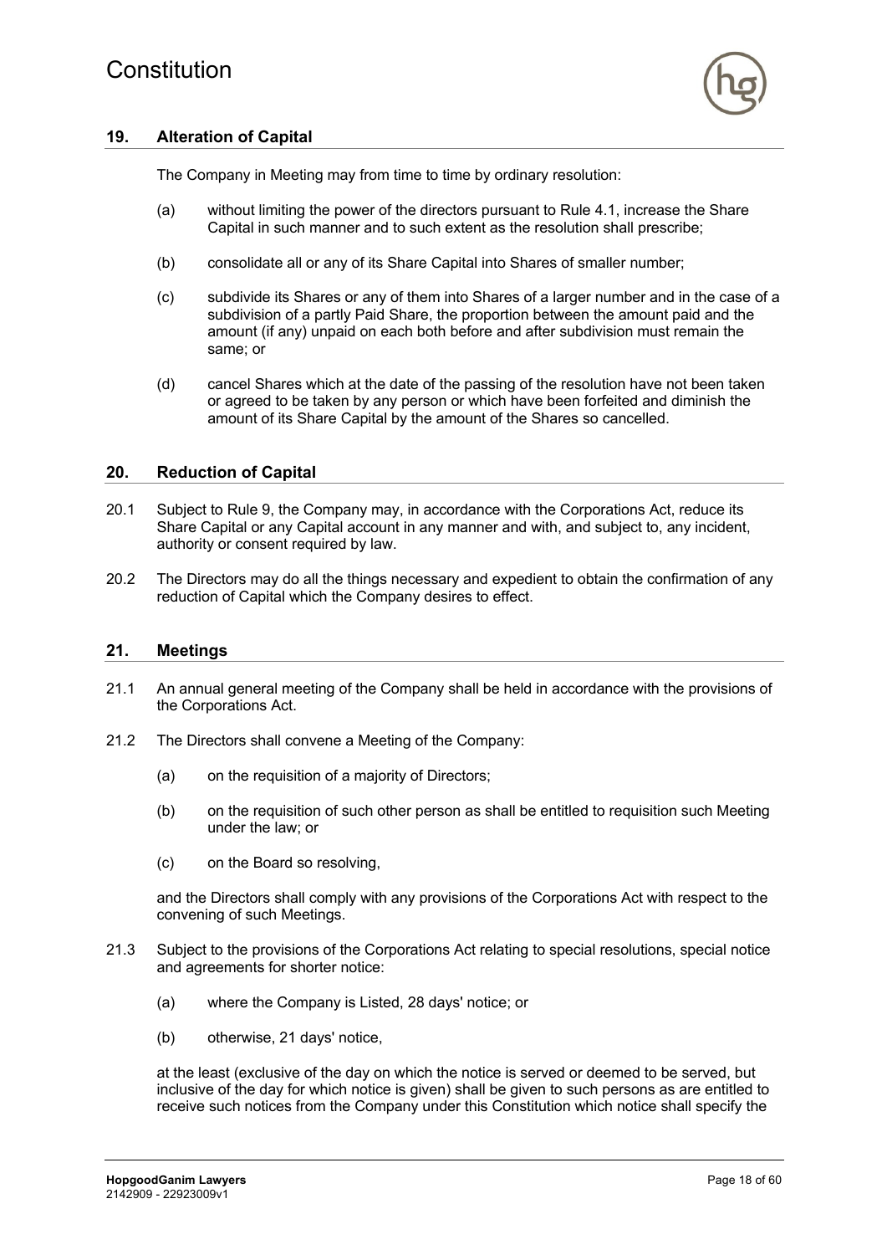### **19. Alteration of Capital**

The Company in Meeting may from time to time by ordinary resolution:

- (a) without limiting the power of the directors pursuant to Rule 4.1, increase the Share Capital in such manner and to such extent as the resolution shall prescribe;
- (b) consolidate all or any of its Share Capital into Shares of smaller number;
- (c) subdivide its Shares or any of them into Shares of a larger number and in the case of a subdivision of a partly Paid Share, the proportion between the amount paid and the amount (if any) unpaid on each both before and after subdivision must remain the same; or
- (d) cancel Shares which at the date of the passing of the resolution have not been taken or agreed to be taken by any person or which have been forfeited and diminish the amount of its Share Capital by the amount of the Shares so cancelled.

#### **20. Reduction of Capital**

- 20.1 Subject to Rule 9, the Company may, in accordance with the Corporations Act, reduce its Share Capital or any Capital account in any manner and with, and subject to, any incident, authority or consent required by law.
- 20.2 The Directors may do all the things necessary and expedient to obtain the confirmation of any reduction of Capital which the Company desires to effect.

#### **21. Meetings**

- 21.1 An annual general meeting of the Company shall be held in accordance with the provisions of the Corporations Act.
- 21.2 The Directors shall convene a Meeting of the Company:
	- (a) on the requisition of a majority of Directors;
	- (b) on the requisition of such other person as shall be entitled to requisition such Meeting under the law; or
	- (c) on the Board so resolving,

and the Directors shall comply with any provisions of the Corporations Act with respect to the convening of such Meetings.

- 21.3 Subject to the provisions of the Corporations Act relating to special resolutions, special notice and agreements for shorter notice:
	- (a) where the Company is Listed, 28 days' notice; or
	- (b) otherwise, 21 days' notice,

at the least (exclusive of the day on which the notice is served or deemed to be served, but inclusive of the day for which notice is given) shall be given to such persons as are entitled to receive such notices from the Company under this Constitution which notice shall specify the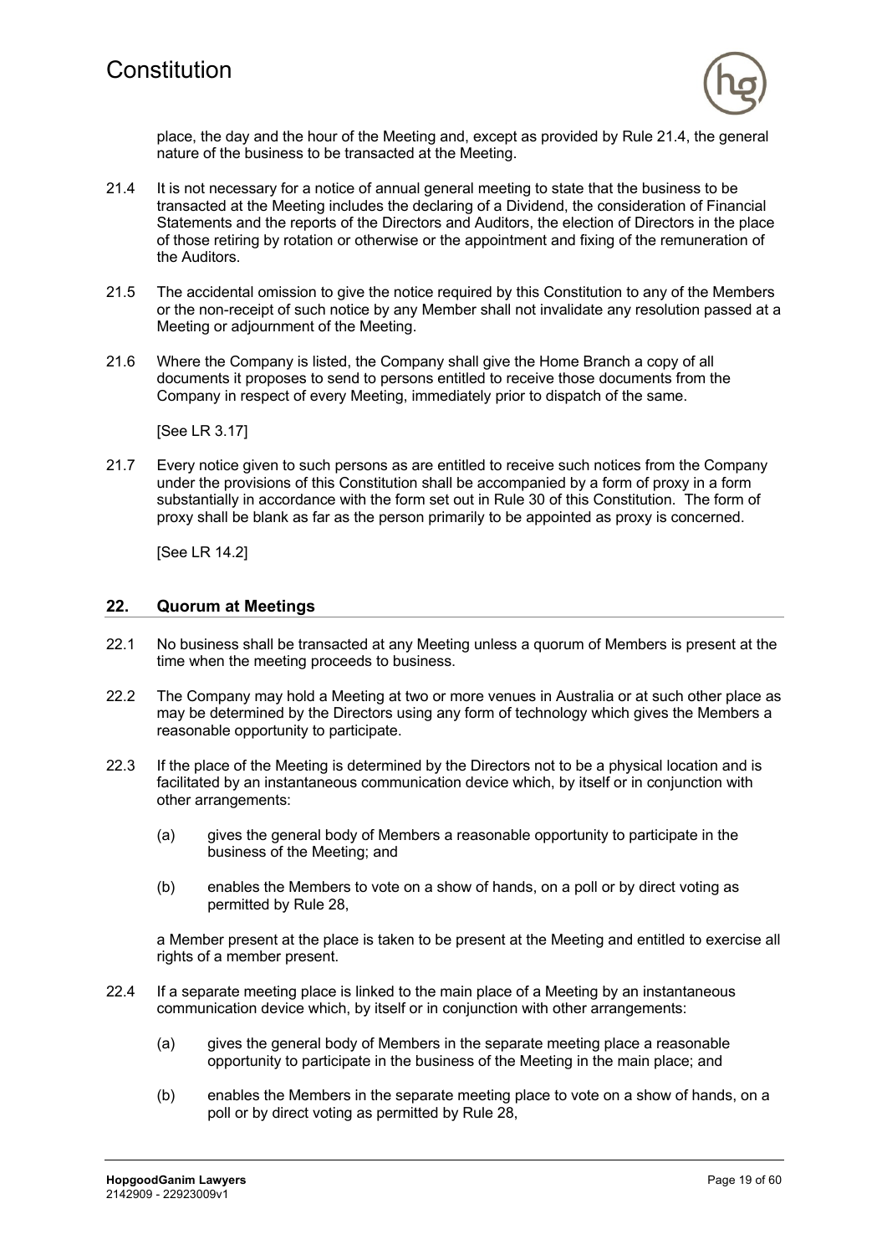

place, the day and the hour of the Meeting and, except as provided by Rule 21.4, the general nature of the business to be transacted at the Meeting.

- 21.4 It is not necessary for a notice of annual general meeting to state that the business to be transacted at the Meeting includes the declaring of a Dividend, the consideration of Financial Statements and the reports of the Directors and Auditors, the election of Directors in the place of those retiring by rotation or otherwise or the appointment and fixing of the remuneration of the Auditors.
- 21.5 The accidental omission to give the notice required by this Constitution to any of the Members or the non-receipt of such notice by any Member shall not invalidate any resolution passed at a Meeting or adjournment of the Meeting.
- 21.6 Where the Company is listed, the Company shall give the Home Branch a copy of all documents it proposes to send to persons entitled to receive those documents from the Company in respect of every Meeting, immediately prior to dispatch of the same.

[See LR 3.17]

21.7 Every notice given to such persons as are entitled to receive such notices from the Company under the provisions of this Constitution shall be accompanied by a form of proxy in a form substantially in accordance with the form set out in Rule 30 of this Constitution. The form of proxy shall be blank as far as the person primarily to be appointed as proxy is concerned.

[See LR 14.2]

#### **22. Quorum at Meetings**

- 22.1 No business shall be transacted at any Meeting unless a quorum of Members is present at the time when the meeting proceeds to business.
- 22.2 The Company may hold a Meeting at two or more venues in Australia or at such other place as may be determined by the Directors using any form of technology which gives the Members a reasonable opportunity to participate.
- 22.3 If the place of the Meeting is determined by the Directors not to be a physical location and is facilitated by an instantaneous communication device which, by itself or in conjunction with other arrangements:
	- (a) gives the general body of Members a reasonable opportunity to participate in the business of the Meeting; and
	- (b) enables the Members to vote on a show of hands, on a poll or by direct voting as permitted by Rule 28,

a Member present at the place is taken to be present at the Meeting and entitled to exercise all rights of a member present.

- 22.4 If a separate meeting place is linked to the main place of a Meeting by an instantaneous communication device which, by itself or in conjunction with other arrangements:
	- (a) gives the general body of Members in the separate meeting place a reasonable opportunity to participate in the business of the Meeting in the main place; and
	- (b) enables the Members in the separate meeting place to vote on a show of hands, on a poll or by direct voting as permitted by Rule 28,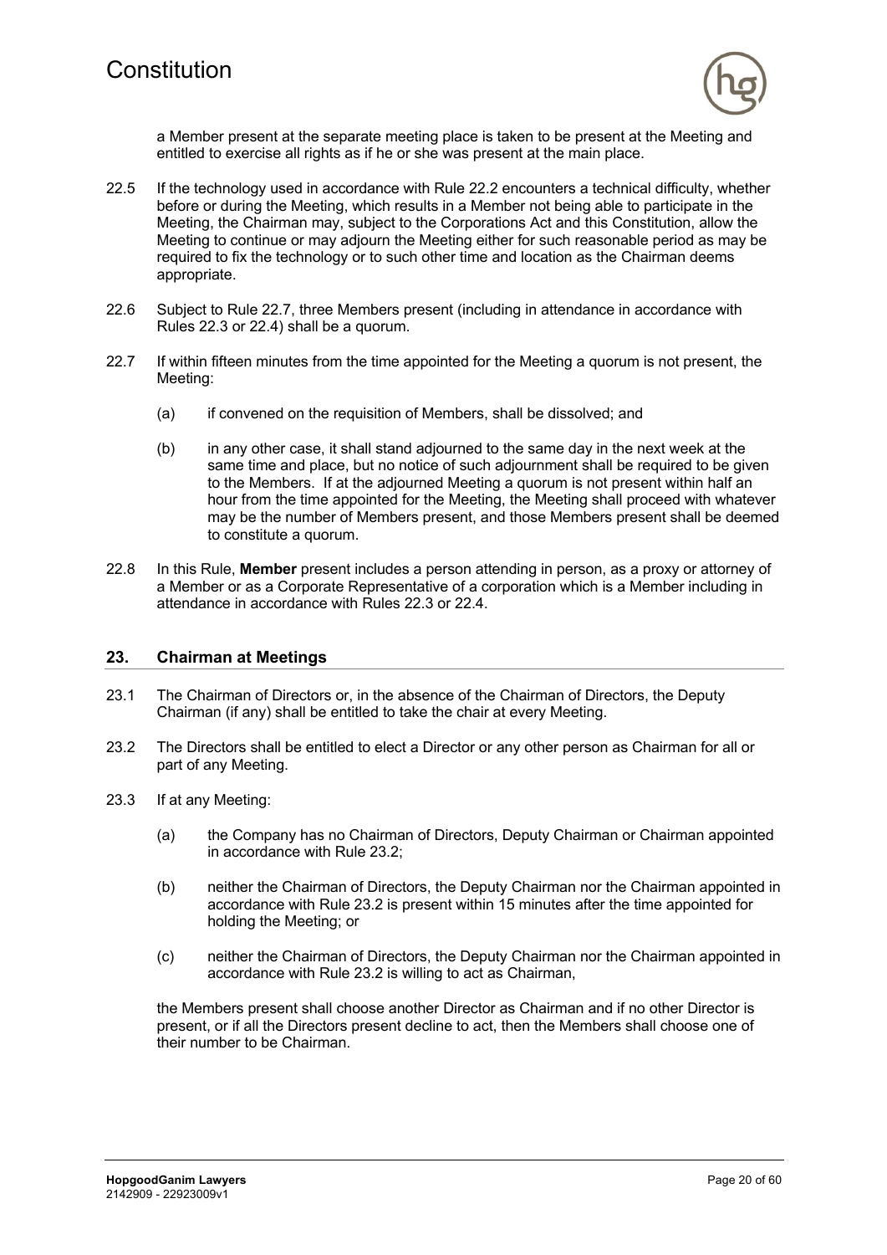

a Member present at the separate meeting place is taken to be present at the Meeting and entitled to exercise all rights as if he or she was present at the main place.

- 22.5 If the technology used in accordance with Rule 22.2 encounters a technical difficulty, whether before or during the Meeting, which results in a Member not being able to participate in the Meeting, the Chairman may, subject to the Corporations Act and this Constitution, allow the Meeting to continue or may adjourn the Meeting either for such reasonable period as may be required to fix the technology or to such other time and location as the Chairman deems appropriate.
- 22.6 Subject to Rule 22.7, three Members present (including in attendance in accordance with Rules 22.3 or 22.4) shall be a quorum.
- 22.7 If within fifteen minutes from the time appointed for the Meeting a quorum is not present, the Meeting:
	- (a) if convened on the requisition of Members, shall be dissolved; and
	- (b) in any other case, it shall stand adjourned to the same day in the next week at the same time and place, but no notice of such adjournment shall be required to be given to the Members. If at the adjourned Meeting a quorum is not present within half an hour from the time appointed for the Meeting, the Meeting shall proceed with whatever may be the number of Members present, and those Members present shall be deemed to constitute a quorum.
- 22.8 In this Rule, **Member** present includes a person attending in person, as a proxy or attorney of a Member or as a Corporate Representative of a corporation which is a Member including in attendance in accordance with Rules 22.3 or 22.4.

#### **23. Chairman at Meetings**

- 23.1 The Chairman of Directors or, in the absence of the Chairman of Directors, the Deputy Chairman (if any) shall be entitled to take the chair at every Meeting.
- 23.2 The Directors shall be entitled to elect a Director or any other person as Chairman for all or part of any Meeting.
- 23.3 If at any Meeting:
	- (a) the Company has no Chairman of Directors, Deputy Chairman or Chairman appointed in accordance with Rule 23.2;
	- (b) neither the Chairman of Directors, the Deputy Chairman nor the Chairman appointed in accordance with Rule 23.2 is present within 15 minutes after the time appointed for holding the Meeting; or
	- (c) neither the Chairman of Directors, the Deputy Chairman nor the Chairman appointed in accordance with Rule 23.2 is willing to act as Chairman,

the Members present shall choose another Director as Chairman and if no other Director is present, or if all the Directors present decline to act, then the Members shall choose one of their number to be Chairman.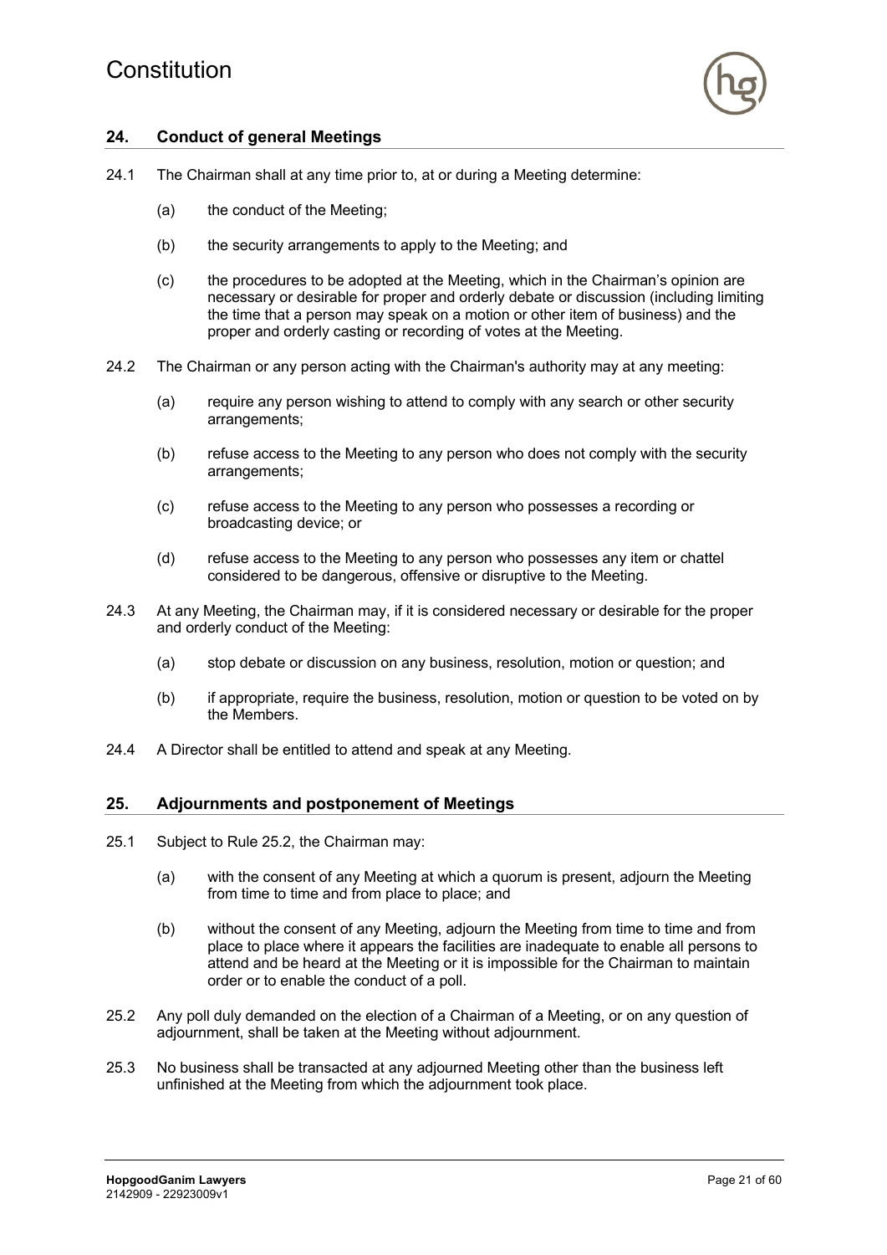

# **24. Conduct of general Meetings**

- 24.1 The Chairman shall at any time prior to, at or during a Meeting determine:
	- (a) the conduct of the Meeting;
	- (b) the security arrangements to apply to the Meeting; and
	- (c) the procedures to be adopted at the Meeting, which in the Chairman's opinion are necessary or desirable for proper and orderly debate or discussion (including limiting the time that a person may speak on a motion or other item of business) and the proper and orderly casting or recording of votes at the Meeting.
- 24.2 The Chairman or any person acting with the Chairman's authority may at any meeting:
	- (a) require any person wishing to attend to comply with any search or other security arrangements;
	- (b) refuse access to the Meeting to any person who does not comply with the security arrangements;
	- (c) refuse access to the Meeting to any person who possesses a recording or broadcasting device; or
	- (d) refuse access to the Meeting to any person who possesses any item or chattel considered to be dangerous, offensive or disruptive to the Meeting.
- 24.3 At any Meeting, the Chairman may, if it is considered necessary or desirable for the proper and orderly conduct of the Meeting:
	- (a) stop debate or discussion on any business, resolution, motion or question; and
	- (b) if appropriate, require the business, resolution, motion or question to be voted on by the Members.
- 24.4 A Director shall be entitled to attend and speak at any Meeting.

#### **25. Adjournments and postponement of Meetings**

- 25.1 Subject to Rule 25.2, the Chairman may:
	- (a) with the consent of any Meeting at which a quorum is present, adjourn the Meeting from time to time and from place to place; and
	- (b) without the consent of any Meeting, adjourn the Meeting from time to time and from place to place where it appears the facilities are inadequate to enable all persons to attend and be heard at the Meeting or it is impossible for the Chairman to maintain order or to enable the conduct of a poll.
- 25.2 Any poll duly demanded on the election of a Chairman of a Meeting, or on any question of adjournment, shall be taken at the Meeting without adjournment.
- 25.3 No business shall be transacted at any adjourned Meeting other than the business left unfinished at the Meeting from which the adjournment took place.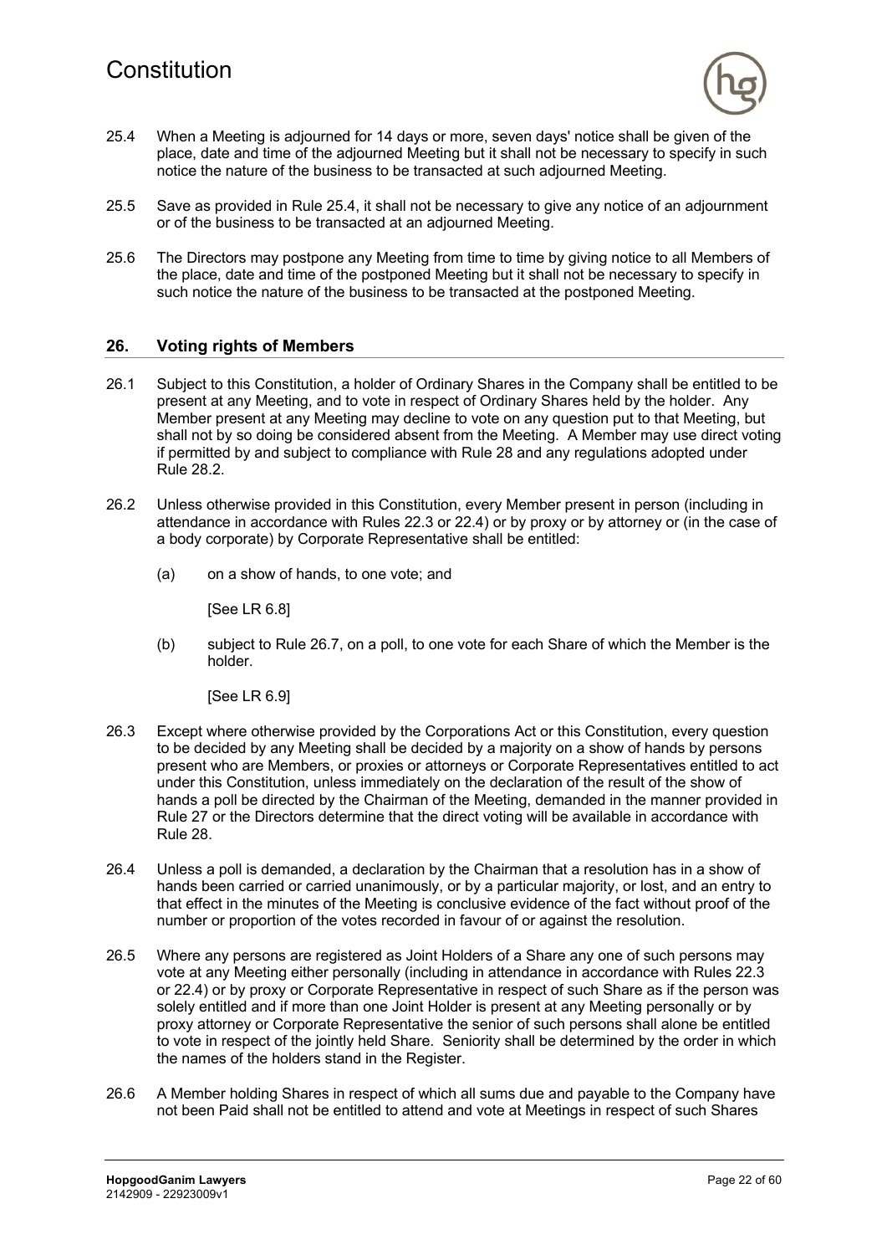

- 25.4 When a Meeting is adjourned for 14 days or more, seven days' notice shall be given of the place, date and time of the adjourned Meeting but it shall not be necessary to specify in such notice the nature of the business to be transacted at such adjourned Meeting.
- 25.5 Save as provided in Rule 25.4, it shall not be necessary to give any notice of an adjournment or of the business to be transacted at an adjourned Meeting.
- 25.6 The Directors may postpone any Meeting from time to time by giving notice to all Members of the place, date and time of the postponed Meeting but it shall not be necessary to specify in such notice the nature of the business to be transacted at the postponed Meeting.

### **26. Voting rights of Members**

- 26.1 Subject to this Constitution, a holder of Ordinary Shares in the Company shall be entitled to be present at any Meeting, and to vote in respect of Ordinary Shares held by the holder. Any Member present at any Meeting may decline to vote on any question put to that Meeting, but shall not by so doing be considered absent from the Meeting. A Member may use direct voting if permitted by and subject to compliance with Rule 28 and any regulations adopted under Rule 28.2.
- 26.2 Unless otherwise provided in this Constitution, every Member present in person (including in attendance in accordance with Rules 22.3 or 22.4) or by proxy or by attorney or (in the case of a body corporate) by Corporate Representative shall be entitled:
	- (a) on a show of hands, to one vote; and

[See LR 6.8]

(b) subject to Rule 26.7, on a poll, to one vote for each Share of which the Member is the holder.

[See LR 6.9]

- 26.3 Except where otherwise provided by the Corporations Act or this Constitution, every question to be decided by any Meeting shall be decided by a majority on a show of hands by persons present who are Members, or proxies or attorneys or Corporate Representatives entitled to act under this Constitution, unless immediately on the declaration of the result of the show of hands a poll be directed by the Chairman of the Meeting, demanded in the manner provided in Rule 27 or the Directors determine that the direct voting will be available in accordance with Rule 28.
- 26.4 Unless a poll is demanded, a declaration by the Chairman that a resolution has in a show of hands been carried or carried unanimously, or by a particular majority, or lost, and an entry to that effect in the minutes of the Meeting is conclusive evidence of the fact without proof of the number or proportion of the votes recorded in favour of or against the resolution.
- 26.5 Where any persons are registered as Joint Holders of a Share any one of such persons may vote at any Meeting either personally (including in attendance in accordance with Rules 22.3 or 22.4) or by proxy or Corporate Representative in respect of such Share as if the person was solely entitled and if more than one Joint Holder is present at any Meeting personally or by proxy attorney or Corporate Representative the senior of such persons shall alone be entitled to vote in respect of the jointly held Share. Seniority shall be determined by the order in which the names of the holders stand in the Register.
- 26.6 A Member holding Shares in respect of which all sums due and payable to the Company have not been Paid shall not be entitled to attend and vote at Meetings in respect of such Shares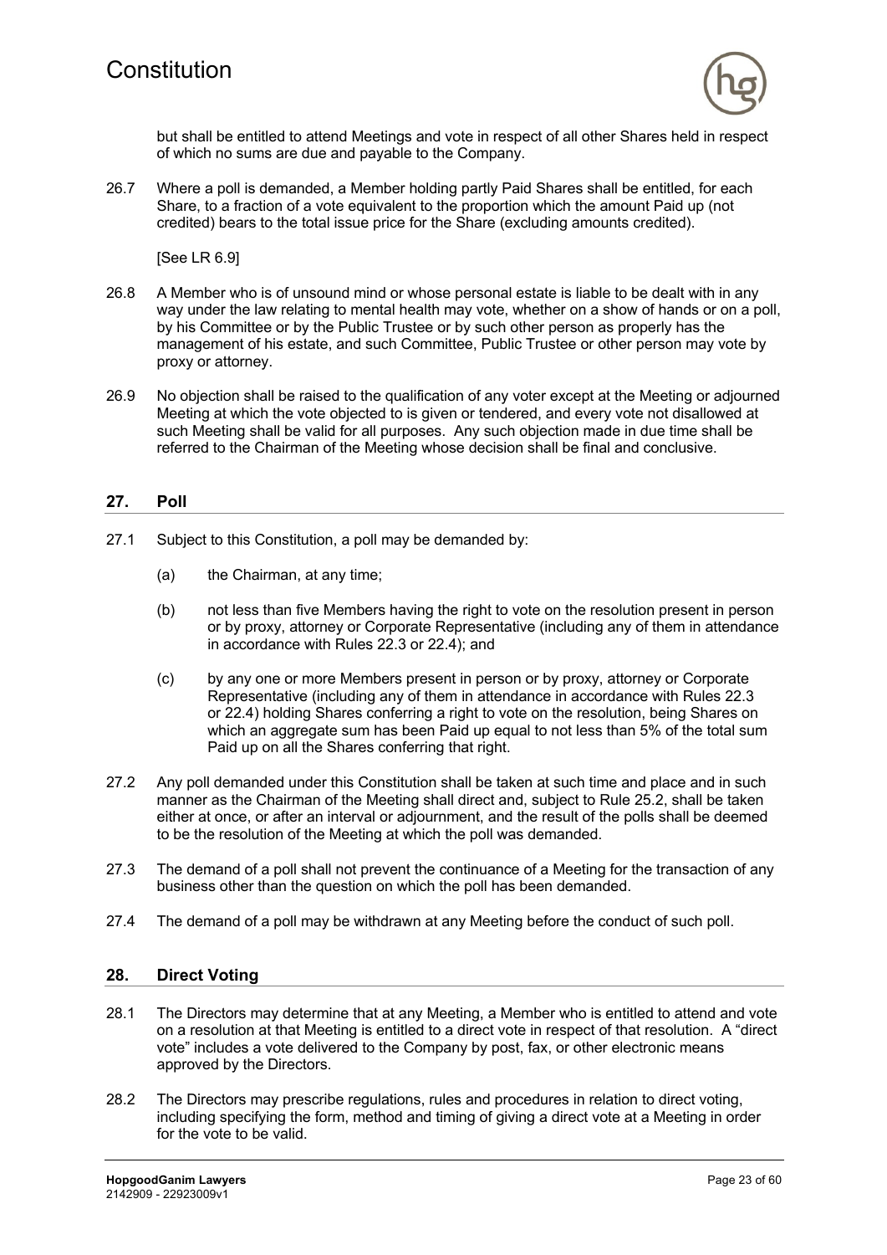

but shall be entitled to attend Meetings and vote in respect of all other Shares held in respect of which no sums are due and payable to the Company.

26.7 Where a poll is demanded, a Member holding partly Paid Shares shall be entitled, for each Share, to a fraction of a vote equivalent to the proportion which the amount Paid up (not credited) bears to the total issue price for the Share (excluding amounts credited).

[See LR 6.9]

- 26.8 A Member who is of unsound mind or whose personal estate is liable to be dealt with in any way under the law relating to mental health may vote, whether on a show of hands or on a poll, by his Committee or by the Public Trustee or by such other person as properly has the management of his estate, and such Committee, Public Trustee or other person may vote by proxy or attorney.
- 26.9 No objection shall be raised to the qualification of any voter except at the Meeting or adjourned Meeting at which the vote objected to is given or tendered, and every vote not disallowed at such Meeting shall be valid for all purposes. Any such objection made in due time shall be referred to the Chairman of the Meeting whose decision shall be final and conclusive.

# **27. Poll**

- 27.1 Subject to this Constitution, a poll may be demanded by:
	- (a) the Chairman, at any time;
	- (b) not less than five Members having the right to vote on the resolution present in person or by proxy, attorney or Corporate Representative (including any of them in attendance in accordance with Rules 22.3 or 22.4); and
	- (c) by any one or more Members present in person or by proxy, attorney or Corporate Representative (including any of them in attendance in accordance with Rules 22.3 or 22.4) holding Shares conferring a right to vote on the resolution, being Shares on which an aggregate sum has been Paid up equal to not less than 5% of the total sum Paid up on all the Shares conferring that right.
- 27.2 Any poll demanded under this Constitution shall be taken at such time and place and in such manner as the Chairman of the Meeting shall direct and, subject to Rule 25.2, shall be taken either at once, or after an interval or adjournment, and the result of the polls shall be deemed to be the resolution of the Meeting at which the poll was demanded.
- 27.3 The demand of a poll shall not prevent the continuance of a Meeting for the transaction of any business other than the question on which the poll has been demanded.
- 27.4 The demand of a poll may be withdrawn at any Meeting before the conduct of such poll.

#### **28. Direct Voting**

- 28.1 The Directors may determine that at any Meeting, a Member who is entitled to attend and vote on a resolution at that Meeting is entitled to a direct vote in respect of that resolution. A "direct vote" includes a vote delivered to the Company by post, fax, or other electronic means approved by the Directors.
- 28.2 The Directors may prescribe regulations, rules and procedures in relation to direct voting, including specifying the form, method and timing of giving a direct vote at a Meeting in order for the vote to be valid.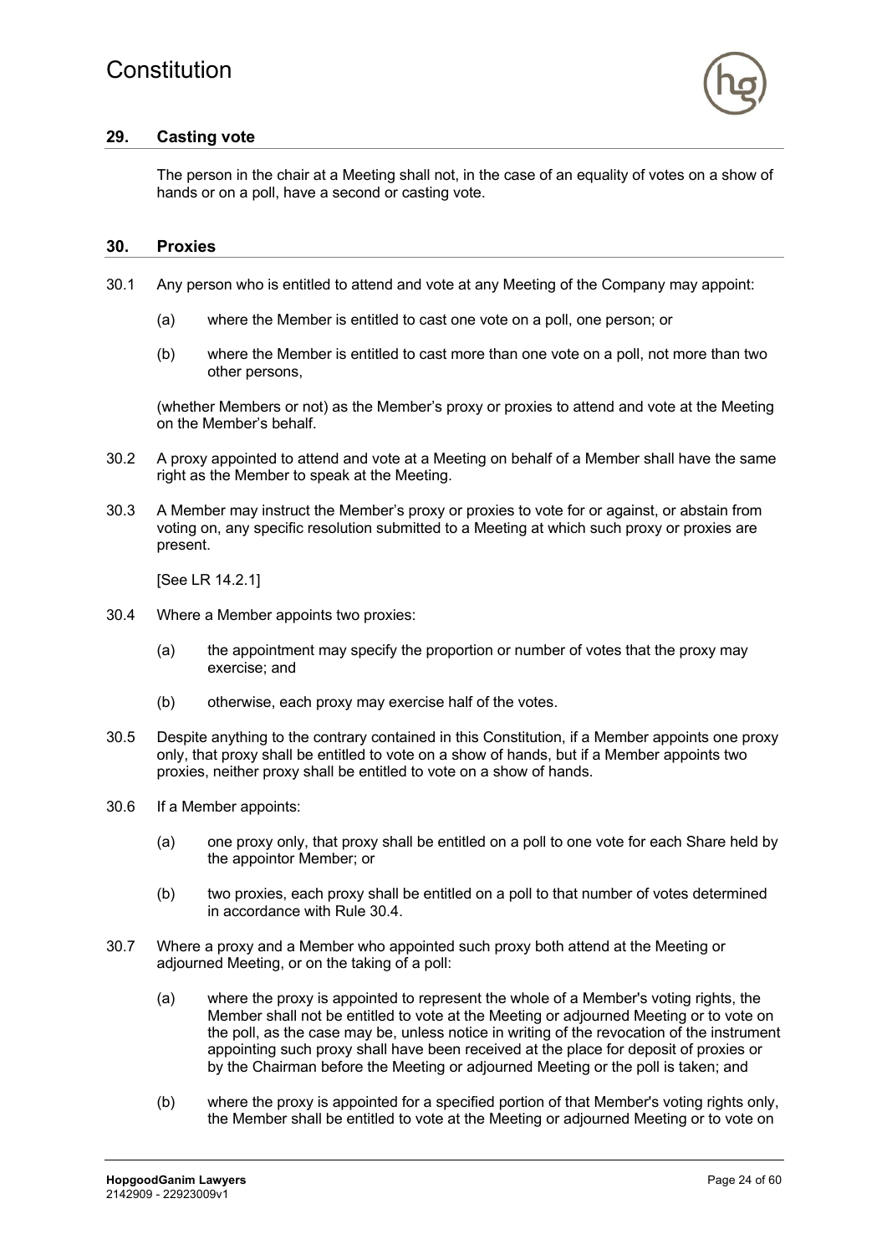

#### **29. Casting vote**

The person in the chair at a Meeting shall not, in the case of an equality of votes on a show of hands or on a poll, have a second or casting vote.

#### **30. Proxies**

- 30.1 Any person who is entitled to attend and vote at any Meeting of the Company may appoint:
	- (a) where the Member is entitled to cast one vote on a poll, one person; or
	- (b) where the Member is entitled to cast more than one vote on a poll, not more than two other persons,

(whether Members or not) as the Member's proxy or proxies to attend and vote at the Meeting on the Member's behalf.

- 30.2 A proxy appointed to attend and vote at a Meeting on behalf of a Member shall have the same right as the Member to speak at the Meeting.
- 30.3 A Member may instruct the Member's proxy or proxies to vote for or against, or abstain from voting on, any specific resolution submitted to a Meeting at which such proxy or proxies are present.

[See LR 14.2.1]

- 30.4 Where a Member appoints two proxies:
	- (a) the appointment may specify the proportion or number of votes that the proxy may exercise; and
	- (b) otherwise, each proxy may exercise half of the votes.
- 30.5 Despite anything to the contrary contained in this Constitution, if a Member appoints one proxy only, that proxy shall be entitled to vote on a show of hands, but if a Member appoints two proxies, neither proxy shall be entitled to vote on a show of hands.
- 30.6 If a Member appoints:
	- (a) one proxy only, that proxy shall be entitled on a poll to one vote for each Share held by the appointor Member; or
	- (b) two proxies, each proxy shall be entitled on a poll to that number of votes determined in accordance with Rule 30.4.
- 30.7 Where a proxy and a Member who appointed such proxy both attend at the Meeting or adjourned Meeting, or on the taking of a poll:
	- (a) where the proxy is appointed to represent the whole of a Member's voting rights, the Member shall not be entitled to vote at the Meeting or adjourned Meeting or to vote on the poll, as the case may be, unless notice in writing of the revocation of the instrument appointing such proxy shall have been received at the place for deposit of proxies or by the Chairman before the Meeting or adjourned Meeting or the poll is taken; and
	- (b) where the proxy is appointed for a specified portion of that Member's voting rights only, the Member shall be entitled to vote at the Meeting or adjourned Meeting or to vote on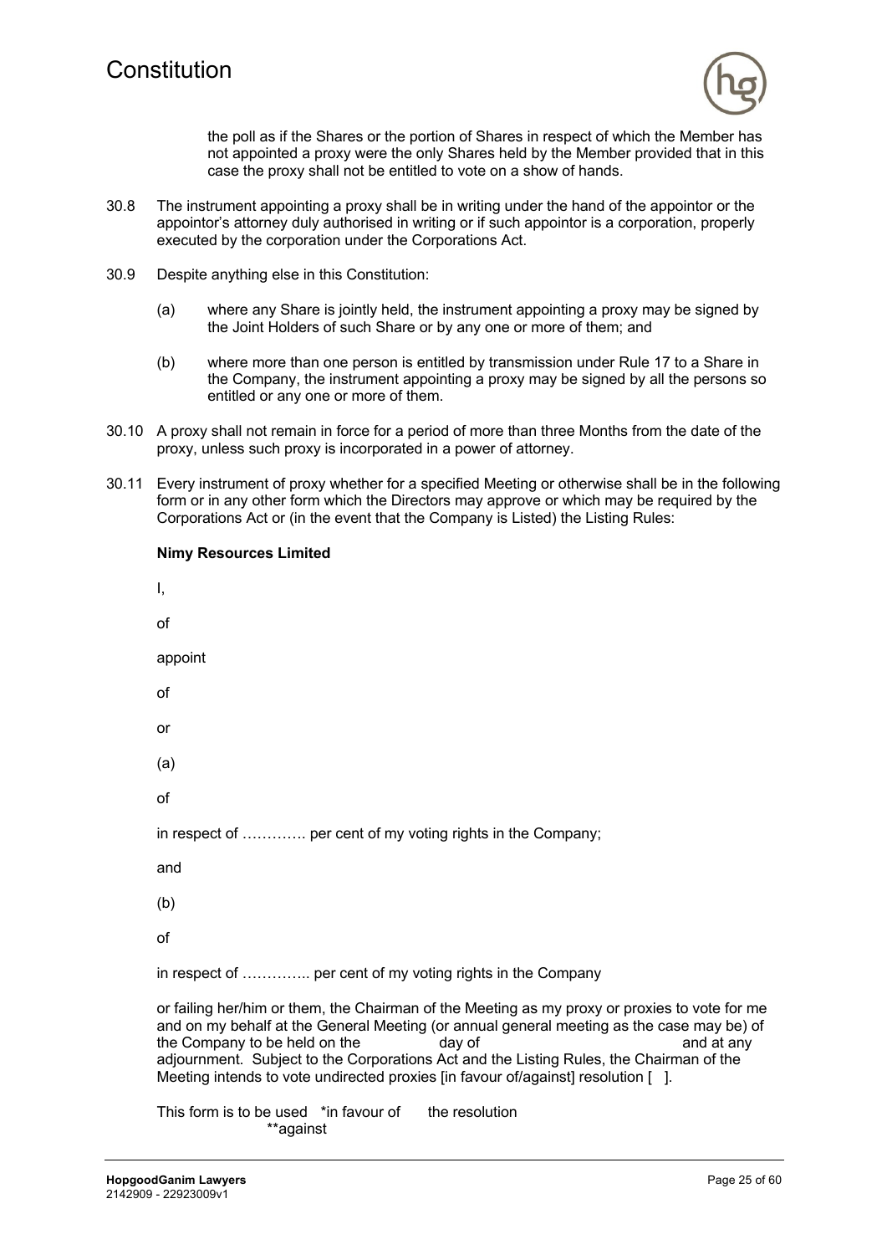

the poll as if the Shares or the portion of Shares in respect of which the Member has not appointed a proxy were the only Shares held by the Member provided that in this case the proxy shall not be entitled to vote on a show of hands.

- 30.8 The instrument appointing a proxy shall be in writing under the hand of the appointor or the appointor's attorney duly authorised in writing or if such appointor is a corporation, properly executed by the corporation under the Corporations Act.
- 30.9 Despite anything else in this Constitution:

**Nimy Resources Limited**

- (a) where any Share is jointly held, the instrument appointing a proxy may be signed by the Joint Holders of such Share or by any one or more of them; and
- (b) where more than one person is entitled by transmission under Rule 17 to a Share in the Company, the instrument appointing a proxy may be signed by all the persons so entitled or any one or more of them.
- 30.10 A proxy shall not remain in force for a period of more than three Months from the date of the proxy, unless such proxy is incorporated in a power of attorney.
- 30.11 Every instrument of proxy whether for a specified Meeting or otherwise shall be in the following form or in any other form which the Directors may approve or which may be required by the Corporations Act or (in the event that the Company is Listed) the Listing Rules:

| I,                                                                                                                                                                                                                                                                                                                                                                                                                                 |
|------------------------------------------------------------------------------------------------------------------------------------------------------------------------------------------------------------------------------------------------------------------------------------------------------------------------------------------------------------------------------------------------------------------------------------|
| οf                                                                                                                                                                                                                                                                                                                                                                                                                                 |
| appoint                                                                                                                                                                                                                                                                                                                                                                                                                            |
| οf                                                                                                                                                                                                                                                                                                                                                                                                                                 |
| or                                                                                                                                                                                                                                                                                                                                                                                                                                 |
| (a)                                                                                                                                                                                                                                                                                                                                                                                                                                |
| οf                                                                                                                                                                                                                                                                                                                                                                                                                                 |
| in respect of  per cent of my voting rights in the Company;                                                                                                                                                                                                                                                                                                                                                                        |
| and                                                                                                                                                                                                                                                                                                                                                                                                                                |
| (b)                                                                                                                                                                                                                                                                                                                                                                                                                                |
| οf                                                                                                                                                                                                                                                                                                                                                                                                                                 |
| in respect of  per cent of my voting rights in the Company                                                                                                                                                                                                                                                                                                                                                                         |
| or failing her/him or them, the Chairman of the Meeting as my proxy or proxies to vote for me<br>and on my behalf at the General Meeting (or annual general meeting as the case may be) of<br>the Company to be held on the<br>day of<br>and at any<br>adjournment. Subject to the Corporations Act and the Listing Rules, the Chairman of the<br>Meeting intends to vote undirected proxies [in favour of/against] resolution []. |
| This form is to be used *in favour of<br>the resolution<br>**against                                                                                                                                                                                                                                                                                                                                                               |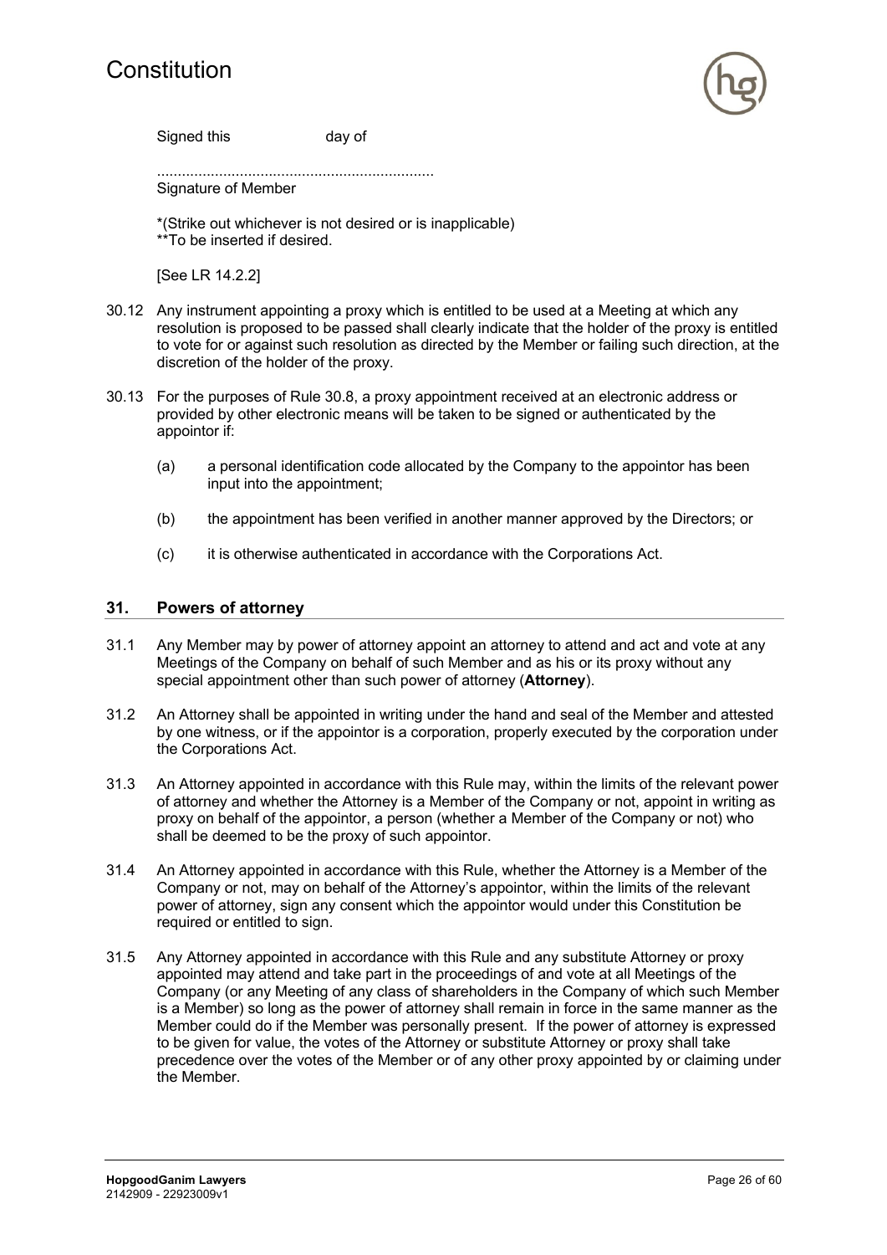

Signed this day of

...................................................................

Signature of Member

\*(Strike out whichever is not desired or is inapplicable) \*\*To be inserted if desired.

[See LR 14.2.2]

- 30.12 Any instrument appointing a proxy which is entitled to be used at a Meeting at which any resolution is proposed to be passed shall clearly indicate that the holder of the proxy is entitled to vote for or against such resolution as directed by the Member or failing such direction, at the discretion of the holder of the proxy.
- 30.13 For the purposes of Rule 30.8, a proxy appointment received at an electronic address or provided by other electronic means will be taken to be signed or authenticated by the appointor if:
	- (a) a personal identification code allocated by the Company to the appointor has been input into the appointment;
	- (b) the appointment has been verified in another manner approved by the Directors; or
	- (c) it is otherwise authenticated in accordance with the Corporations Act.

#### **31. Powers of attorney**

- 31.1 Any Member may by power of attorney appoint an attorney to attend and act and vote at any Meetings of the Company on behalf of such Member and as his or its proxy without any special appointment other than such power of attorney (**Attorney**).
- 31.2 An Attorney shall be appointed in writing under the hand and seal of the Member and attested by one witness, or if the appointor is a corporation, properly executed by the corporation under the Corporations Act.
- 31.3 An Attorney appointed in accordance with this Rule may, within the limits of the relevant power of attorney and whether the Attorney is a Member of the Company or not, appoint in writing as proxy on behalf of the appointor, a person (whether a Member of the Company or not) who shall be deemed to be the proxy of such appointor.
- 31.4 An Attorney appointed in accordance with this Rule, whether the Attorney is a Member of the Company or not, may on behalf of the Attorney's appointor, within the limits of the relevant power of attorney, sign any consent which the appointor would under this Constitution be required or entitled to sign.
- 31.5 Any Attorney appointed in accordance with this Rule and any substitute Attorney or proxy appointed may attend and take part in the proceedings of and vote at all Meetings of the Company (or any Meeting of any class of shareholders in the Company of which such Member is a Member) so long as the power of attorney shall remain in force in the same manner as the Member could do if the Member was personally present. If the power of attorney is expressed to be given for value, the votes of the Attorney or substitute Attorney or proxy shall take precedence over the votes of the Member or of any other proxy appointed by or claiming under the Member.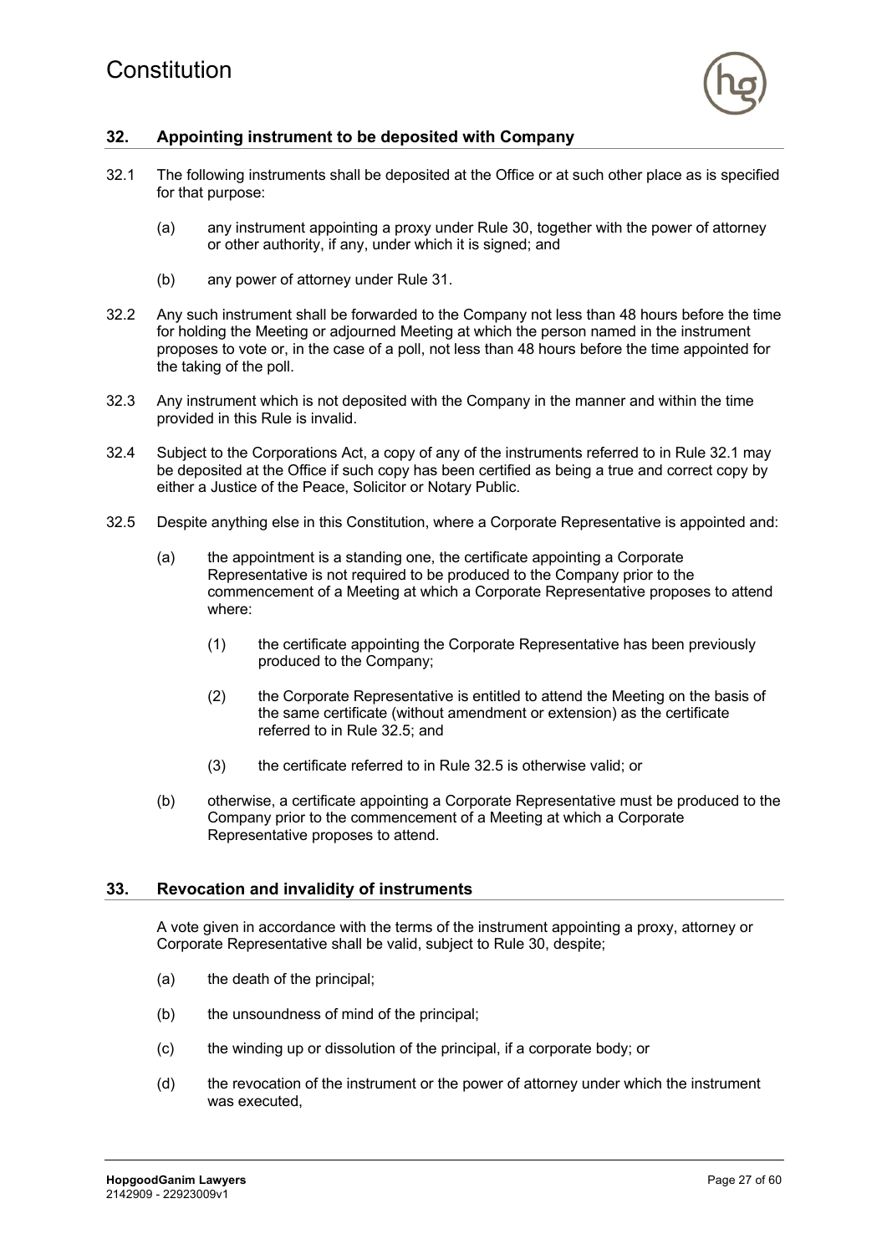

# **32. Appointing instrument to be deposited with Company**

- 32.1 The following instruments shall be deposited at the Office or at such other place as is specified for that purpose:
	- (a) any instrument appointing a proxy under Rule 30, together with the power of attorney or other authority, if any, under which it is signed; and
	- (b) any power of attorney under Rule 31.
- 32.2 Any such instrument shall be forwarded to the Company not less than 48 hours before the time for holding the Meeting or adjourned Meeting at which the person named in the instrument proposes to vote or, in the case of a poll, not less than 48 hours before the time appointed for the taking of the poll.
- 32.3 Any instrument which is not deposited with the Company in the manner and within the time provided in this Rule is invalid.
- 32.4 Subject to the Corporations Act, a copy of any of the instruments referred to in Rule 32.1 may be deposited at the Office if such copy has been certified as being a true and correct copy by either a Justice of the Peace, Solicitor or Notary Public.
- 32.5 Despite anything else in this Constitution, where a Corporate Representative is appointed and:
	- (a) the appointment is a standing one, the certificate appointing a Corporate Representative is not required to be produced to the Company prior to the commencement of a Meeting at which a Corporate Representative proposes to attend where:
		- (1) the certificate appointing the Corporate Representative has been previously produced to the Company;
		- (2) the Corporate Representative is entitled to attend the Meeting on the basis of the same certificate (without amendment or extension) as the certificate referred to in Rule 32.5; and
		- (3) the certificate referred to in Rule 32.5 is otherwise valid; or
	- (b) otherwise, a certificate appointing a Corporate Representative must be produced to the Company prior to the commencement of a Meeting at which a Corporate Representative proposes to attend.

#### **33. Revocation and invalidity of instruments**

A vote given in accordance with the terms of the instrument appointing a proxy, attorney or Corporate Representative shall be valid, subject to Rule 30, despite;

- (a) the death of the principal;
- (b) the unsoundness of mind of the principal;
- (c) the winding up or dissolution of the principal, if a corporate body; or
- (d) the revocation of the instrument or the power of attorney under which the instrument was executed,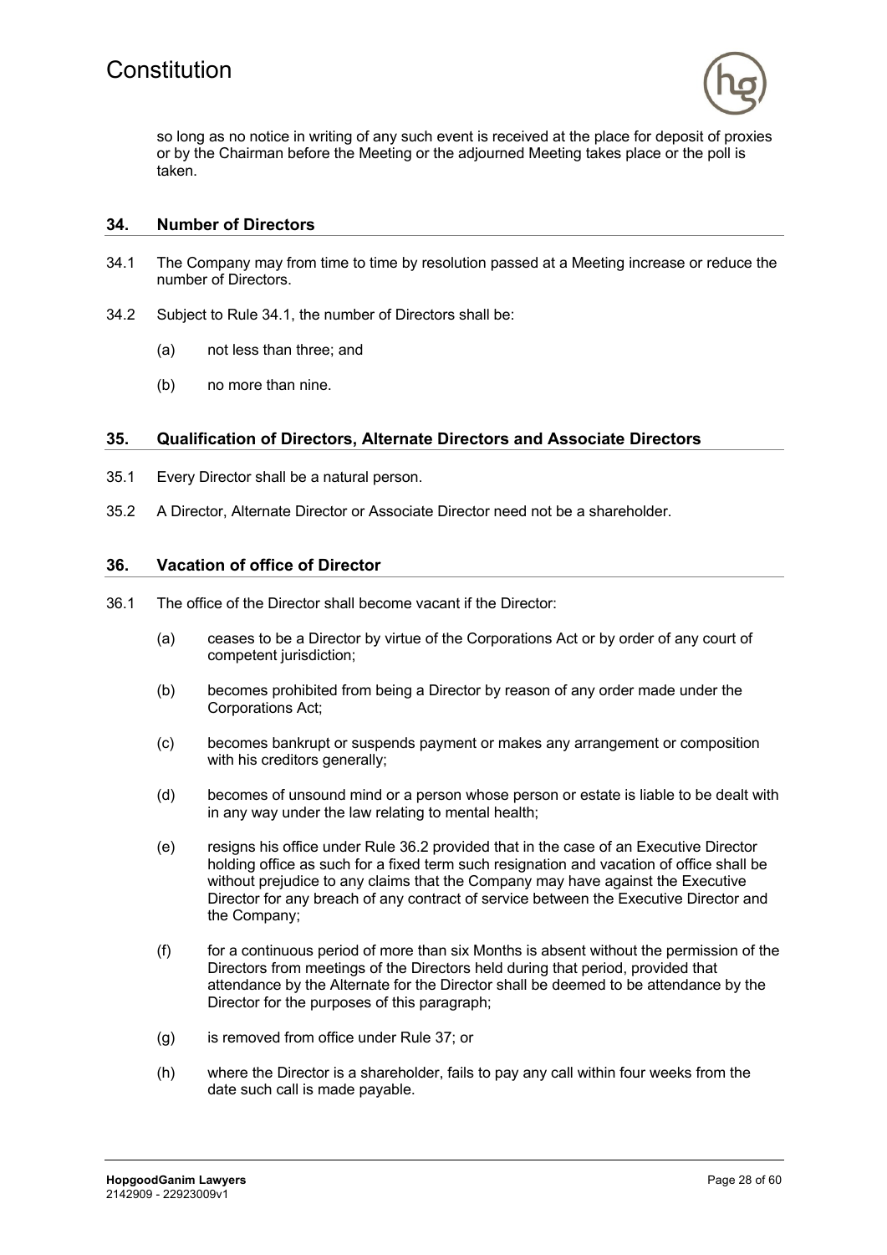

so long as no notice in writing of any such event is received at the place for deposit of proxies or by the Chairman before the Meeting or the adjourned Meeting takes place or the poll is taken.

#### **34. Number of Directors**

- 34.1 The Company may from time to time by resolution passed at a Meeting increase or reduce the number of Directors.
- 34.2 Subject to Rule 34.1, the number of Directors shall be:
	- (a) not less than three; and
	- (b) no more than nine.

#### **35. Qualification of Directors, Alternate Directors and Associate Directors**

- 35.1 Every Director shall be a natural person.
- 35.2 A Director, Alternate Director or Associate Director need not be a shareholder.

#### **36. Vacation of office of Director**

- 36.1 The office of the Director shall become vacant if the Director:
	- (a) ceases to be a Director by virtue of the Corporations Act or by order of any court of competent jurisdiction:
	- (b) becomes prohibited from being a Director by reason of any order made under the Corporations Act;
	- (c) becomes bankrupt or suspends payment or makes any arrangement or composition with his creditors generally;
	- (d) becomes of unsound mind or a person whose person or estate is liable to be dealt with in any way under the law relating to mental health;
	- (e) resigns his office under Rule 36.2 provided that in the case of an Executive Director holding office as such for a fixed term such resignation and vacation of office shall be without prejudice to any claims that the Company may have against the Executive Director for any breach of any contract of service between the Executive Director and the Company;
	- (f) for a continuous period of more than six Months is absent without the permission of the Directors from meetings of the Directors held during that period, provided that attendance by the Alternate for the Director shall be deemed to be attendance by the Director for the purposes of this paragraph;
	- (g) is removed from office under Rule 37; or
	- (h) where the Director is a shareholder, fails to pay any call within four weeks from the date such call is made payable.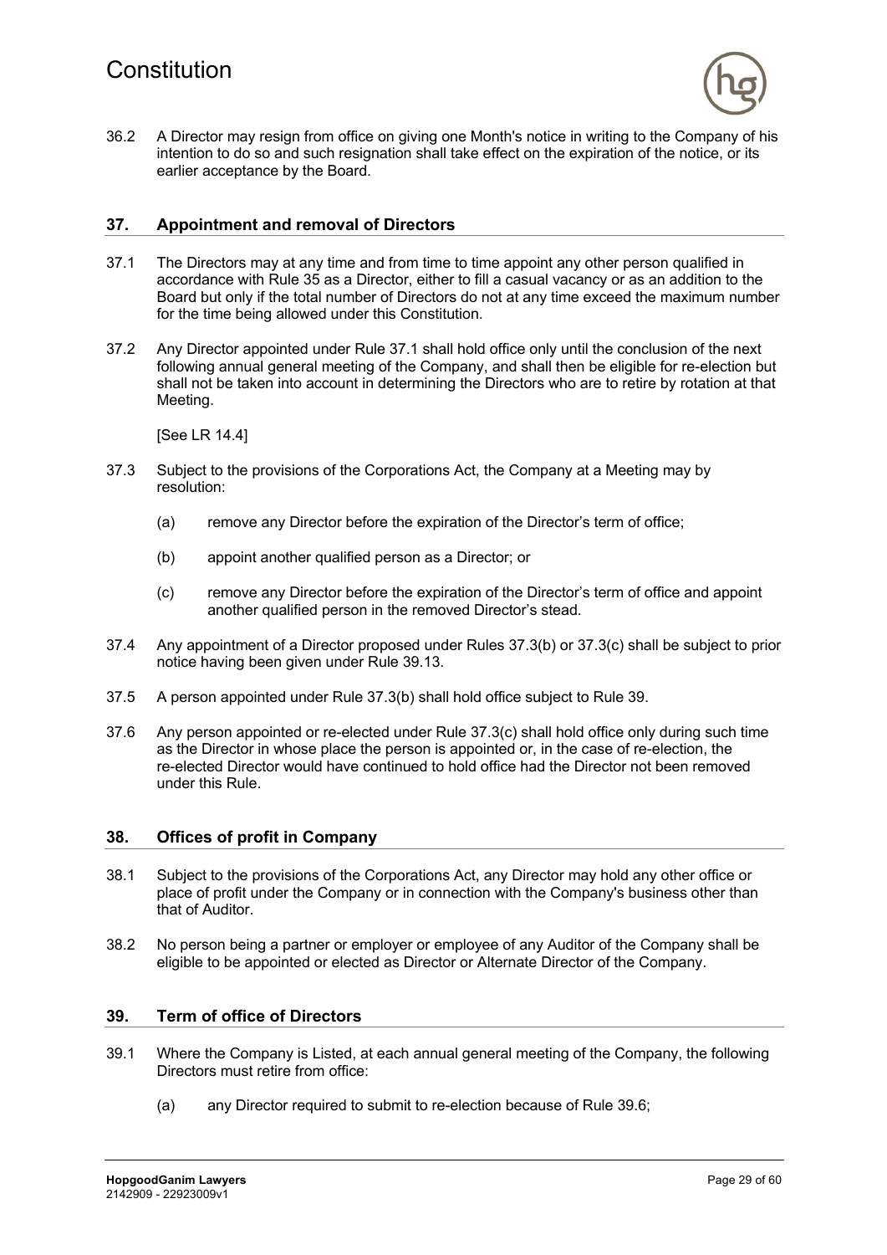

36.2 A Director may resign from office on giving one Month's notice in writing to the Company of his intention to do so and such resignation shall take effect on the expiration of the notice, or its earlier acceptance by the Board.

#### **37. Appointment and removal of Directors**

- 37.1 The Directors may at any time and from time to time appoint any other person qualified in accordance with Rule 35 as a Director, either to fill a casual vacancy or as an addition to the Board but only if the total number of Directors do not at any time exceed the maximum number for the time being allowed under this Constitution.
- 37.2 Any Director appointed under Rule 37.1 shall hold office only until the conclusion of the next following annual general meeting of the Company, and shall then be eligible for re-election but shall not be taken into account in determining the Directors who are to retire by rotation at that Meeting.

[See LR 14.4]

- 37.3 Subject to the provisions of the Corporations Act, the Company at a Meeting may by resolution:
	- (a) remove any Director before the expiration of the Director's term of office;
	- (b) appoint another qualified person as a Director; or
	- (c) remove any Director before the expiration of the Director's term of office and appoint another qualified person in the removed Director's stead.
- 37.4 Any appointment of a Director proposed under Rules 37.3(b) or 37.3(c) shall be subject to prior notice having been given under Rule 39.13.
- 37.5 A person appointed under Rule 37.3(b) shall hold office subject to Rule 39.
- 37.6 Any person appointed or re-elected under Rule 37.3(c) shall hold office only during such time as the Director in whose place the person is appointed or, in the case of re-election, the re-elected Director would have continued to hold office had the Director not been removed under this Rule.

#### **38. Offices of profit in Company**

- 38.1 Subject to the provisions of the Corporations Act, any Director may hold any other office or place of profit under the Company or in connection with the Company's business other than that of Auditor.
- 38.2 No person being a partner or employer or employee of any Auditor of the Company shall be eligible to be appointed or elected as Director or Alternate Director of the Company.

#### **39. Term of office of Directors**

- 39.1 Where the Company is Listed, at each annual general meeting of the Company, the following Directors must retire from office:
	- (a) any Director required to submit to re-election because of Rule 39.6;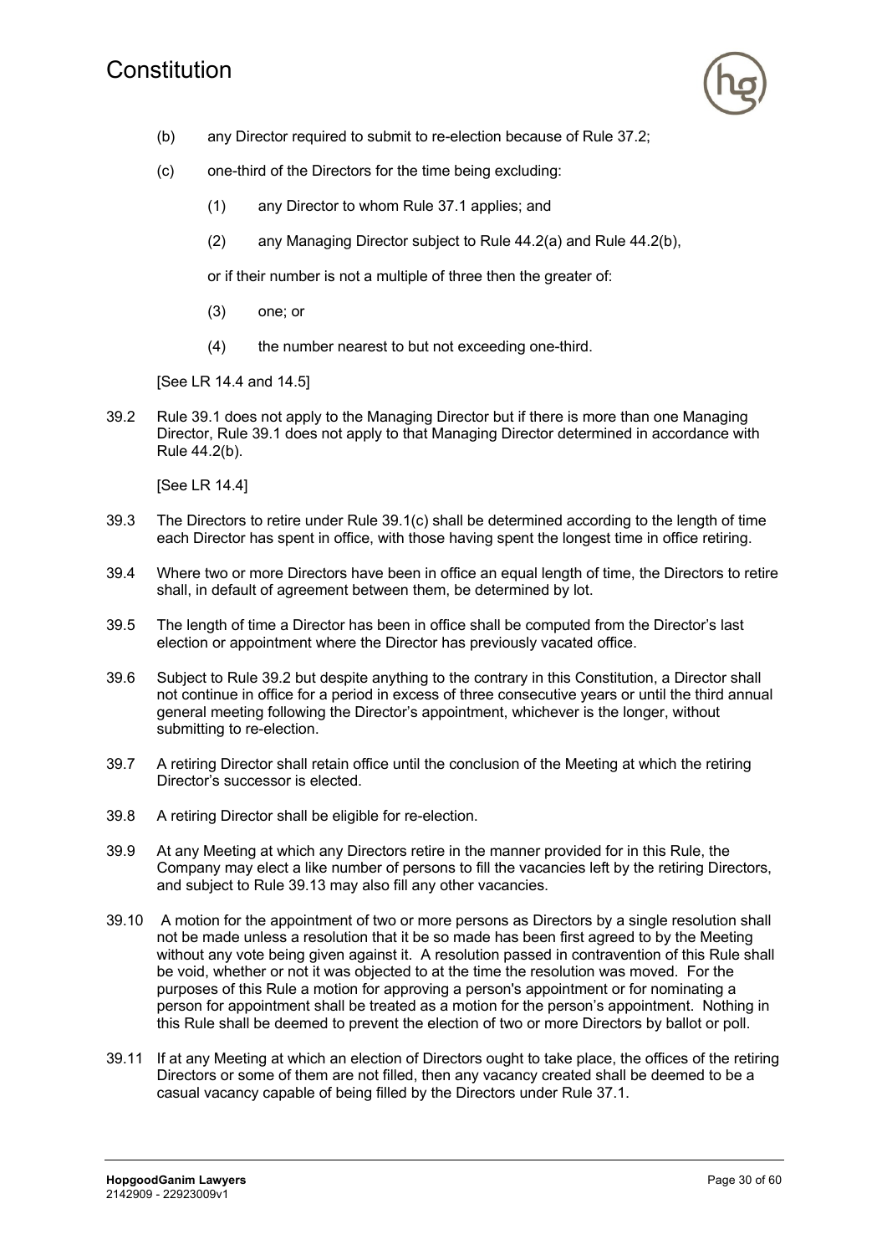

- (b) any Director required to submit to re-election because of Rule 37.2;
- (c) one-third of the Directors for the time being excluding:
	- (1) any Director to whom Rule 37.1 applies; and
	- (2) any Managing Director subject to Rule 44.2(a) and Rule 44.2(b),

or if their number is not a multiple of three then the greater of:

- (3) one; or
- (4) the number nearest to but not exceeding one-third.

[See LR 14.4 and 14.5]

39.2 Rule 39.1 does not apply to the Managing Director but if there is more than one Managing Director, Rule 39.1 does not apply to that Managing Director determined in accordance with Rule 44.2(b).

[See LR 14.4]

- 39.3 The Directors to retire under Rule 39.1(c) shall be determined according to the length of time each Director has spent in office, with those having spent the longest time in office retiring.
- 39.4 Where two or more Directors have been in office an equal length of time, the Directors to retire shall, in default of agreement between them, be determined by lot.
- 39.5 The length of time a Director has been in office shall be computed from the Director's last election or appointment where the Director has previously vacated office.
- 39.6 Subject to Rule 39.2 but despite anything to the contrary in this Constitution, a Director shall not continue in office for a period in excess of three consecutive years or until the third annual general meeting following the Director's appointment, whichever is the longer, without submitting to re-election.
- 39.7 A retiring Director shall retain office until the conclusion of the Meeting at which the retiring Director's successor is elected.
- 39.8 A retiring Director shall be eligible for re-election.
- 39.9 At any Meeting at which any Directors retire in the manner provided for in this Rule, the Company may elect a like number of persons to fill the vacancies left by the retiring Directors, and subject to Rule 39.13 may also fill any other vacancies.
- 39.10 A motion for the appointment of two or more persons as Directors by a single resolution shall not be made unless a resolution that it be so made has been first agreed to by the Meeting without any vote being given against it. A resolution passed in contravention of this Rule shall be void, whether or not it was objected to at the time the resolution was moved. For the purposes of this Rule a motion for approving a person's appointment or for nominating a person for appointment shall be treated as a motion for the person's appointment. Nothing in this Rule shall be deemed to prevent the election of two or more Directors by ballot or poll.
- 39.11 If at any Meeting at which an election of Directors ought to take place, the offices of the retiring Directors or some of them are not filled, then any vacancy created shall be deemed to be a casual vacancy capable of being filled by the Directors under Rule 37.1.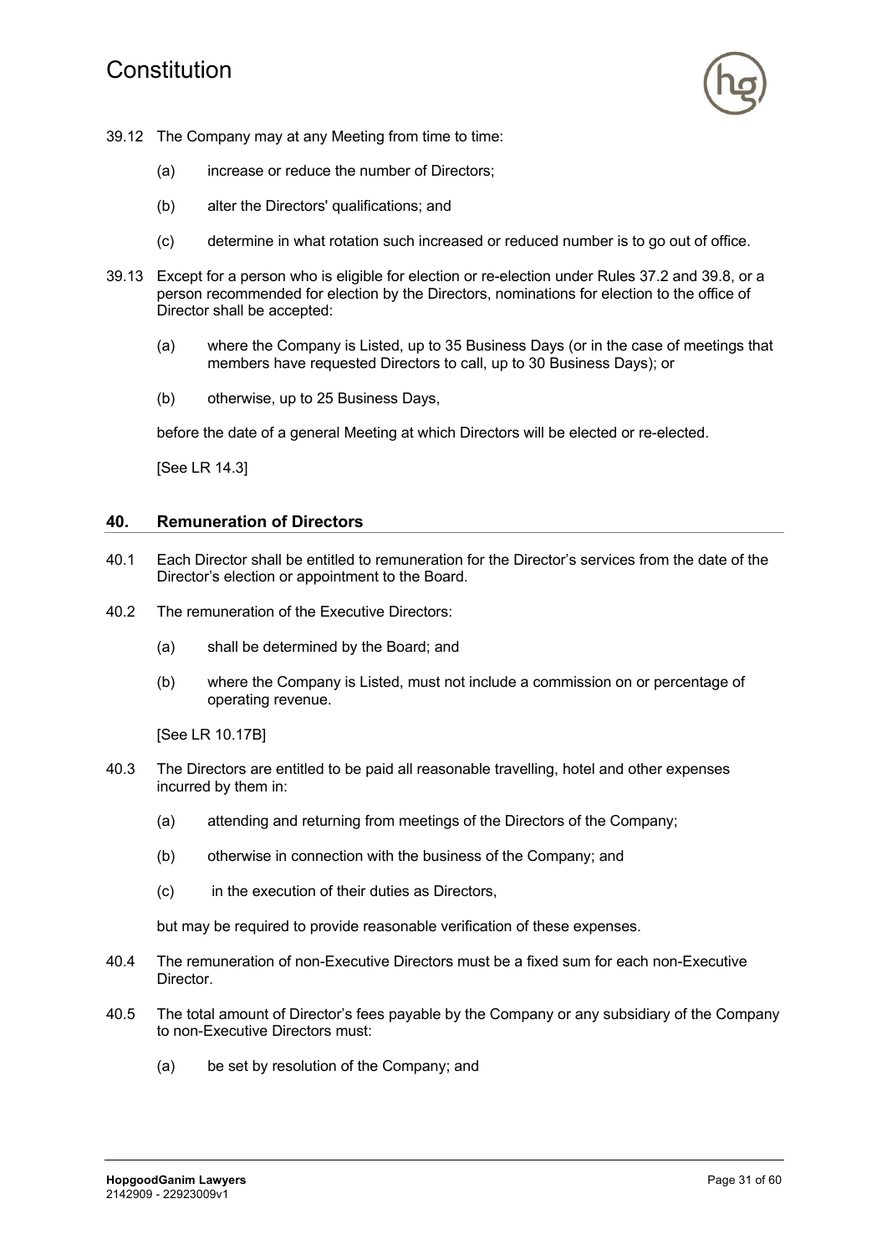# Constitution



- 39.12 The Company may at any Meeting from time to time:
	- (a) increase or reduce the number of Directors;
	- (b) alter the Directors' qualifications; and
	- (c) determine in what rotation such increased or reduced number is to go out of office.
- 39.13 Except for a person who is eligible for election or re-election under Rules 37.2 and 39.8, or a person recommended for election by the Directors, nominations for election to the office of Director shall be accepted:
	- (a) where the Company is Listed, up to 35 Business Days (or in the case of meetings that members have requested Directors to call, up to 30 Business Days); or
	- (b) otherwise, up to 25 Business Days,

before the date of a general Meeting at which Directors will be elected or re-elected.

[See LR 14.3]

#### **40. Remuneration of Directors**

- 40.1 Each Director shall be entitled to remuneration for the Director's services from the date of the Director's election or appointment to the Board.
- 40.2 The remuneration of the Executive Directors:
	- (a) shall be determined by the Board; and
	- (b) where the Company is Listed, must not include a commission on or percentage of operating revenue.

[See LR 10.17B]

- 40.3 The Directors are entitled to be paid all reasonable travelling, hotel and other expenses incurred by them in:
	- (a) attending and returning from meetings of the Directors of the Company;
	- (b) otherwise in connection with the business of the Company; and
	- (c) in the execution of their duties as Directors,

but may be required to provide reasonable verification of these expenses.

- 40.4 The remuneration of non-Executive Directors must be a fixed sum for each non-Executive Director.
- 40.5 The total amount of Director's fees payable by the Company or any subsidiary of the Company to non-Executive Directors must:
	- (a) be set by resolution of the Company; and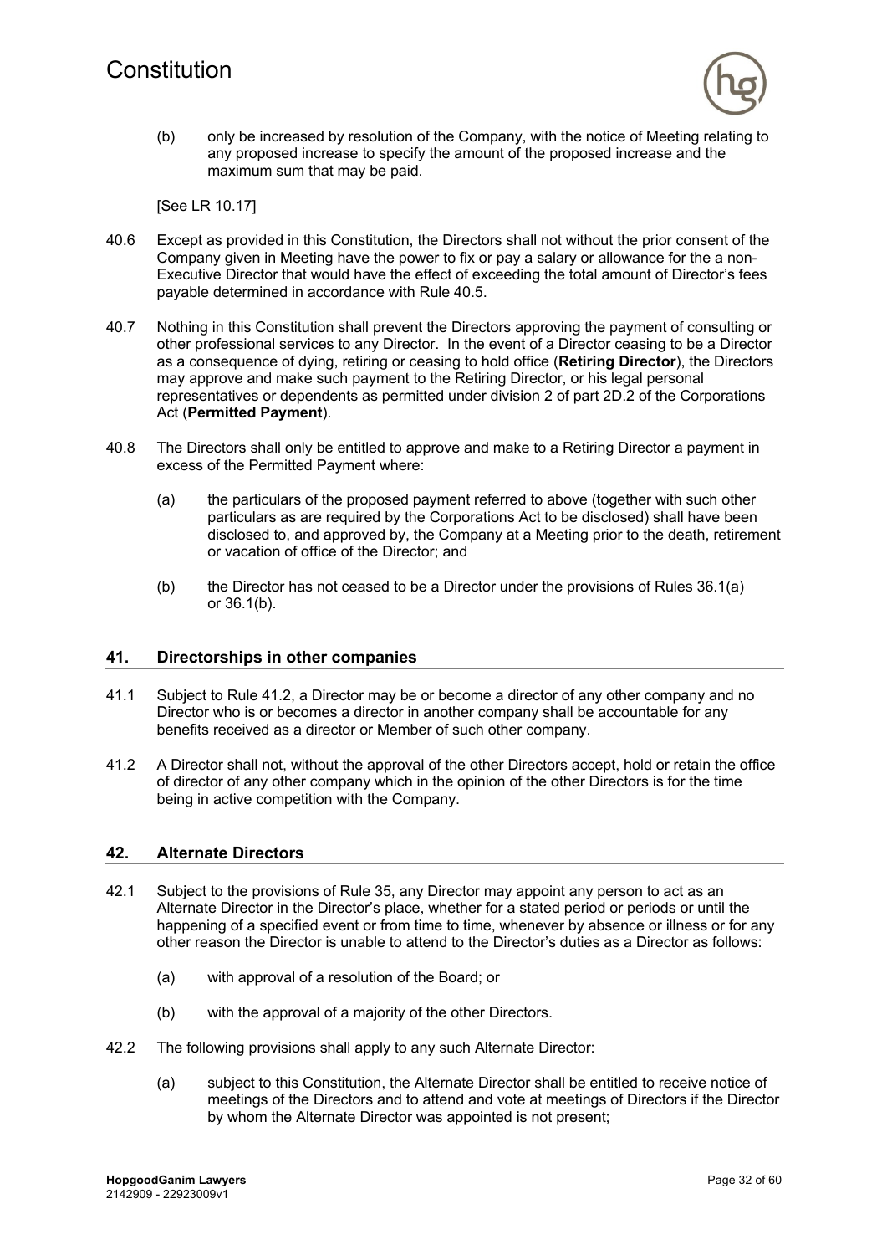

(b) only be increased by resolution of the Company, with the notice of Meeting relating to any proposed increase to specify the amount of the proposed increase and the maximum sum that may be paid.

[See LR 10.17]

- 40.6 Except as provided in this Constitution, the Directors shall not without the prior consent of the Company given in Meeting have the power to fix or pay a salary or allowance for the a non-Executive Director that would have the effect of exceeding the total amount of Director's fees payable determined in accordance with Rule 40.5.
- 40.7 Nothing in this Constitution shall prevent the Directors approving the payment of consulting or other professional services to any Director. In the event of a Director ceasing to be a Director as a consequence of dying, retiring or ceasing to hold office (**Retiring Director**), the Directors may approve and make such payment to the Retiring Director, or his legal personal representatives or dependents as permitted under division 2 of part 2D.2 of the Corporations Act (**Permitted Payment**).
- 40.8 The Directors shall only be entitled to approve and make to a Retiring Director a payment in excess of the Permitted Payment where:
	- (a) the particulars of the proposed payment referred to above (together with such other particulars as are required by the Corporations Act to be disclosed) shall have been disclosed to, and approved by, the Company at a Meeting prior to the death, retirement or vacation of office of the Director; and
	- (b) the Director has not ceased to be a Director under the provisions of Rules 36.1(a) or 36.1(b).

#### **41. Directorships in other companies**

- 41.1 Subject to Rule 41.2, a Director may be or become a director of any other company and no Director who is or becomes a director in another company shall be accountable for any benefits received as a director or Member of such other company.
- 41.2 A Director shall not, without the approval of the other Directors accept, hold or retain the office of director of any other company which in the opinion of the other Directors is for the time being in active competition with the Company.

#### **42. Alternate Directors**

- 42.1 Subject to the provisions of Rule 35, any Director may appoint any person to act as an Alternate Director in the Director's place, whether for a stated period or periods or until the happening of a specified event or from time to time, whenever by absence or illness or for any other reason the Director is unable to attend to the Director's duties as a Director as follows:
	- (a) with approval of a resolution of the Board; or
	- (b) with the approval of a majority of the other Directors.
- 42.2 The following provisions shall apply to any such Alternate Director:
	- (a) subject to this Constitution, the Alternate Director shall be entitled to receive notice of meetings of the Directors and to attend and vote at meetings of Directors if the Director by whom the Alternate Director was appointed is not present;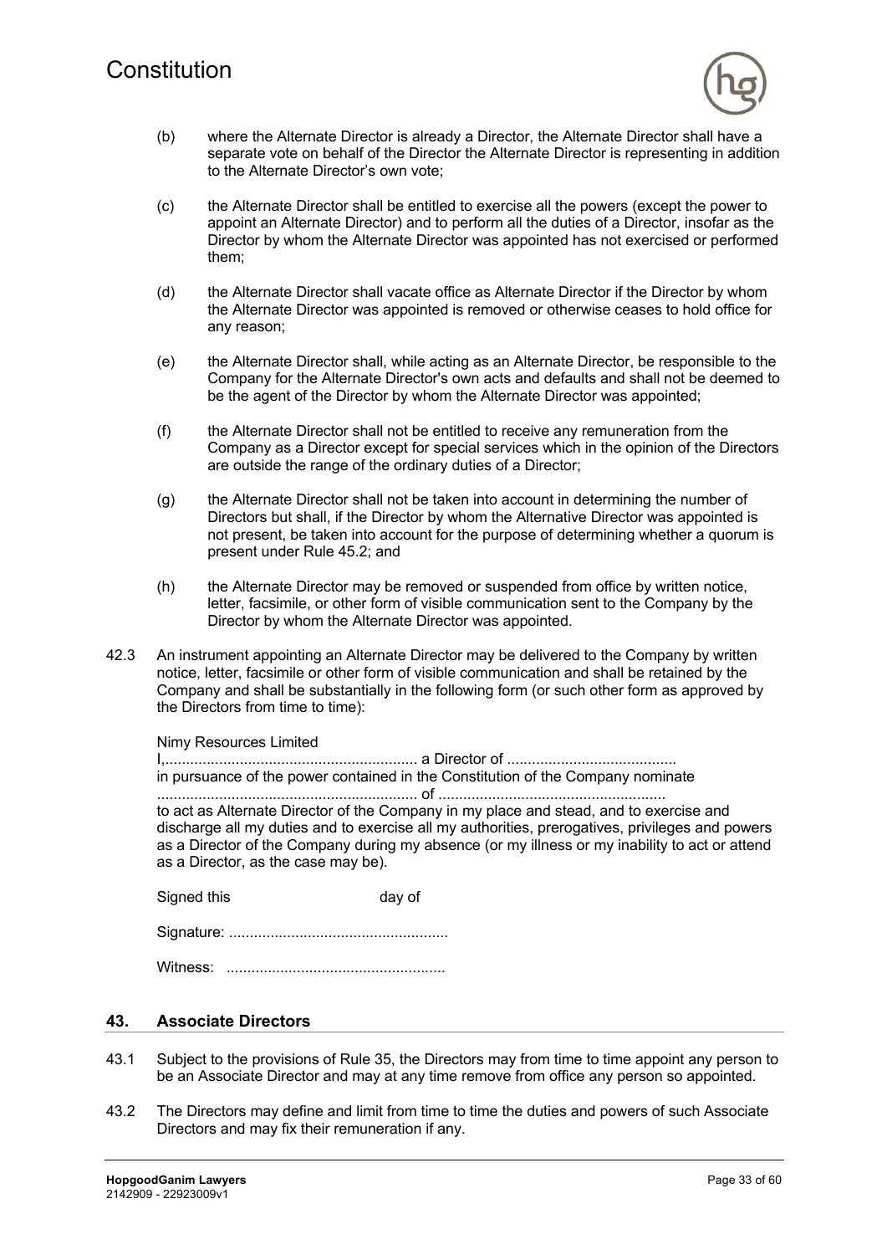

- (b) where the Alternate Director is already a Director, the Alternate Director shall have a separate vote on behalf of the Director the Alternate Director is representing in addition to the Alternate Director's own vote;
- (c) the Alternate Director shall be entitled to exercise all the powers (except the power to appoint an Alternate Director) and to perform all the duties of a Director, insofar as the Director by whom the Alternate Director was appointed has not exercised or performed them;
- (d) the Alternate Director shall vacate office as Alternate Director if the Director by whom the Alternate Director was appointed is removed or otherwise ceases to hold office for any reason;
- (e) the Alternate Director shall, while acting as an Alternate Director, be responsible to the Company for the Alternate Director's own acts and defaults and shall not be deemed to be the agent of the Director by whom the Alternate Director was appointed;
- (f) the Alternate Director shall not be entitled to receive any remuneration from the Company as a Director except for special services which in the opinion of the Directors are outside the range of the ordinary duties of a Director;
- (g) the Alternate Director shall not be taken into account in determining the number of Directors but shall, if the Director by whom the Alternative Director was appointed is not present, be taken into account for the purpose of determining whether a quorum is present under Rule 45.2; and
- (h) the Alternate Director may be removed or suspended from office by written notice, letter, facsimile, or other form of visible communication sent to the Company by the Director by whom the Alternate Director was appointed.
- 42.3 An instrument appointing an Alternate Director may be delivered to the Company by written notice, letter, facsimile or other form of visible communication and shall be retained by the Company and shall be substantially in the following form (or such other form as approved by the Directors from time to time):

Nimy Resources Limited

I,............................................................. a Director of ......................................... in pursuance of the power contained in the Constitution of the Company nominate ............................................................... of .......................................................

to act as Alternate Director of the Company in my place and stead, and to exercise and discharge all my duties and to exercise all my authorities, prerogatives, privileges and powers as a Director of the Company during my absence (or my illness or my inability to act or attend as a Director, as the case may be).

Signed this day of

Signature: .....................................................

Witness: .....................................................

# **43. Associate Directors**

- 43.1 Subject to the provisions of Rule 35, the Directors may from time to time appoint any person to be an Associate Director and may at any time remove from office any person so appointed.
- 43.2 The Directors may define and limit from time to time the duties and powers of such Associate Directors and may fix their remuneration if any.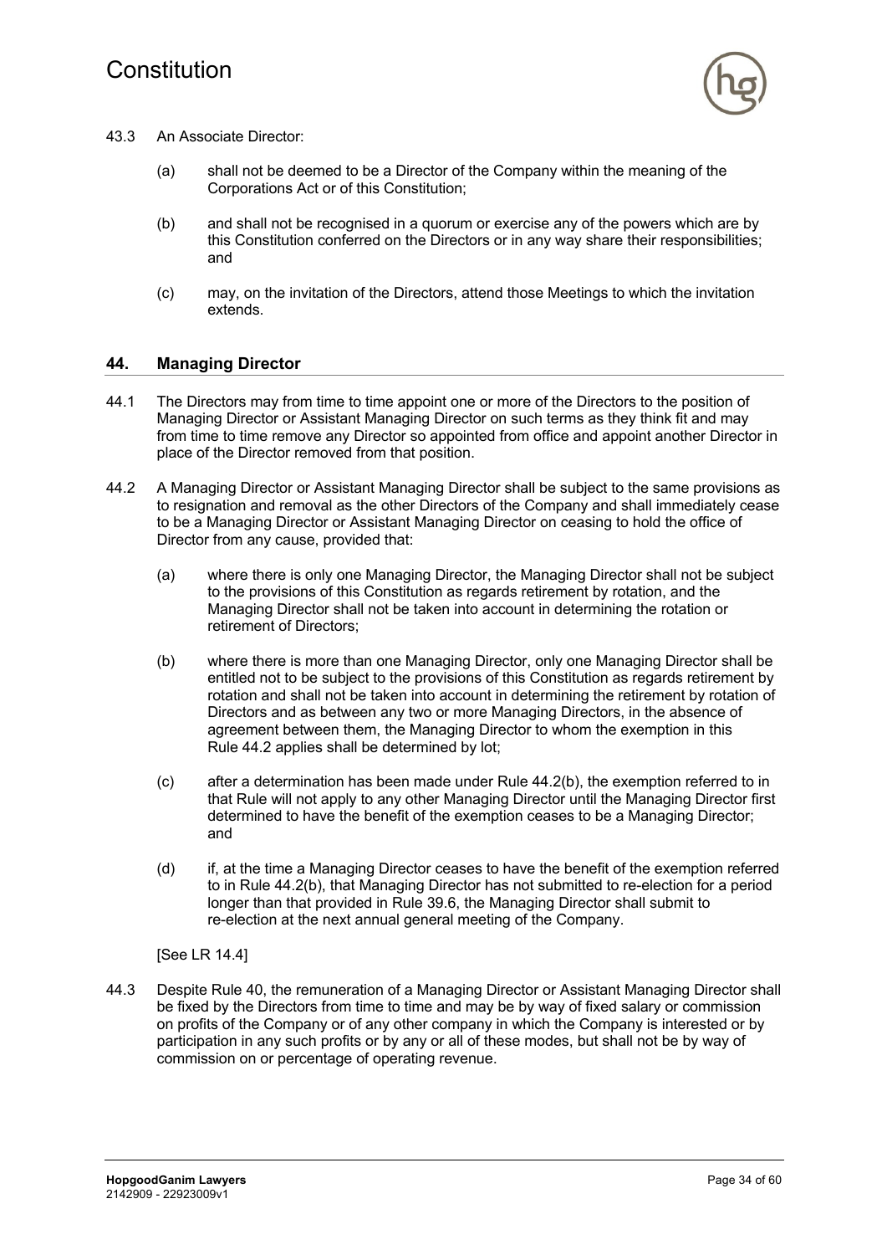

- 43.3 An Associate Director:
	- (a) shall not be deemed to be a Director of the Company within the meaning of the Corporations Act or of this Constitution;
	- (b) and shall not be recognised in a quorum or exercise any of the powers which are by this Constitution conferred on the Directors or in any way share their responsibilities; and
	- (c) may, on the invitation of the Directors, attend those Meetings to which the invitation extends.

### **44. Managing Director**

- 44.1 The Directors may from time to time appoint one or more of the Directors to the position of Managing Director or Assistant Managing Director on such terms as they think fit and may from time to time remove any Director so appointed from office and appoint another Director in place of the Director removed from that position.
- 44.2 A Managing Director or Assistant Managing Director shall be subject to the same provisions as to resignation and removal as the other Directors of the Company and shall immediately cease to be a Managing Director or Assistant Managing Director on ceasing to hold the office of Director from any cause, provided that:
	- (a) where there is only one Managing Director, the Managing Director shall not be subject to the provisions of this Constitution as regards retirement by rotation, and the Managing Director shall not be taken into account in determining the rotation or retirement of Directors;
	- (b) where there is more than one Managing Director, only one Managing Director shall be entitled not to be subject to the provisions of this Constitution as regards retirement by rotation and shall not be taken into account in determining the retirement by rotation of Directors and as between any two or more Managing Directors, in the absence of agreement between them, the Managing Director to whom the exemption in this Rule 44.2 applies shall be determined by lot;
	- (c) after a determination has been made under Rule 44.2(b), the exemption referred to in that Rule will not apply to any other Managing Director until the Managing Director first determined to have the benefit of the exemption ceases to be a Managing Director; and
	- (d) if, at the time a Managing Director ceases to have the benefit of the exemption referred to in Rule 44.2(b), that Managing Director has not submitted to re-election for a period longer than that provided in Rule 39.6, the Managing Director shall submit to re-election at the next annual general meeting of the Company.

[See LR 14.4]

44.3 Despite Rule 40, the remuneration of a Managing Director or Assistant Managing Director shall be fixed by the Directors from time to time and may be by way of fixed salary or commission on profits of the Company or of any other company in which the Company is interested or by participation in any such profits or by any or all of these modes, but shall not be by way of commission on or percentage of operating revenue.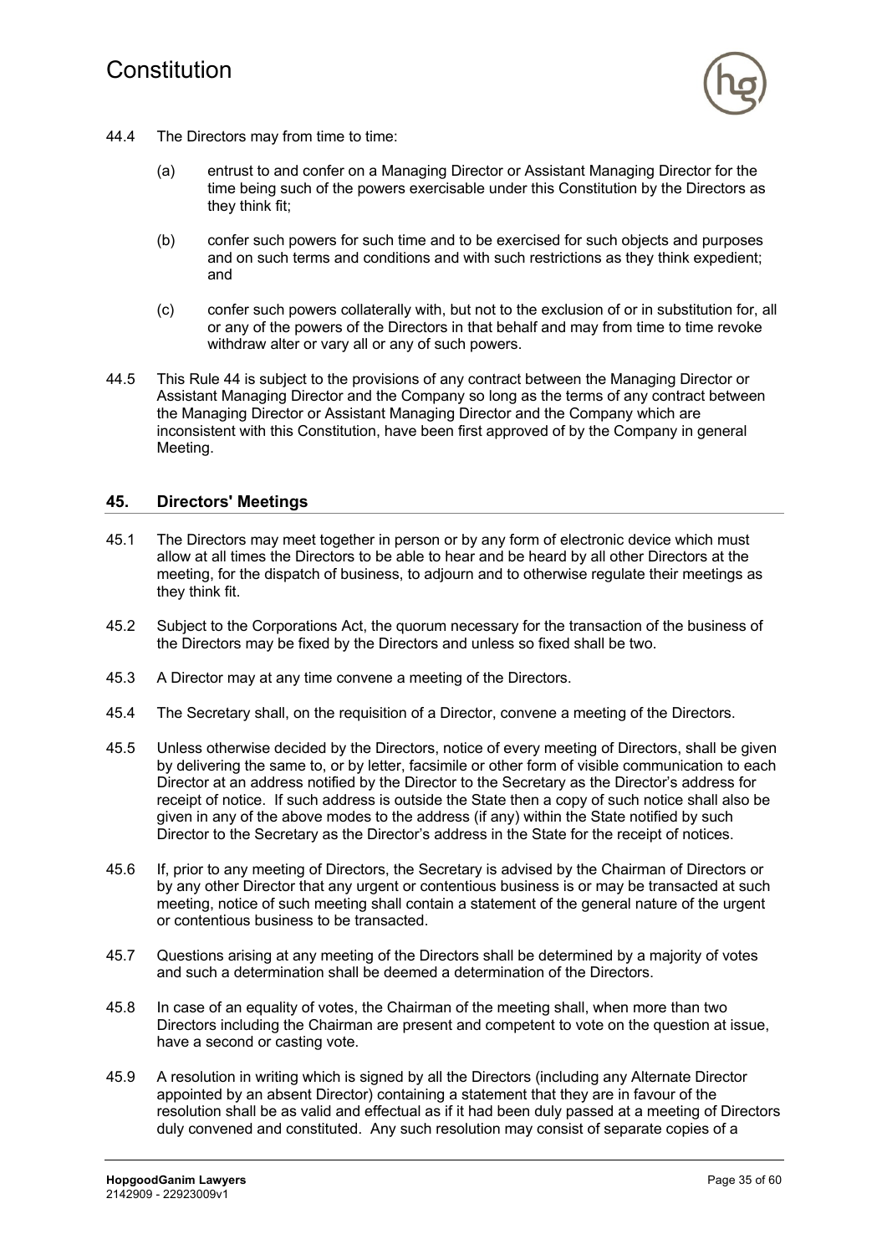

- 44.4 The Directors may from time to time:
	- (a) entrust to and confer on a Managing Director or Assistant Managing Director for the time being such of the powers exercisable under this Constitution by the Directors as they think fit;
	- (b) confer such powers for such time and to be exercised for such objects and purposes and on such terms and conditions and with such restrictions as they think expedient; and
	- (c) confer such powers collaterally with, but not to the exclusion of or in substitution for, all or any of the powers of the Directors in that behalf and may from time to time revoke withdraw alter or vary all or any of such powers.
- 44.5 This Rule 44 is subject to the provisions of any contract between the Managing Director or Assistant Managing Director and the Company so long as the terms of any contract between the Managing Director or Assistant Managing Director and the Company which are inconsistent with this Constitution, have been first approved of by the Company in general Meeting.

#### **45. Directors' Meetings**

- 45.1 The Directors may meet together in person or by any form of electronic device which must allow at all times the Directors to be able to hear and be heard by all other Directors at the meeting, for the dispatch of business, to adjourn and to otherwise regulate their meetings as they think fit.
- 45.2 Subject to the Corporations Act, the quorum necessary for the transaction of the business of the Directors may be fixed by the Directors and unless so fixed shall be two.
- 45.3 A Director may at any time convene a meeting of the Directors.
- 45.4 The Secretary shall, on the requisition of a Director, convene a meeting of the Directors.
- 45.5 Unless otherwise decided by the Directors, notice of every meeting of Directors, shall be given by delivering the same to, or by letter, facsimile or other form of visible communication to each Director at an address notified by the Director to the Secretary as the Director's address for receipt of notice. If such address is outside the State then a copy of such notice shall also be given in any of the above modes to the address (if any) within the State notified by such Director to the Secretary as the Director's address in the State for the receipt of notices.
- 45.6 If, prior to any meeting of Directors, the Secretary is advised by the Chairman of Directors or by any other Director that any urgent or contentious business is or may be transacted at such meeting, notice of such meeting shall contain a statement of the general nature of the urgent or contentious business to be transacted.
- 45.7 Questions arising at any meeting of the Directors shall be determined by a majority of votes and such a determination shall be deemed a determination of the Directors.
- 45.8 In case of an equality of votes, the Chairman of the meeting shall, when more than two Directors including the Chairman are present and competent to vote on the question at issue, have a second or casting vote.
- 45.9 A resolution in writing which is signed by all the Directors (including any Alternate Director appointed by an absent Director) containing a statement that they are in favour of the resolution shall be as valid and effectual as if it had been duly passed at a meeting of Directors duly convened and constituted. Any such resolution may consist of separate copies of a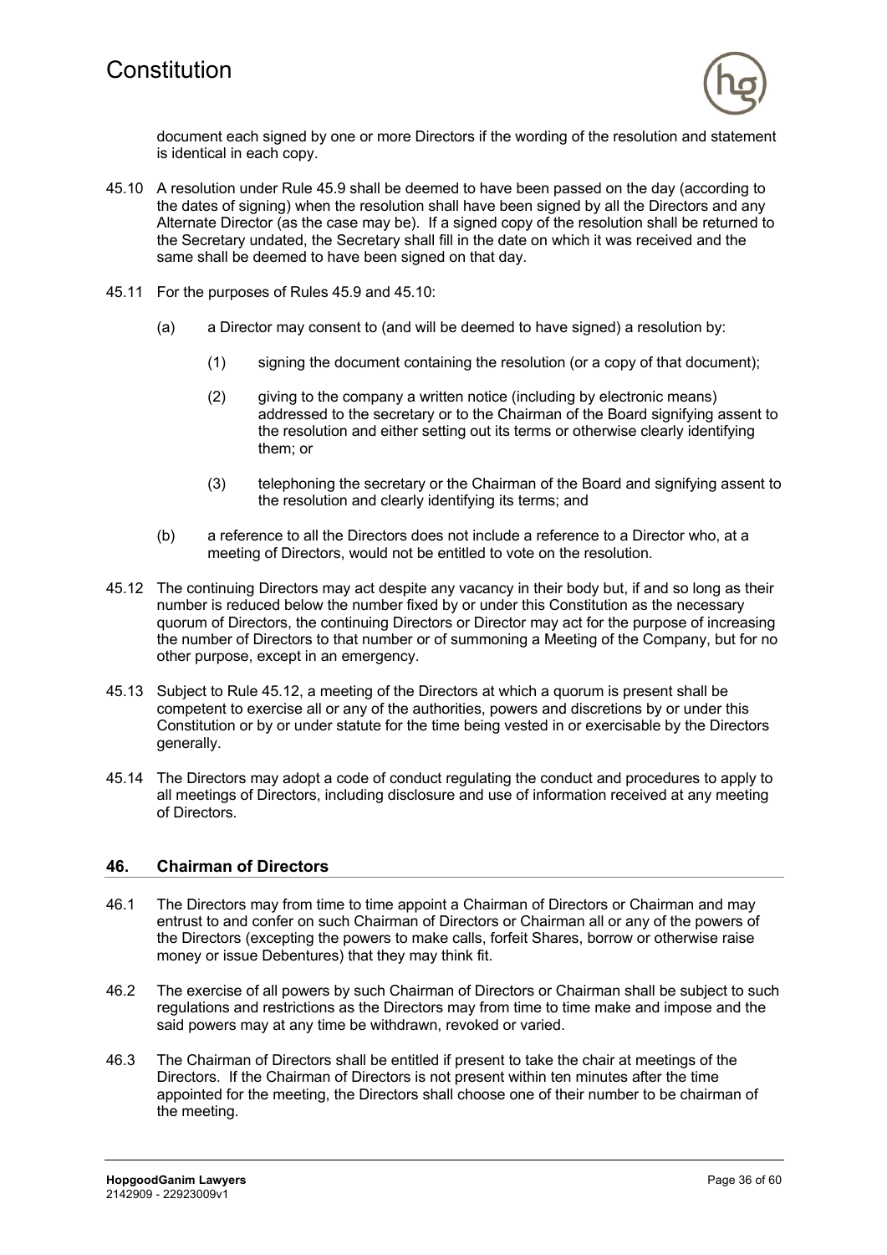

document each signed by one or more Directors if the wording of the resolution and statement is identical in each copy.

- 45.10 A resolution under Rule 45.9 shall be deemed to have been passed on the day (according to the dates of signing) when the resolution shall have been signed by all the Directors and any Alternate Director (as the case may be). If a signed copy of the resolution shall be returned to the Secretary undated, the Secretary shall fill in the date on which it was received and the same shall be deemed to have been signed on that day.
- 45.11 For the purposes of Rules 45.9 and 45.10:
	- (a) a Director may consent to (and will be deemed to have signed) a resolution by:
		- (1) signing the document containing the resolution (or a copy of that document);
		- (2) giving to the company a written notice (including by electronic means) addressed to the secretary or to the Chairman of the Board signifying assent to the resolution and either setting out its terms or otherwise clearly identifying them; or
		- (3) telephoning the secretary or the Chairman of the Board and signifying assent to the resolution and clearly identifying its terms; and
	- (b) a reference to all the Directors does not include a reference to a Director who, at a meeting of Directors, would not be entitled to vote on the resolution.
- 45.12 The continuing Directors may act despite any vacancy in their body but, if and so long as their number is reduced below the number fixed by or under this Constitution as the necessary quorum of Directors, the continuing Directors or Director may act for the purpose of increasing the number of Directors to that number or of summoning a Meeting of the Company, but for no other purpose, except in an emergency.
- 45.13 Subject to Rule 45.12, a meeting of the Directors at which a quorum is present shall be competent to exercise all or any of the authorities, powers and discretions by or under this Constitution or by or under statute for the time being vested in or exercisable by the Directors generally.
- 45.14 The Directors may adopt a code of conduct regulating the conduct and procedures to apply to all meetings of Directors, including disclosure and use of information received at any meeting of Directors.

#### **46. Chairman of Directors**

- 46.1 The Directors may from time to time appoint a Chairman of Directors or Chairman and may entrust to and confer on such Chairman of Directors or Chairman all or any of the powers of the Directors (excepting the powers to make calls, forfeit Shares, borrow or otherwise raise money or issue Debentures) that they may think fit.
- 46.2 The exercise of all powers by such Chairman of Directors or Chairman shall be subject to such regulations and restrictions as the Directors may from time to time make and impose and the said powers may at any time be withdrawn, revoked or varied.
- 46.3 The Chairman of Directors shall be entitled if present to take the chair at meetings of the Directors. If the Chairman of Directors is not present within ten minutes after the time appointed for the meeting, the Directors shall choose one of their number to be chairman of the meeting.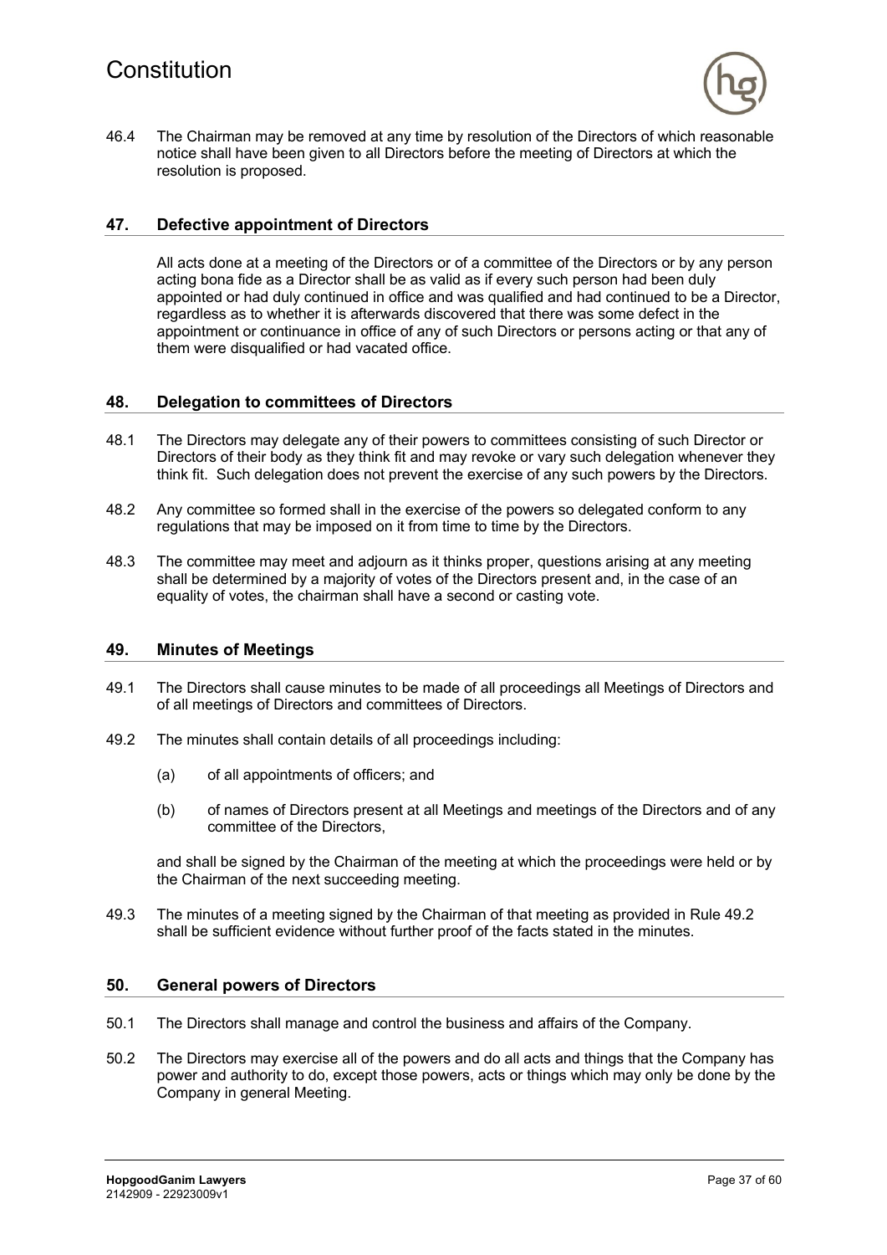

46.4 The Chairman may be removed at any time by resolution of the Directors of which reasonable notice shall have been given to all Directors before the meeting of Directors at which the resolution is proposed.

#### **47. Defective appointment of Directors**

All acts done at a meeting of the Directors or of a committee of the Directors or by any person acting bona fide as a Director shall be as valid as if every such person had been duly appointed or had duly continued in office and was qualified and had continued to be a Director, regardless as to whether it is afterwards discovered that there was some defect in the appointment or continuance in office of any of such Directors or persons acting or that any of them were disqualified or had vacated office.

#### **48. Delegation to committees of Directors**

- 48.1 The Directors may delegate any of their powers to committees consisting of such Director or Directors of their body as they think fit and may revoke or vary such delegation whenever they think fit. Such delegation does not prevent the exercise of any such powers by the Directors.
- 48.2 Any committee so formed shall in the exercise of the powers so delegated conform to any regulations that may be imposed on it from time to time by the Directors.
- 48.3 The committee may meet and adjourn as it thinks proper, questions arising at any meeting shall be determined by a majority of votes of the Directors present and, in the case of an equality of votes, the chairman shall have a second or casting vote.

#### **49. Minutes of Meetings**

- 49.1 The Directors shall cause minutes to be made of all proceedings all Meetings of Directors and of all meetings of Directors and committees of Directors.
- 49.2 The minutes shall contain details of all proceedings including:
	- (a) of all appointments of officers; and
	- (b) of names of Directors present at all Meetings and meetings of the Directors and of any committee of the Directors,

and shall be signed by the Chairman of the meeting at which the proceedings were held or by the Chairman of the next succeeding meeting.

49.3 The minutes of a meeting signed by the Chairman of that meeting as provided in Rule 49.2 shall be sufficient evidence without further proof of the facts stated in the minutes.

#### **50. General powers of Directors**

- 50.1 The Directors shall manage and control the business and affairs of the Company.
- 50.2 The Directors may exercise all of the powers and do all acts and things that the Company has power and authority to do, except those powers, acts or things which may only be done by the Company in general Meeting.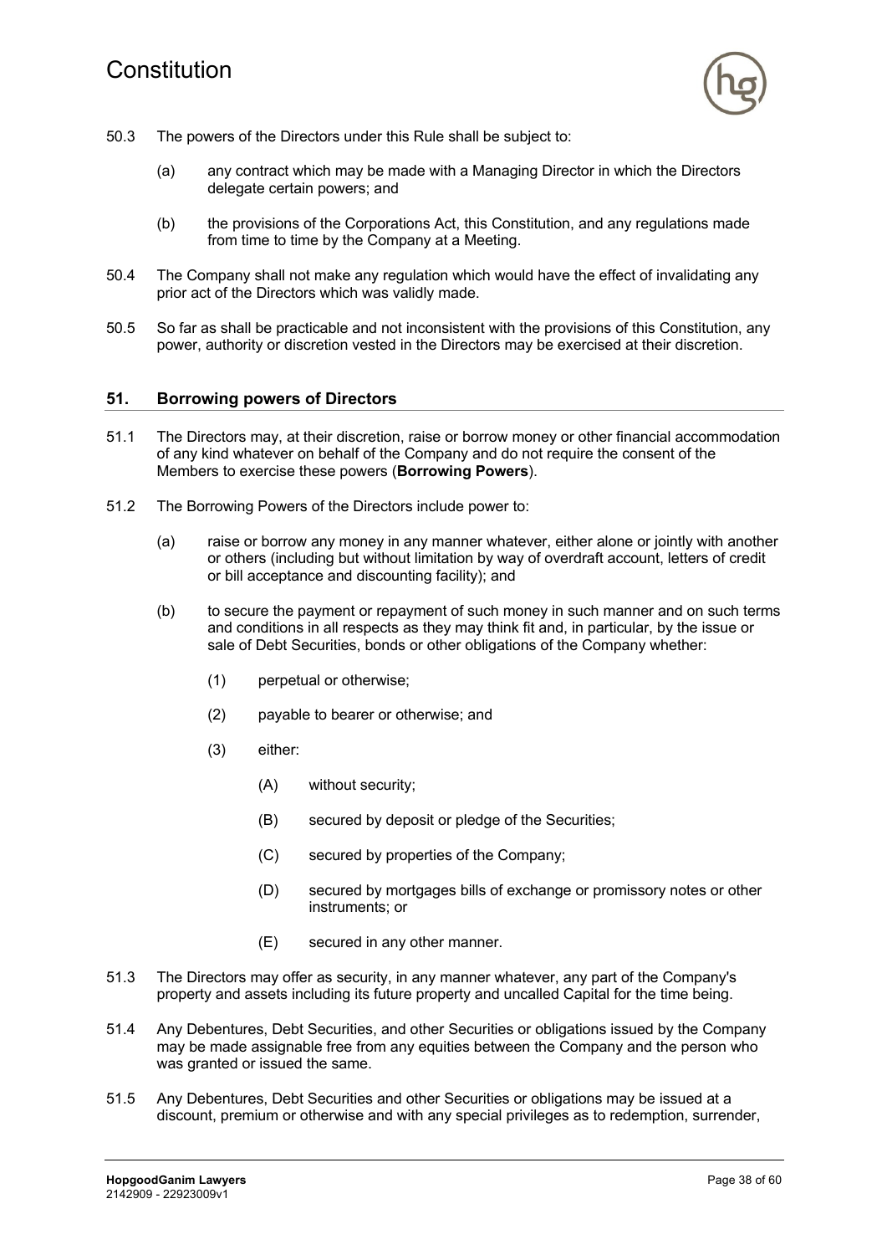

- 50.3 The powers of the Directors under this Rule shall be subject to:
	- (a) any contract which may be made with a Managing Director in which the Directors delegate certain powers; and
	- (b) the provisions of the Corporations Act, this Constitution, and any regulations made from time to time by the Company at a Meeting.
- 50.4 The Company shall not make any regulation which would have the effect of invalidating any prior act of the Directors which was validly made.
- 50.5 So far as shall be practicable and not inconsistent with the provisions of this Constitution, any power, authority or discretion vested in the Directors may be exercised at their discretion.

#### **51. Borrowing powers of Directors**

- 51.1 The Directors may, at their discretion, raise or borrow money or other financial accommodation of any kind whatever on behalf of the Company and do not require the consent of the Members to exercise these powers (**Borrowing Powers**).
- 51.2 The Borrowing Powers of the Directors include power to:
	- (a) raise or borrow any money in any manner whatever, either alone or jointly with another or others (including but without limitation by way of overdraft account, letters of credit or bill acceptance and discounting facility); and
	- (b) to secure the payment or repayment of such money in such manner and on such terms and conditions in all respects as they may think fit and, in particular, by the issue or sale of Debt Securities, bonds or other obligations of the Company whether:
		- (1) perpetual or otherwise;
		- (2) payable to bearer or otherwise; and
		- (3) either:
			- (A) without security;
			- (B) secured by deposit or pledge of the Securities;
			- (C) secured by properties of the Company;
			- (D) secured by mortgages bills of exchange or promissory notes or other instruments; or
			- (E) secured in any other manner.
- 51.3 The Directors may offer as security, in any manner whatever, any part of the Company's property and assets including its future property and uncalled Capital for the time being.
- 51.4 Any Debentures, Debt Securities, and other Securities or obligations issued by the Company may be made assignable free from any equities between the Company and the person who was granted or issued the same.
- 51.5 Any Debentures, Debt Securities and other Securities or obligations may be issued at a discount, premium or otherwise and with any special privileges as to redemption, surrender,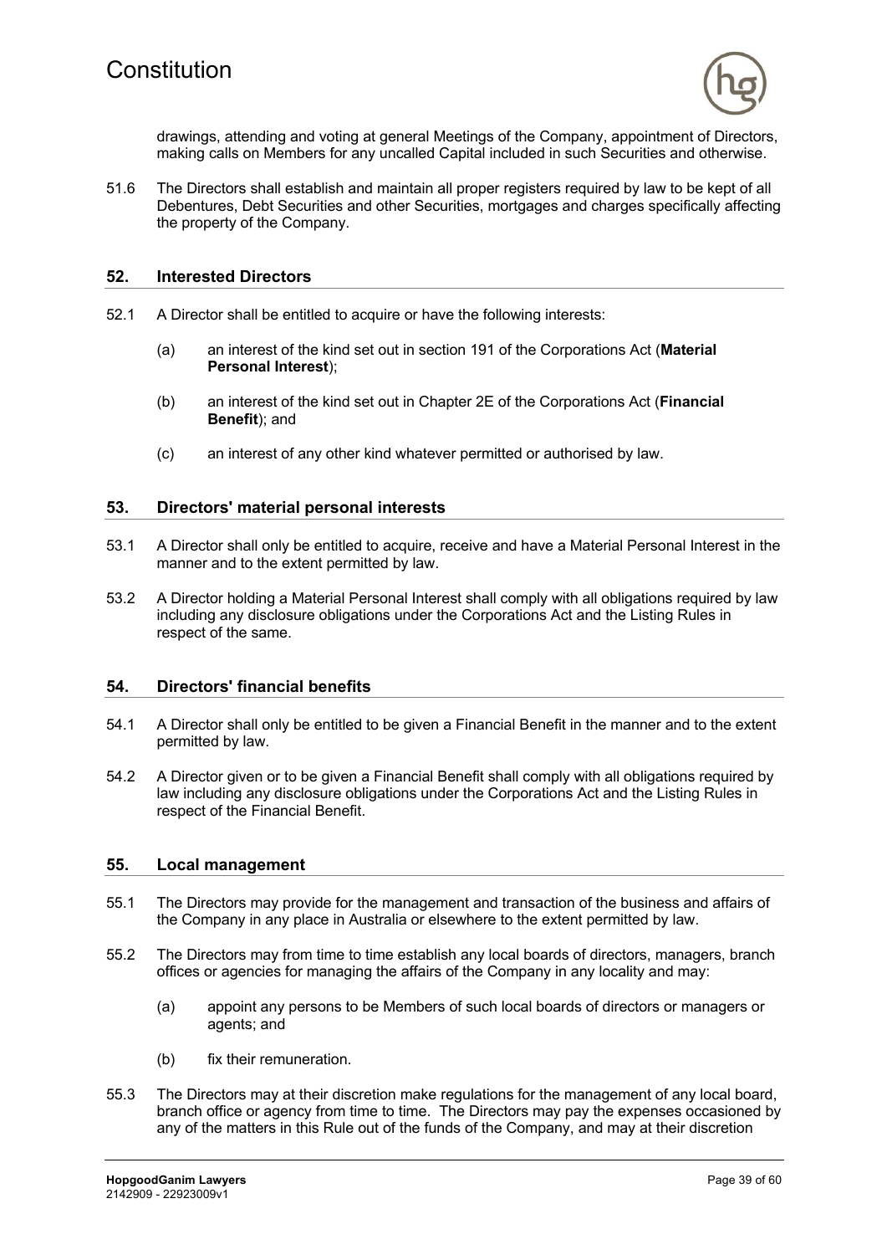

drawings, attending and voting at general Meetings of the Company, appointment of Directors, making calls on Members for any uncalled Capital included in such Securities and otherwise.

51.6 The Directors shall establish and maintain all proper registers required by law to be kept of all Debentures, Debt Securities and other Securities, mortgages and charges specifically affecting the property of the Company.

#### **52. Interested Directors**

- 52.1 A Director shall be entitled to acquire or have the following interests:
	- (a) an interest of the kind set out in section 191 of the Corporations Act (**Material Personal Interest**);
	- (b) an interest of the kind set out in Chapter 2E of the Corporations Act (**Financial Benefit**); and
	- (c) an interest of any other kind whatever permitted or authorised by law.

#### **53. Directors' material personal interests**

- 53.1 A Director shall only be entitled to acquire, receive and have a Material Personal Interest in the manner and to the extent permitted by law.
- 53.2 A Director holding a Material Personal Interest shall comply with all obligations required by law including any disclosure obligations under the Corporations Act and the Listing Rules in respect of the same.

#### **54. Directors' financial benefits**

- 54.1 A Director shall only be entitled to be given a Financial Benefit in the manner and to the extent permitted by law.
- 54.2 A Director given or to be given a Financial Benefit shall comply with all obligations required by law including any disclosure obligations under the Corporations Act and the Listing Rules in respect of the Financial Benefit.

#### **55. Local management**

- 55.1 The Directors may provide for the management and transaction of the business and affairs of the Company in any place in Australia or elsewhere to the extent permitted by law.
- 55.2 The Directors may from time to time establish any local boards of directors, managers, branch offices or agencies for managing the affairs of the Company in any locality and may:
	- (a) appoint any persons to be Members of such local boards of directors or managers or agents; and
	- (b) fix their remuneration.
- 55.3 The Directors may at their discretion make regulations for the management of any local board, branch office or agency from time to time. The Directors may pay the expenses occasioned by any of the matters in this Rule out of the funds of the Company, and may at their discretion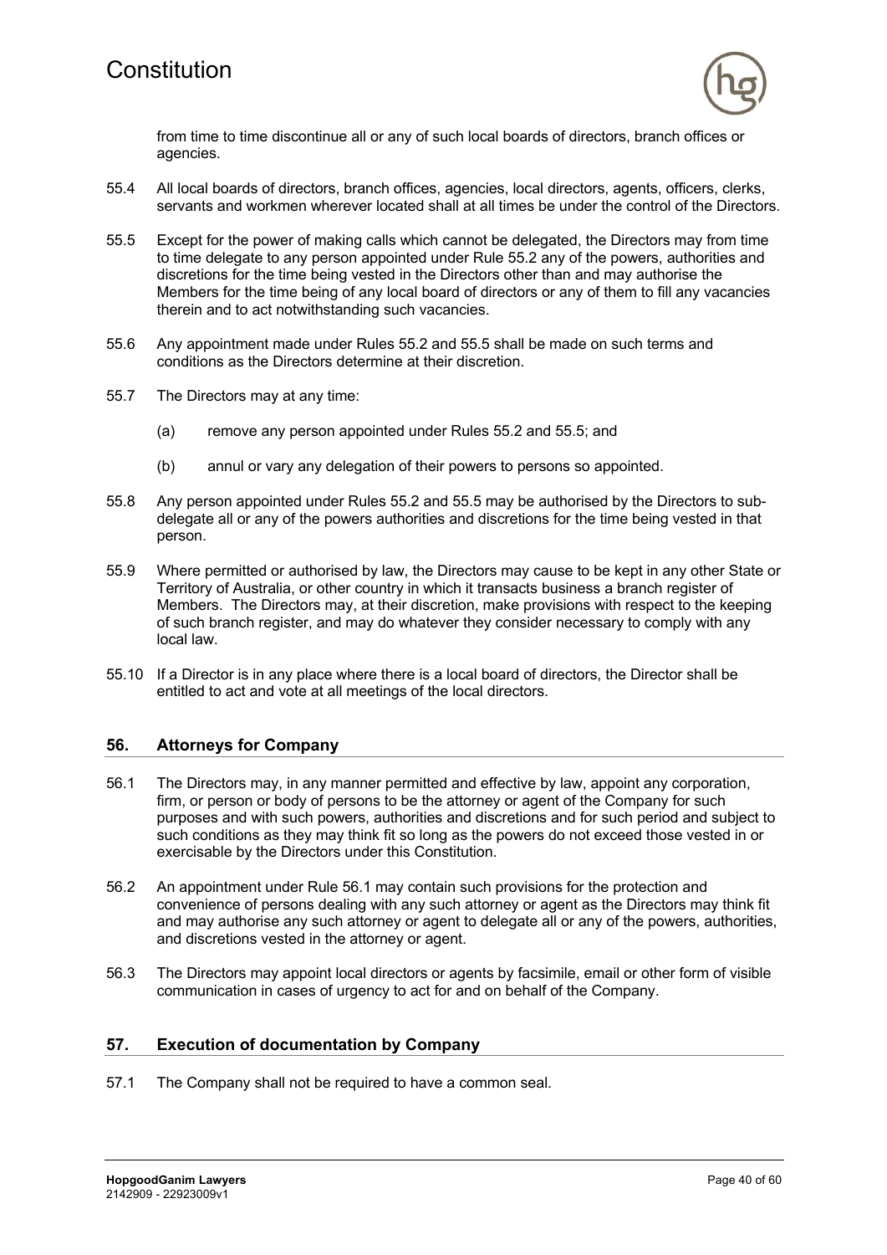

from time to time discontinue all or any of such local boards of directors, branch offices or agencies.

- 55.4 All local boards of directors, branch offices, agencies, local directors, agents, officers, clerks, servants and workmen wherever located shall at all times be under the control of the Directors.
- 55.5 Except for the power of making calls which cannot be delegated, the Directors may from time to time delegate to any person appointed under Rule 55.2 any of the powers, authorities and discretions for the time being vested in the Directors other than and may authorise the Members for the time being of any local board of directors or any of them to fill any vacancies therein and to act notwithstanding such vacancies.
- 55.6 Any appointment made under Rules 55.2 and 55.5 shall be made on such terms and conditions as the Directors determine at their discretion.
- 55.7 The Directors may at any time:
	- (a) remove any person appointed under Rules 55.2 and 55.5; and
	- (b) annul or vary any delegation of their powers to persons so appointed.
- 55.8 Any person appointed under Rules 55.2 and 55.5 may be authorised by the Directors to subdelegate all or any of the powers authorities and discretions for the time being vested in that person.
- 55.9 Where permitted or authorised by law, the Directors may cause to be kept in any other State or Territory of Australia, or other country in which it transacts business a branch register of Members. The Directors may, at their discretion, make provisions with respect to the keeping of such branch register, and may do whatever they consider necessary to comply with any local law.
- 55.10 If a Director is in any place where there is a local board of directors, the Director shall be entitled to act and vote at all meetings of the local directors.

#### **56. Attorneys for Company**

- 56.1 The Directors may, in any manner permitted and effective by law, appoint any corporation, firm, or person or body of persons to be the attorney or agent of the Company for such purposes and with such powers, authorities and discretions and for such period and subject to such conditions as they may think fit so long as the powers do not exceed those vested in or exercisable by the Directors under this Constitution.
- 56.2 An appointment under Rule 56.1 may contain such provisions for the protection and convenience of persons dealing with any such attorney or agent as the Directors may think fit and may authorise any such attorney or agent to delegate all or any of the powers, authorities, and discretions vested in the attorney or agent.
- 56.3 The Directors may appoint local directors or agents by facsimile, email or other form of visible communication in cases of urgency to act for and on behalf of the Company.

#### **57. Execution of documentation by Company**

57.1 The Company shall not be required to have a common seal.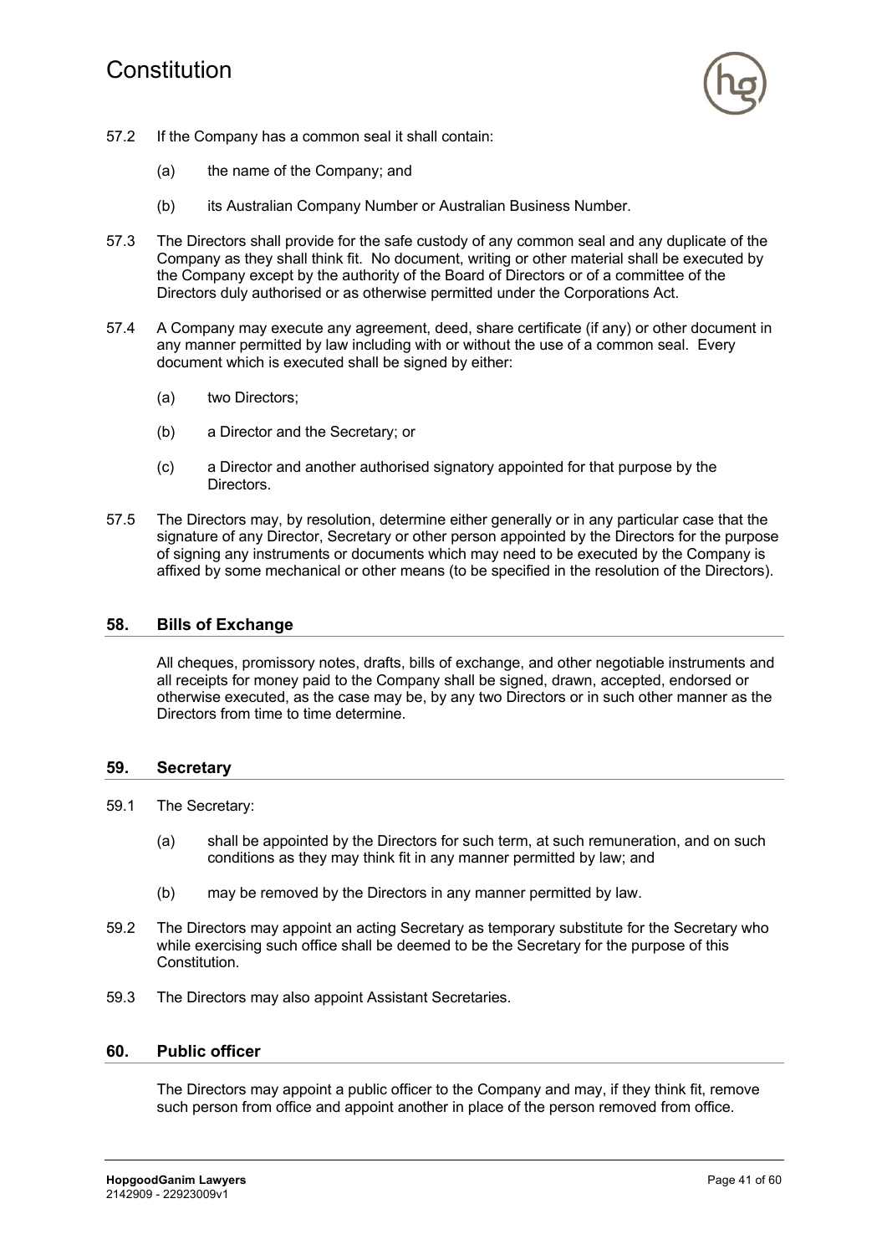# Constitution



- 57.2 If the Company has a common seal it shall contain:
	- (a) the name of the Company; and
	- (b) its Australian Company Number or Australian Business Number.
- 57.3 The Directors shall provide for the safe custody of any common seal and any duplicate of the Company as they shall think fit. No document, writing or other material shall be executed by the Company except by the authority of the Board of Directors or of a committee of the Directors duly authorised or as otherwise permitted under the Corporations Act.
- 57.4 A Company may execute any agreement, deed, share certificate (if any) or other document in any manner permitted by law including with or without the use of a common seal. Every document which is executed shall be signed by either:
	- (a) two Directors;
	- (b) a Director and the Secretary; or
	- (c) a Director and another authorised signatory appointed for that purpose by the Directors.
- 57.5 The Directors may, by resolution, determine either generally or in any particular case that the signature of any Director, Secretary or other person appointed by the Directors for the purpose of signing any instruments or documents which may need to be executed by the Company is affixed by some mechanical or other means (to be specified in the resolution of the Directors).

#### **58. Bills of Exchange**

All cheques, promissory notes, drafts, bills of exchange, and other negotiable instruments and all receipts for money paid to the Company shall be signed, drawn, accepted, endorsed or otherwise executed, as the case may be, by any two Directors or in such other manner as the Directors from time to time determine.

#### **59. Secretary**

- 59.1 The Secretary:
	- (a) shall be appointed by the Directors for such term, at such remuneration, and on such conditions as they may think fit in any manner permitted by law; and
	- (b) may be removed by the Directors in any manner permitted by law.
- 59.2 The Directors may appoint an acting Secretary as temporary substitute for the Secretary who while exercising such office shall be deemed to be the Secretary for the purpose of this Constitution.
- 59.3 The Directors may also appoint Assistant Secretaries.

#### **60. Public officer**

The Directors may appoint a public officer to the Company and may, if they think fit, remove such person from office and appoint another in place of the person removed from office.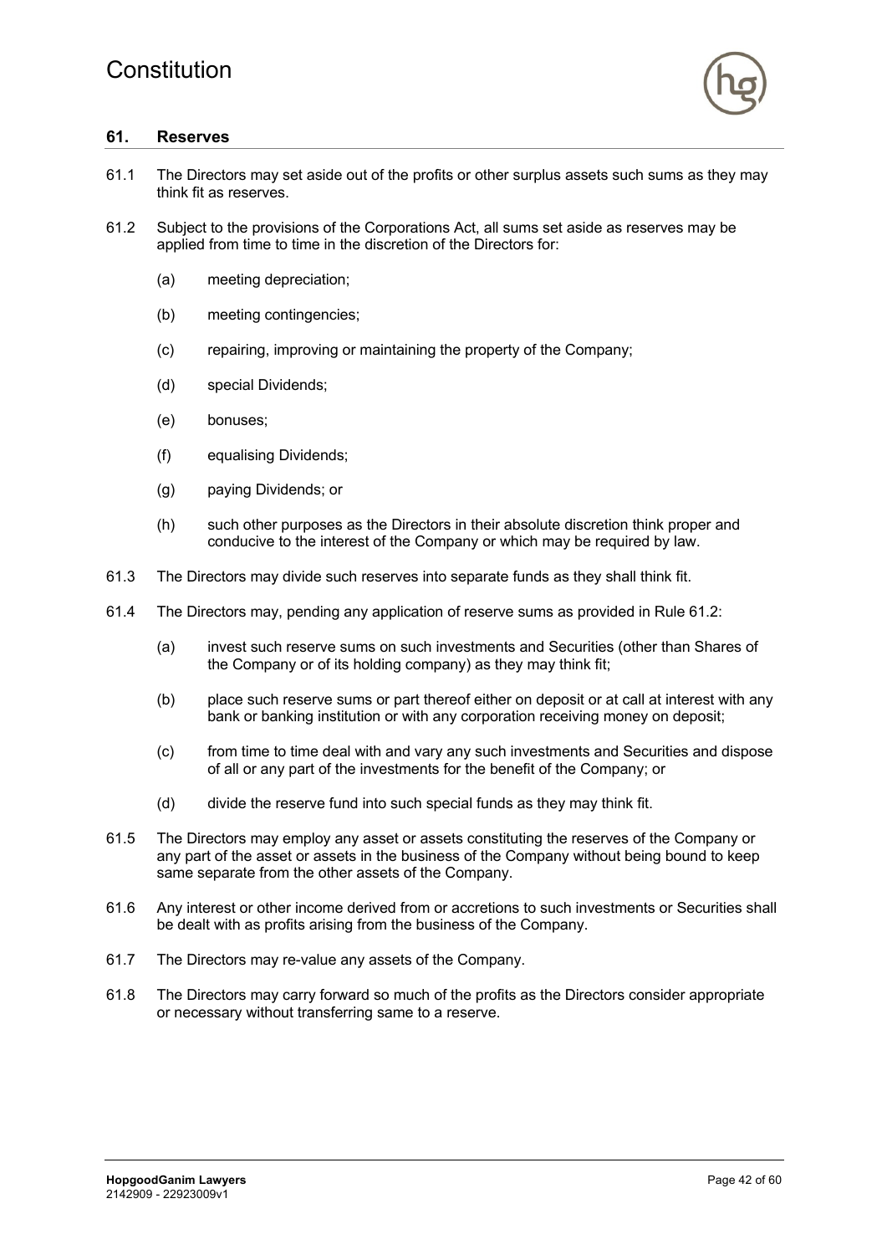

### **61. Reserves**

- 61.1 The Directors may set aside out of the profits or other surplus assets such sums as they may think fit as reserves.
- 61.2 Subject to the provisions of the Corporations Act, all sums set aside as reserves may be applied from time to time in the discretion of the Directors for:
	- (a) meeting depreciation;
	- (b) meeting contingencies;
	- (c) repairing, improving or maintaining the property of the Company;
	- (d) special Dividends;
	- (e) bonuses;
	- (f) equalising Dividends;
	- (g) paying Dividends; or
	- (h) such other purposes as the Directors in their absolute discretion think proper and conducive to the interest of the Company or which may be required by law.
- 61.3 The Directors may divide such reserves into separate funds as they shall think fit.
- 61.4 The Directors may, pending any application of reserve sums as provided in Rule 61.2:
	- (a) invest such reserve sums on such investments and Securities (other than Shares of the Company or of its holding company) as they may think fit;
	- (b) place such reserve sums or part thereof either on deposit or at call at interest with any bank or banking institution or with any corporation receiving money on deposit;
	- (c) from time to time deal with and vary any such investments and Securities and dispose of all or any part of the investments for the benefit of the Company; or
	- (d) divide the reserve fund into such special funds as they may think fit.
- 61.5 The Directors may employ any asset or assets constituting the reserves of the Company or any part of the asset or assets in the business of the Company without being bound to keep same separate from the other assets of the Company.
- 61.6 Any interest or other income derived from or accretions to such investments or Securities shall be dealt with as profits arising from the business of the Company.
- 61.7 The Directors may re-value any assets of the Company.
- 61.8 The Directors may carry forward so much of the profits as the Directors consider appropriate or necessary without transferring same to a reserve.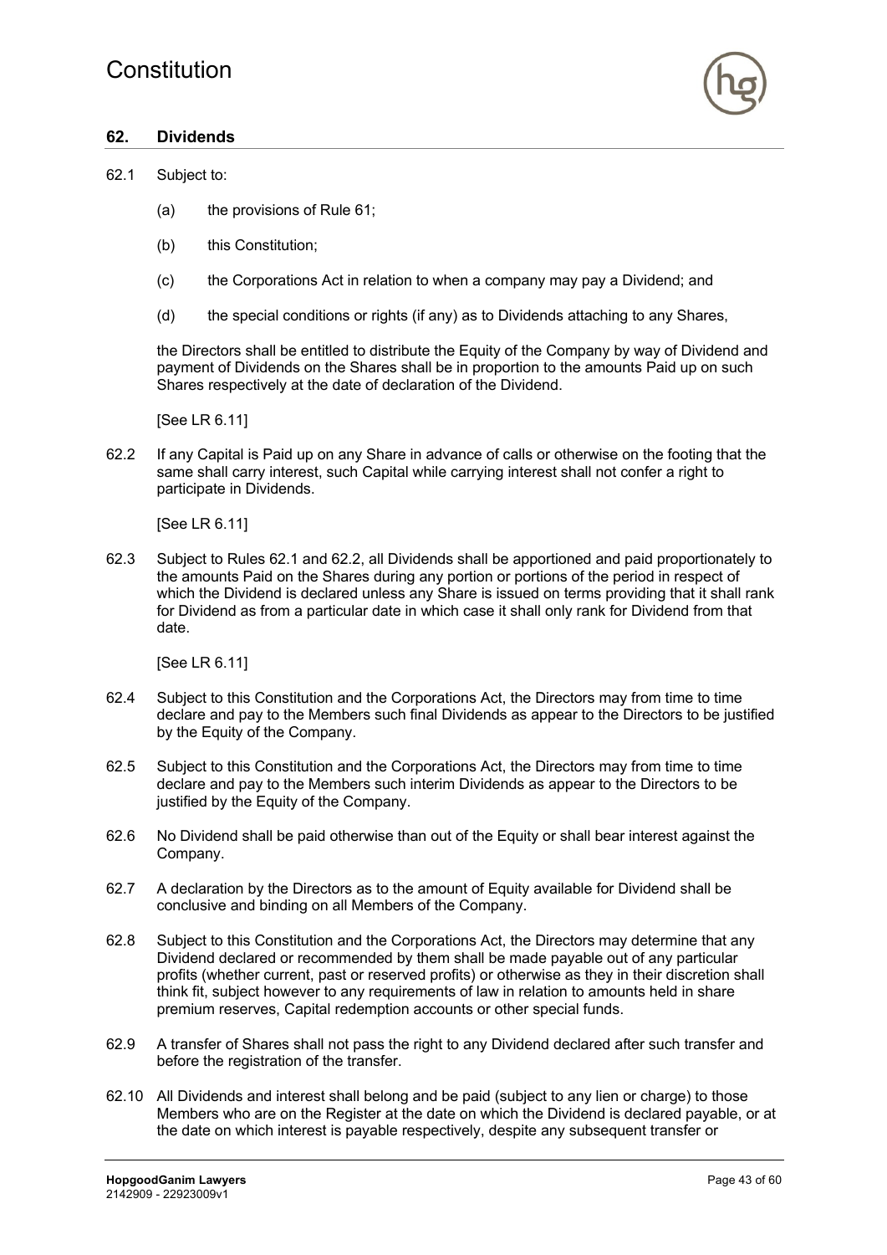

### **62. Dividends**

#### 62.1 Subject to:

- (a) the provisions of Rule 61;
- (b) this Constitution;
- (c) the Corporations Act in relation to when a company may pay a Dividend; and
- (d) the special conditions or rights (if any) as to Dividends attaching to any Shares,

the Directors shall be entitled to distribute the Equity of the Company by way of Dividend and payment of Dividends on the Shares shall be in proportion to the amounts Paid up on such Shares respectively at the date of declaration of the Dividend.

[See LR 6.11]

62.2 If any Capital is Paid up on any Share in advance of calls or otherwise on the footing that the same shall carry interest, such Capital while carrying interest shall not confer a right to participate in Dividends.

[See LR 6.11]

62.3 Subject to Rules 62.1 and 62.2, all Dividends shall be apportioned and paid proportionately to the amounts Paid on the Shares during any portion or portions of the period in respect of which the Dividend is declared unless any Share is issued on terms providing that it shall rank for Dividend as from a particular date in which case it shall only rank for Dividend from that date.

[See LR 6.11]

- 62.4 Subject to this Constitution and the Corporations Act, the Directors may from time to time declare and pay to the Members such final Dividends as appear to the Directors to be justified by the Equity of the Company.
- 62.5 Subject to this Constitution and the Corporations Act, the Directors may from time to time declare and pay to the Members such interim Dividends as appear to the Directors to be justified by the Equity of the Company.
- 62.6 No Dividend shall be paid otherwise than out of the Equity or shall bear interest against the Company.
- 62.7 A declaration by the Directors as to the amount of Equity available for Dividend shall be conclusive and binding on all Members of the Company.
- 62.8 Subject to this Constitution and the Corporations Act, the Directors may determine that any Dividend declared or recommended by them shall be made payable out of any particular profits (whether current, past or reserved profits) or otherwise as they in their discretion shall think fit, subject however to any requirements of law in relation to amounts held in share premium reserves, Capital redemption accounts or other special funds.
- 62.9 A transfer of Shares shall not pass the right to any Dividend declared after such transfer and before the registration of the transfer.
- 62.10 All Dividends and interest shall belong and be paid (subject to any lien or charge) to those Members who are on the Register at the date on which the Dividend is declared payable, or at the date on which interest is payable respectively, despite any subsequent transfer or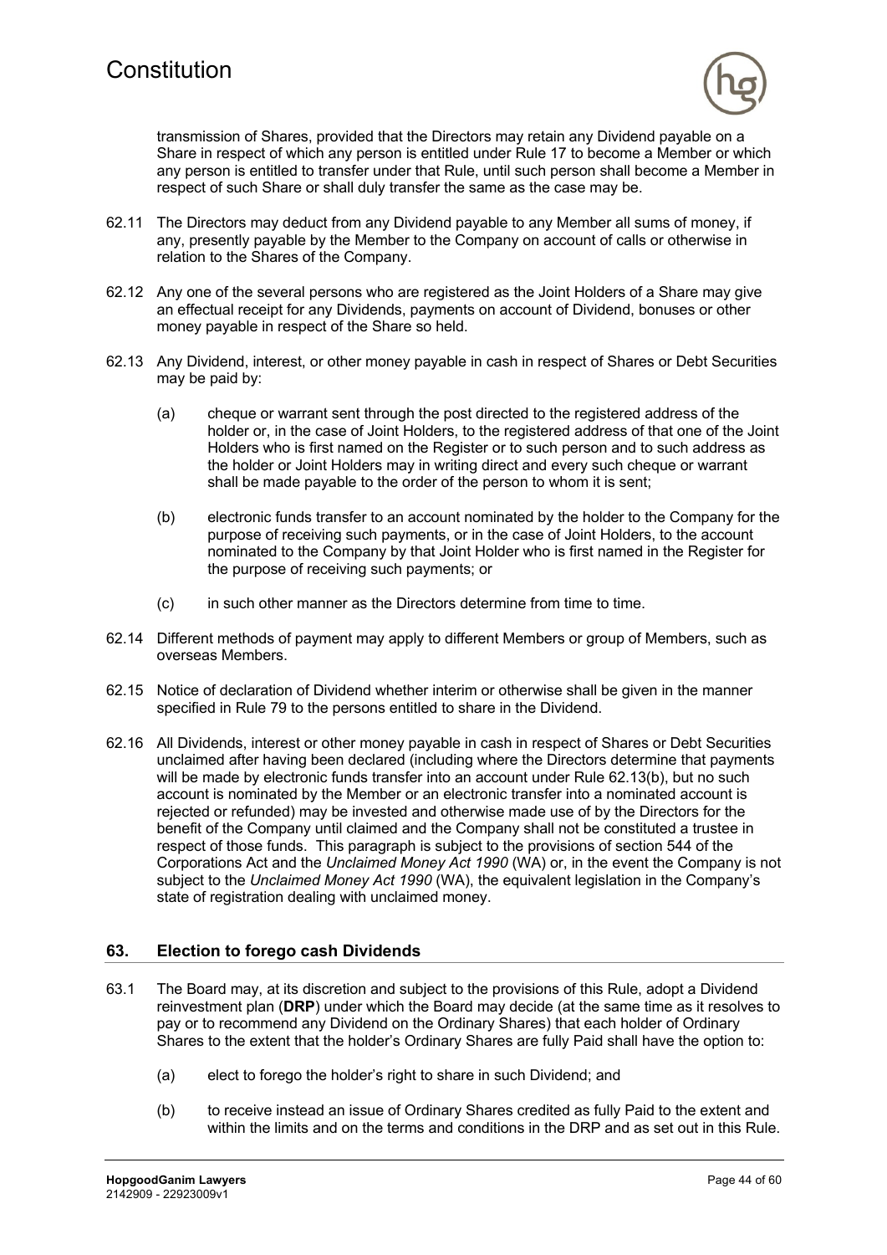

transmission of Shares, provided that the Directors may retain any Dividend payable on a Share in respect of which any person is entitled under Rule 17 to become a Member or which any person is entitled to transfer under that Rule, until such person shall become a Member in respect of such Share or shall duly transfer the same as the case may be.

- 62.11 The Directors may deduct from any Dividend payable to any Member all sums of money, if any, presently payable by the Member to the Company on account of calls or otherwise in relation to the Shares of the Company.
- 62.12 Any one of the several persons who are registered as the Joint Holders of a Share may give an effectual receipt for any Dividends, payments on account of Dividend, bonuses or other money payable in respect of the Share so held.
- 62.13 Any Dividend, interest, or other money payable in cash in respect of Shares or Debt Securities may be paid by:
	- (a) cheque or warrant sent through the post directed to the registered address of the holder or, in the case of Joint Holders, to the registered address of that one of the Joint Holders who is first named on the Register or to such person and to such address as the holder or Joint Holders may in writing direct and every such cheque or warrant shall be made payable to the order of the person to whom it is sent;
	- (b) electronic funds transfer to an account nominated by the holder to the Company for the purpose of receiving such payments, or in the case of Joint Holders, to the account nominated to the Company by that Joint Holder who is first named in the Register for the purpose of receiving such payments; or
	- (c) in such other manner as the Directors determine from time to time.
- 62.14 Different methods of payment may apply to different Members or group of Members, such as overseas Members.
- 62.15 Notice of declaration of Dividend whether interim or otherwise shall be given in the manner specified in Rule 79 to the persons entitled to share in the Dividend.
- 62.16 All Dividends, interest or other money payable in cash in respect of Shares or Debt Securities unclaimed after having been declared (including where the Directors determine that payments will be made by electronic funds transfer into an account under Rule 62.13(b), but no such account is nominated by the Member or an electronic transfer into a nominated account is rejected or refunded) may be invested and otherwise made use of by the Directors for the benefit of the Company until claimed and the Company shall not be constituted a trustee in respect of those funds. This paragraph is subject to the provisions of section 544 of the Corporations Act and the *Unclaimed Money Act 1990* (WA) or, in the event the Company is not subject to the *Unclaimed Money Act 1990* (WA), the equivalent legislation in the Company's state of registration dealing with unclaimed money.

# **63. Election to forego cash Dividends**

- 63.1 The Board may, at its discretion and subject to the provisions of this Rule, adopt a Dividend reinvestment plan (**DRP**) under which the Board may decide (at the same time as it resolves to pay or to recommend any Dividend on the Ordinary Shares) that each holder of Ordinary Shares to the extent that the holder's Ordinary Shares are fully Paid shall have the option to:
	- (a) elect to forego the holder's right to share in such Dividend; and
	- (b) to receive instead an issue of Ordinary Shares credited as fully Paid to the extent and within the limits and on the terms and conditions in the DRP and as set out in this Rule.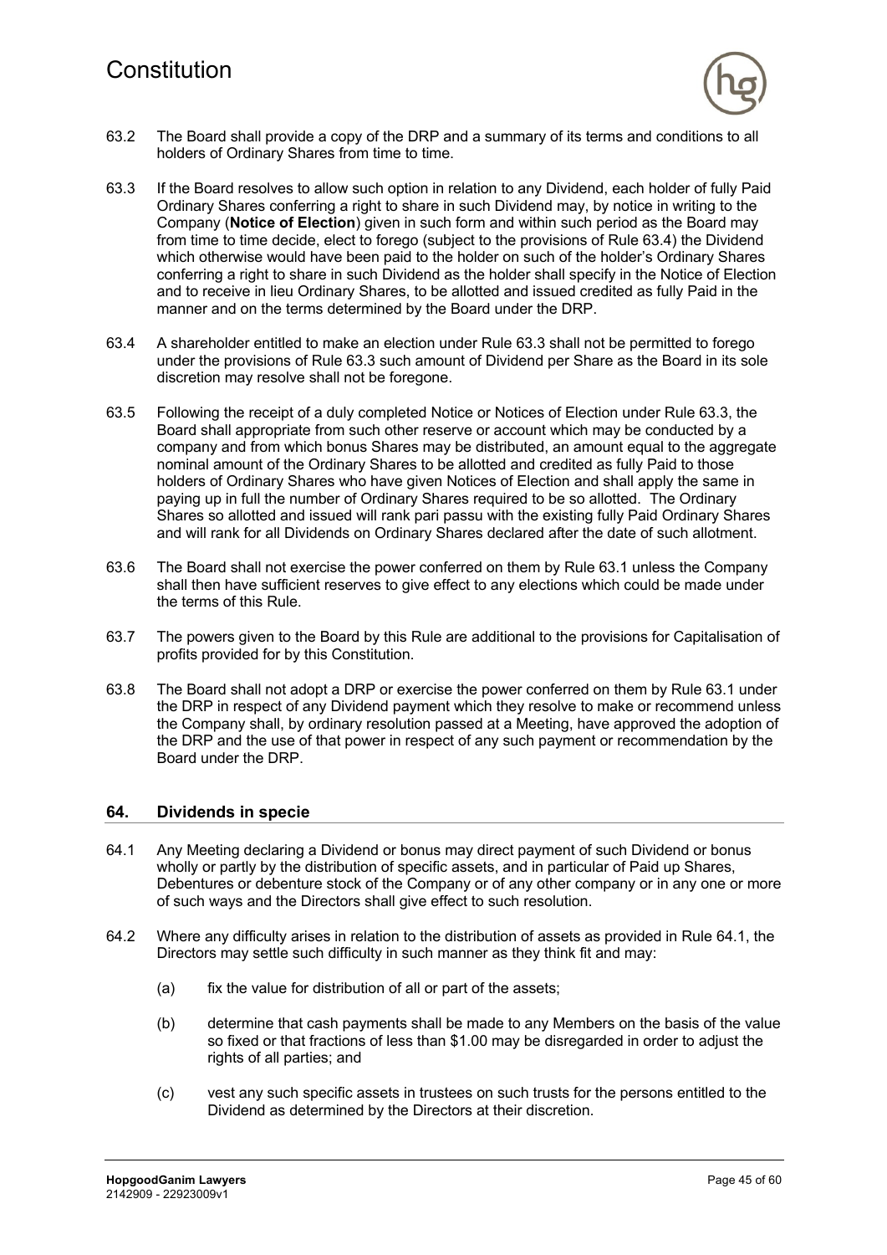

- 63.2 The Board shall provide a copy of the DRP and a summary of its terms and conditions to all holders of Ordinary Shares from time to time.
- 63.3 If the Board resolves to allow such option in relation to any Dividend, each holder of fully Paid Ordinary Shares conferring a right to share in such Dividend may, by notice in writing to the Company (**Notice of Election**) given in such form and within such period as the Board may from time to time decide, elect to forego (subject to the provisions of Rule 63.4) the Dividend which otherwise would have been paid to the holder on such of the holder's Ordinary Shares conferring a right to share in such Dividend as the holder shall specify in the Notice of Election and to receive in lieu Ordinary Shares, to be allotted and issued credited as fully Paid in the manner and on the terms determined by the Board under the DRP.
- 63.4 A shareholder entitled to make an election under Rule 63.3 shall not be permitted to forego under the provisions of Rule 63.3 such amount of Dividend per Share as the Board in its sole discretion may resolve shall not be foregone.
- 63.5 Following the receipt of a duly completed Notice or Notices of Election under Rule 63.3, the Board shall appropriate from such other reserve or account which may be conducted by a company and from which bonus Shares may be distributed, an amount equal to the aggregate nominal amount of the Ordinary Shares to be allotted and credited as fully Paid to those holders of Ordinary Shares who have given Notices of Election and shall apply the same in paying up in full the number of Ordinary Shares required to be so allotted. The Ordinary Shares so allotted and issued will rank pari passu with the existing fully Paid Ordinary Shares and will rank for all Dividends on Ordinary Shares declared after the date of such allotment.
- 63.6 The Board shall not exercise the power conferred on them by Rule 63.1 unless the Company shall then have sufficient reserves to give effect to any elections which could be made under the terms of this Rule.
- 63.7 The powers given to the Board by this Rule are additional to the provisions for Capitalisation of profits provided for by this Constitution.
- 63.8 The Board shall not adopt a DRP or exercise the power conferred on them by Rule 63.1 under the DRP in respect of any Dividend payment which they resolve to make or recommend unless the Company shall, by ordinary resolution passed at a Meeting, have approved the adoption of the DRP and the use of that power in respect of any such payment or recommendation by the Board under the DRP.

#### **64. Dividends in specie**

- 64.1 Any Meeting declaring a Dividend or bonus may direct payment of such Dividend or bonus wholly or partly by the distribution of specific assets, and in particular of Paid up Shares, Debentures or debenture stock of the Company or of any other company or in any one or more of such ways and the Directors shall give effect to such resolution.
- 64.2 Where any difficulty arises in relation to the distribution of assets as provided in Rule 64.1, the Directors may settle such difficulty in such manner as they think fit and may:
	- (a) fix the value for distribution of all or part of the assets;
	- (b) determine that cash payments shall be made to any Members on the basis of the value so fixed or that fractions of less than \$1.00 may be disregarded in order to adjust the rights of all parties; and
	- (c) vest any such specific assets in trustees on such trusts for the persons entitled to the Dividend as determined by the Directors at their discretion.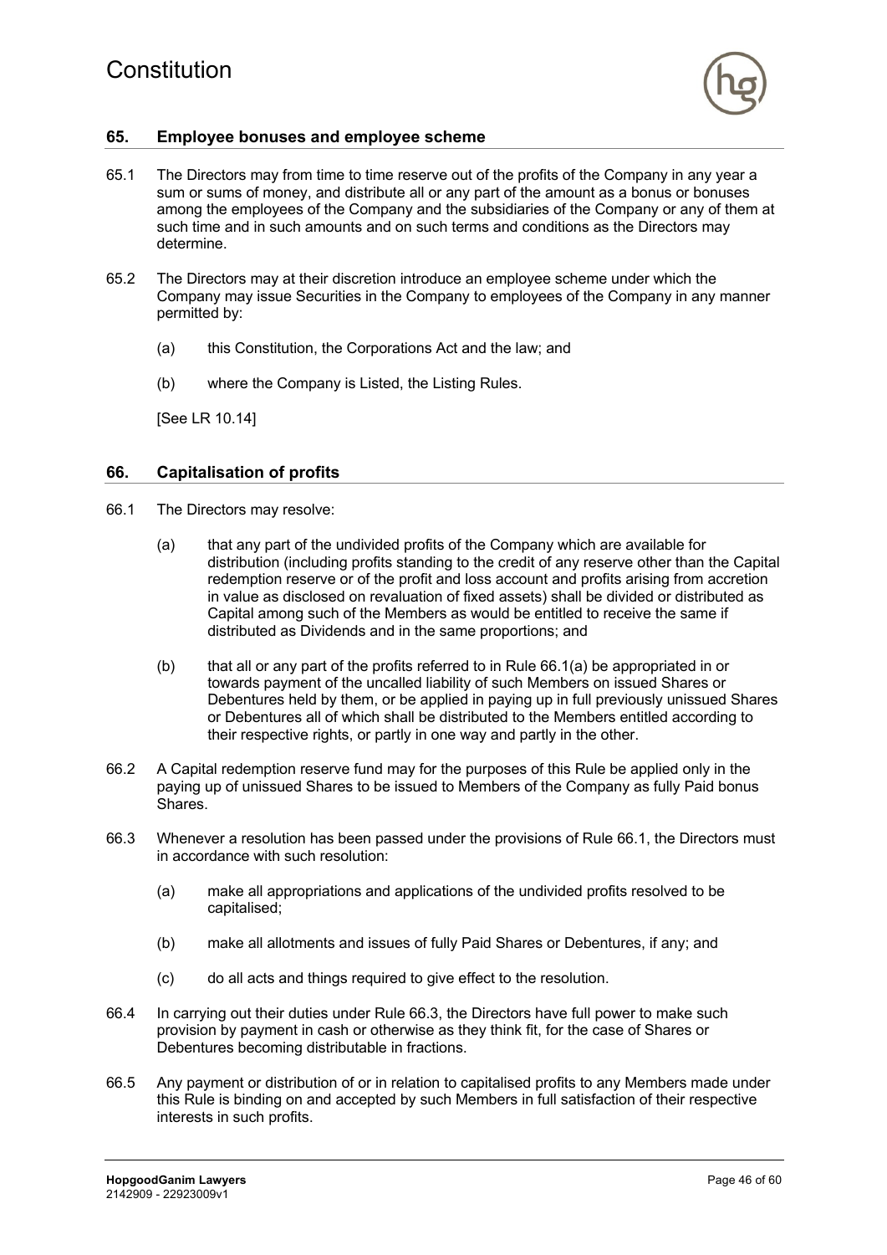

# **65. Employee bonuses and employee scheme**

- 65.1 The Directors may from time to time reserve out of the profits of the Company in any year a sum or sums of money, and distribute all or any part of the amount as a bonus or bonuses among the employees of the Company and the subsidiaries of the Company or any of them at such time and in such amounts and on such terms and conditions as the Directors may determine.
- 65.2 The Directors may at their discretion introduce an employee scheme under which the Company may issue Securities in the Company to employees of the Company in any manner permitted by:
	- (a) this Constitution, the Corporations Act and the law; and
	- (b) where the Company is Listed, the Listing Rules.

[See LR 10.14]

### **66. Capitalisation of profits**

- 66.1 The Directors may resolve:
	- (a) that any part of the undivided profits of the Company which are available for distribution (including profits standing to the credit of any reserve other than the Capital redemption reserve or of the profit and loss account and profits arising from accretion in value as disclosed on revaluation of fixed assets) shall be divided or distributed as Capital among such of the Members as would be entitled to receive the same if distributed as Dividends and in the same proportions; and
	- (b) that all or any part of the profits referred to in Rule 66.1(a) be appropriated in or towards payment of the uncalled liability of such Members on issued Shares or Debentures held by them, or be applied in paying up in full previously unissued Shares or Debentures all of which shall be distributed to the Members entitled according to their respective rights, or partly in one way and partly in the other.
- 66.2 A Capital redemption reserve fund may for the purposes of this Rule be applied only in the paying up of unissued Shares to be issued to Members of the Company as fully Paid bonus Shares.
- 66.3 Whenever a resolution has been passed under the provisions of Rule 66.1, the Directors must in accordance with such resolution:
	- (a) make all appropriations and applications of the undivided profits resolved to be capitalised;
	- (b) make all allotments and issues of fully Paid Shares or Debentures, if any; and
	- (c) do all acts and things required to give effect to the resolution.
- 66.4 In carrying out their duties under Rule 66.3, the Directors have full power to make such provision by payment in cash or otherwise as they think fit, for the case of Shares or Debentures becoming distributable in fractions.
- 66.5 Any payment or distribution of or in relation to capitalised profits to any Members made under this Rule is binding on and accepted by such Members in full satisfaction of their respective interests in such profits.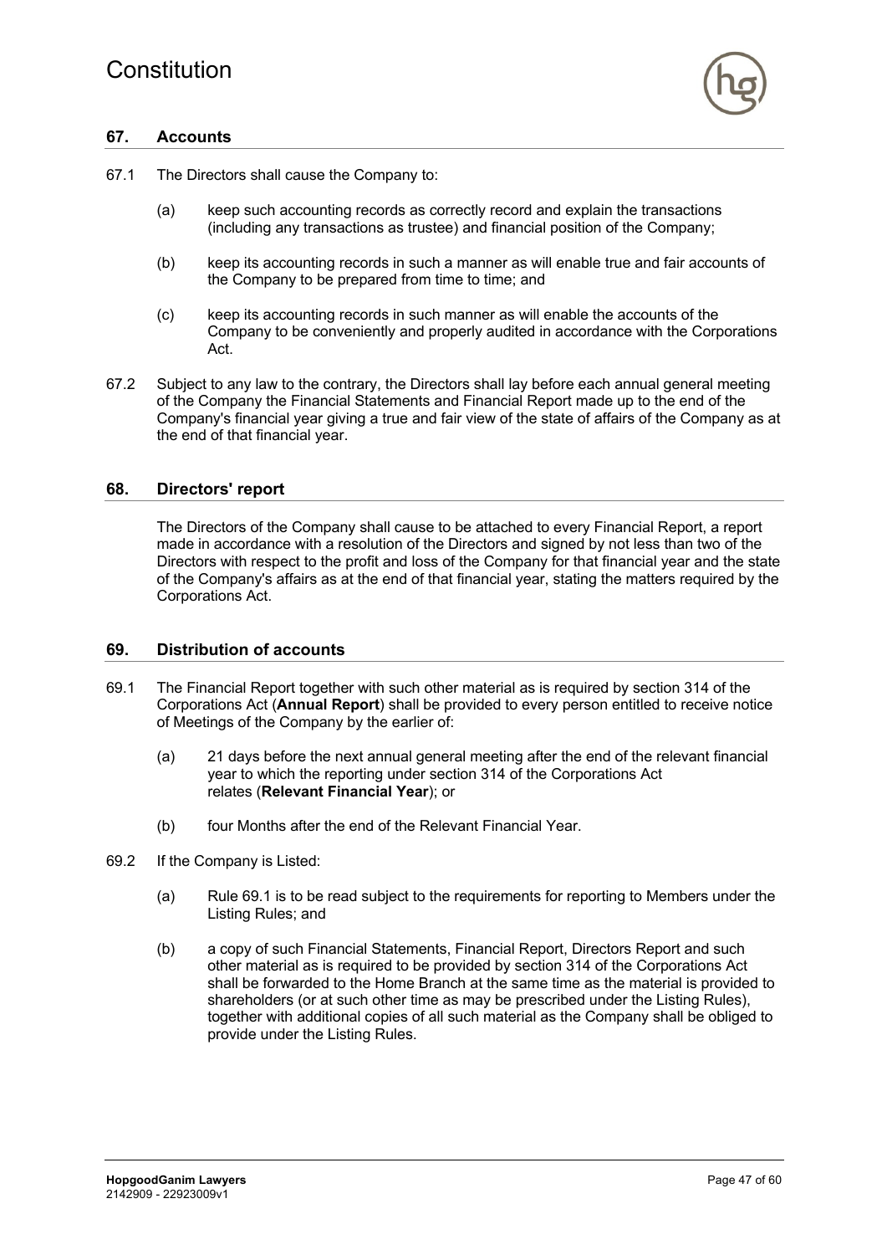

# **67. Accounts**

- 67.1 The Directors shall cause the Company to:
	- (a) keep such accounting records as correctly record and explain the transactions (including any transactions as trustee) and financial position of the Company;
	- (b) keep its accounting records in such a manner as will enable true and fair accounts of the Company to be prepared from time to time; and
	- (c) keep its accounting records in such manner as will enable the accounts of the Company to be conveniently and properly audited in accordance with the Corporations Act.
- 67.2 Subject to any law to the contrary, the Directors shall lay before each annual general meeting of the Company the Financial Statements and Financial Report made up to the end of the Company's financial year giving a true and fair view of the state of affairs of the Company as at the end of that financial year.

### **68. Directors' report**

The Directors of the Company shall cause to be attached to every Financial Report, a report made in accordance with a resolution of the Directors and signed by not less than two of the Directors with respect to the profit and loss of the Company for that financial year and the state of the Company's affairs as at the end of that financial year, stating the matters required by the Corporations Act.

#### **69. Distribution of accounts**

- 69.1 The Financial Report together with such other material as is required by section 314 of the Corporations Act (**Annual Report**) shall be provided to every person entitled to receive notice of Meetings of the Company by the earlier of:
	- (a) 21 days before the next annual general meeting after the end of the relevant financial year to which the reporting under section 314 of the Corporations Act relates (**Relevant Financial Year**); or
	- (b) four Months after the end of the Relevant Financial Year.
- 69.2 If the Company is Listed:
	- (a) Rule 69.1 is to be read subject to the requirements for reporting to Members under the Listing Rules; and
	- (b) a copy of such Financial Statements, Financial Report, Directors Report and such other material as is required to be provided by section 314 of the Corporations Act shall be forwarded to the Home Branch at the same time as the material is provided to shareholders (or at such other time as may be prescribed under the Listing Rules), together with additional copies of all such material as the Company shall be obliged to provide under the Listing Rules.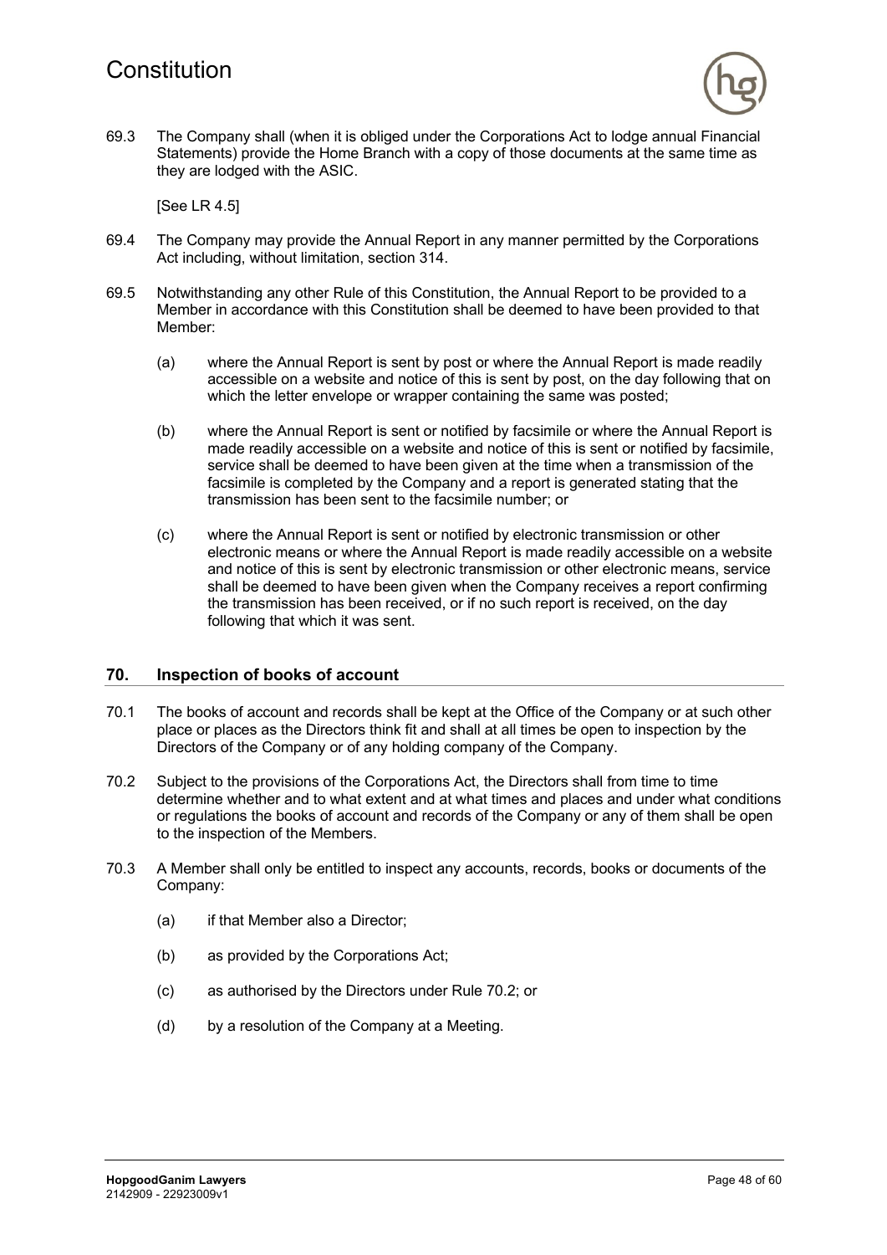

69.3 The Company shall (when it is obliged under the Corporations Act to lodge annual Financial Statements) provide the Home Branch with a copy of those documents at the same time as they are lodged with the ASIC.

[See LR 4.5]

- 69.4 The Company may provide the Annual Report in any manner permitted by the Corporations Act including, without limitation, section 314.
- 69.5 Notwithstanding any other Rule of this Constitution, the Annual Report to be provided to a Member in accordance with this Constitution shall be deemed to have been provided to that Member:
	- (a) where the Annual Report is sent by post or where the Annual Report is made readily accessible on a website and notice of this is sent by post, on the day following that on which the letter envelope or wrapper containing the same was posted;
	- (b) where the Annual Report is sent or notified by facsimile or where the Annual Report is made readily accessible on a website and notice of this is sent or notified by facsimile, service shall be deemed to have been given at the time when a transmission of the facsimile is completed by the Company and a report is generated stating that the transmission has been sent to the facsimile number; or
	- (c) where the Annual Report is sent or notified by electronic transmission or other electronic means or where the Annual Report is made readily accessible on a website and notice of this is sent by electronic transmission or other electronic means, service shall be deemed to have been given when the Company receives a report confirming the transmission has been received, or if no such report is received, on the day following that which it was sent.

#### **70. Inspection of books of account**

- 70.1 The books of account and records shall be kept at the Office of the Company or at such other place or places as the Directors think fit and shall at all times be open to inspection by the Directors of the Company or of any holding company of the Company.
- 70.2 Subject to the provisions of the Corporations Act, the Directors shall from time to time determine whether and to what extent and at what times and places and under what conditions or regulations the books of account and records of the Company or any of them shall be open to the inspection of the Members.
- 70.3 A Member shall only be entitled to inspect any accounts, records, books or documents of the Company:
	- (a) if that Member also a Director;
	- (b) as provided by the Corporations Act;
	- (c) as authorised by the Directors under Rule 70.2; or
	- (d) by a resolution of the Company at a Meeting.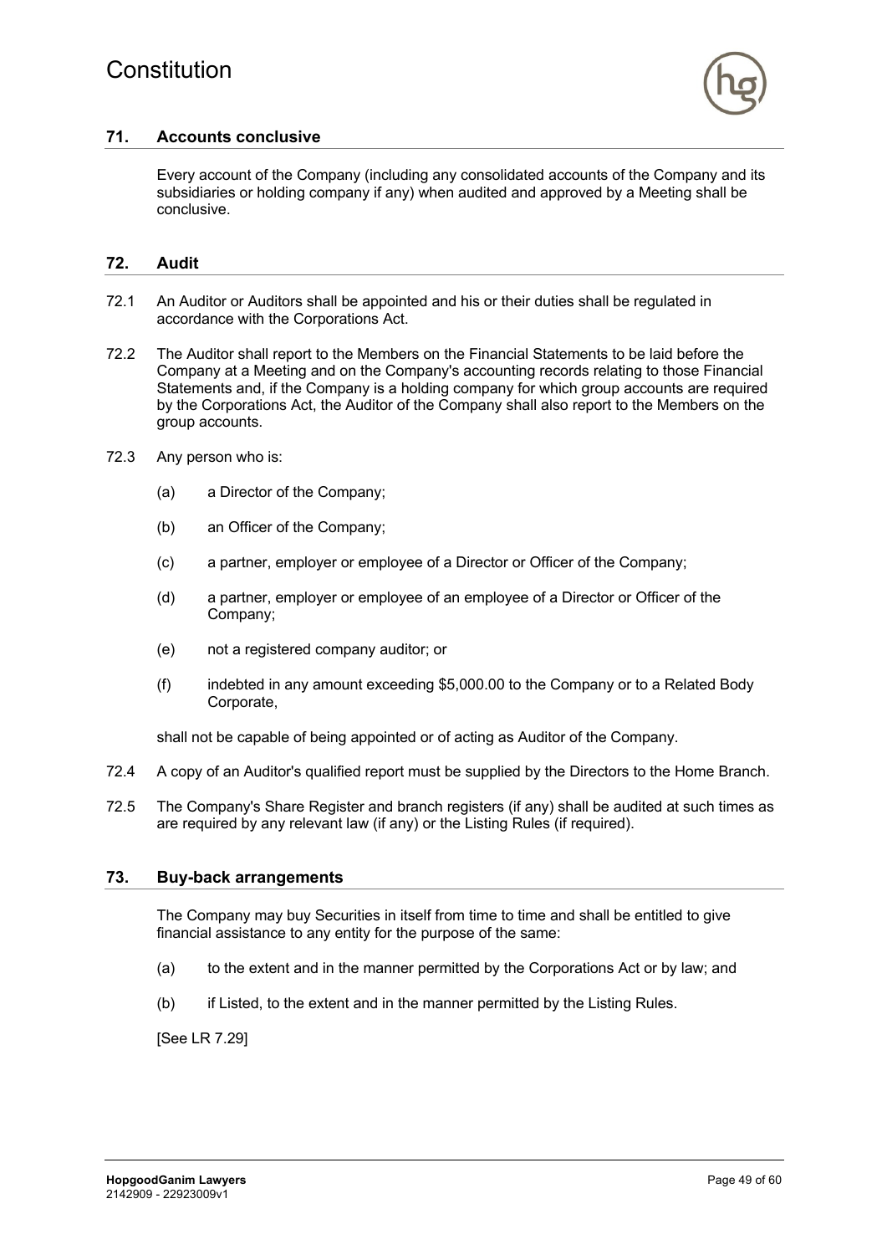

# **71. Accounts conclusive**

Every account of the Company (including any consolidated accounts of the Company and its subsidiaries or holding company if any) when audited and approved by a Meeting shall be conclusive.

### **72. Audit**

- 72.1 An Auditor or Auditors shall be appointed and his or their duties shall be regulated in accordance with the Corporations Act.
- 72.2 The Auditor shall report to the Members on the Financial Statements to be laid before the Company at a Meeting and on the Company's accounting records relating to those Financial Statements and, if the Company is a holding company for which group accounts are required by the Corporations Act, the Auditor of the Company shall also report to the Members on the group accounts.
- 72.3 Any person who is:
	- (a) a Director of the Company;
	- (b) an Officer of the Company;
	- (c) a partner, employer or employee of a Director or Officer of the Company;
	- (d) a partner, employer or employee of an employee of a Director or Officer of the Company;
	- (e) not a registered company auditor; or
	- (f) indebted in any amount exceeding \$5,000.00 to the Company or to a Related Body Corporate,

shall not be capable of being appointed or of acting as Auditor of the Company.

- 72.4 A copy of an Auditor's qualified report must be supplied by the Directors to the Home Branch.
- 72.5 The Company's Share Register and branch registers (if any) shall be audited at such times as are required by any relevant law (if any) or the Listing Rules (if required).

#### **73. Buy-back arrangements**

The Company may buy Securities in itself from time to time and shall be entitled to give financial assistance to any entity for the purpose of the same:

- (a) to the extent and in the manner permitted by the Corporations Act or by law; and
- (b) if Listed, to the extent and in the manner permitted by the Listing Rules.

[See LR 7.29]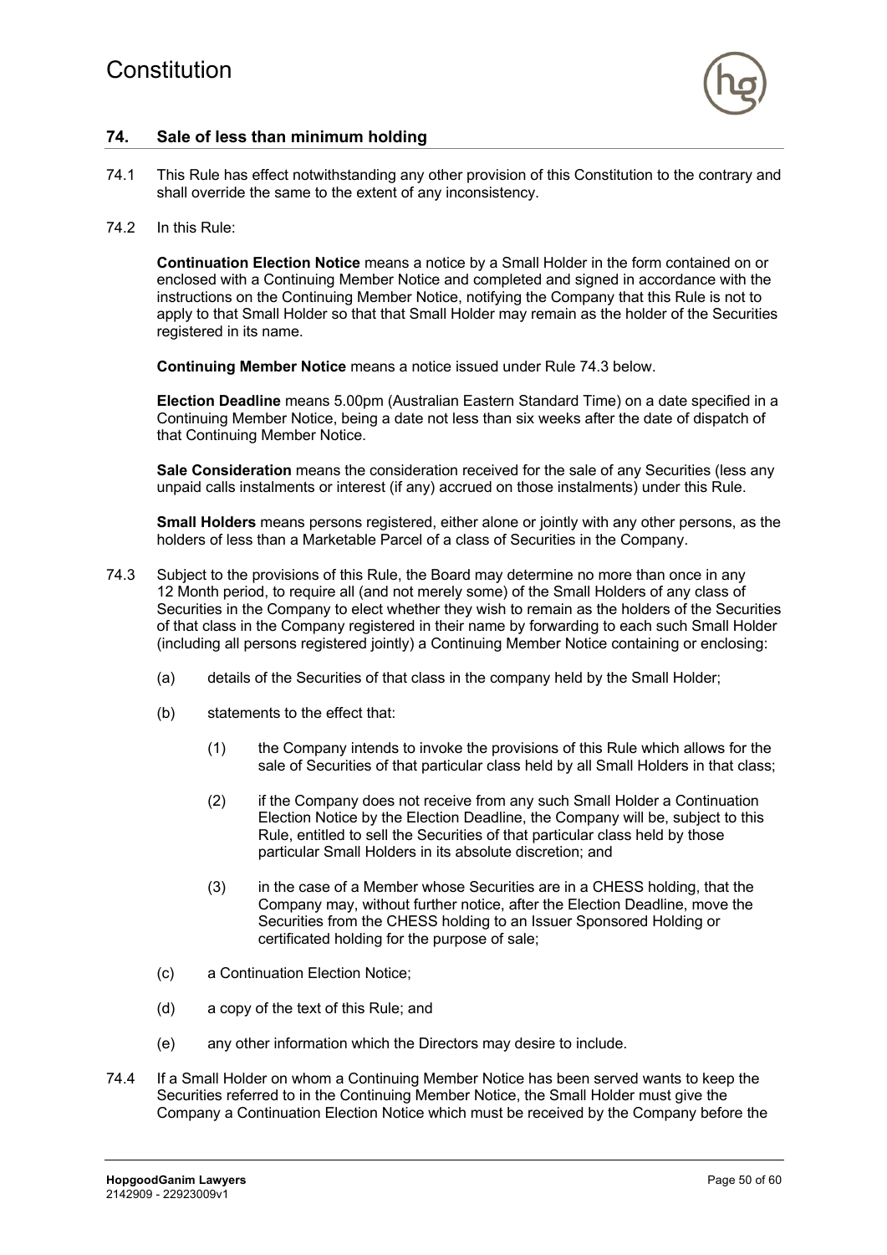

# **74. Sale of less than minimum holding**

- 74.1 This Rule has effect notwithstanding any other provision of this Constitution to the contrary and shall override the same to the extent of any inconsistency.
- 74.2 In this Rule:

**Continuation Election Notice** means a notice by a Small Holder in the form contained on or enclosed with a Continuing Member Notice and completed and signed in accordance with the instructions on the Continuing Member Notice, notifying the Company that this Rule is not to apply to that Small Holder so that that Small Holder may remain as the holder of the Securities registered in its name.

**Continuing Member Notice** means a notice issued under Rule 74.3 below.

**Election Deadline** means 5.00pm (Australian Eastern Standard Time) on a date specified in a Continuing Member Notice, being a date not less than six weeks after the date of dispatch of that Continuing Member Notice.

**Sale Consideration** means the consideration received for the sale of any Securities (less any unpaid calls instalments or interest (if any) accrued on those instalments) under this Rule.

**Small Holders** means persons registered, either alone or jointly with any other persons, as the holders of less than a Marketable Parcel of a class of Securities in the Company.

- 74.3 Subject to the provisions of this Rule, the Board may determine no more than once in any 12 Month period, to require all (and not merely some) of the Small Holders of any class of Securities in the Company to elect whether they wish to remain as the holders of the Securities of that class in the Company registered in their name by forwarding to each such Small Holder (including all persons registered jointly) a Continuing Member Notice containing or enclosing:
	- (a) details of the Securities of that class in the company held by the Small Holder;
	- (b) statements to the effect that:
		- (1) the Company intends to invoke the provisions of this Rule which allows for the sale of Securities of that particular class held by all Small Holders in that class;
		- (2) if the Company does not receive from any such Small Holder a Continuation Election Notice by the Election Deadline, the Company will be, subject to this Rule, entitled to sell the Securities of that particular class held by those particular Small Holders in its absolute discretion; and
		- (3) in the case of a Member whose Securities are in a CHESS holding, that the Company may, without further notice, after the Election Deadline, move the Securities from the CHESS holding to an Issuer Sponsored Holding or certificated holding for the purpose of sale;
	- (c) a Continuation Election Notice;
	- (d) a copy of the text of this Rule; and
	- (e) any other information which the Directors may desire to include.
- 74.4 If a Small Holder on whom a Continuing Member Notice has been served wants to keep the Securities referred to in the Continuing Member Notice, the Small Holder must give the Company a Continuation Election Notice which must be received by the Company before the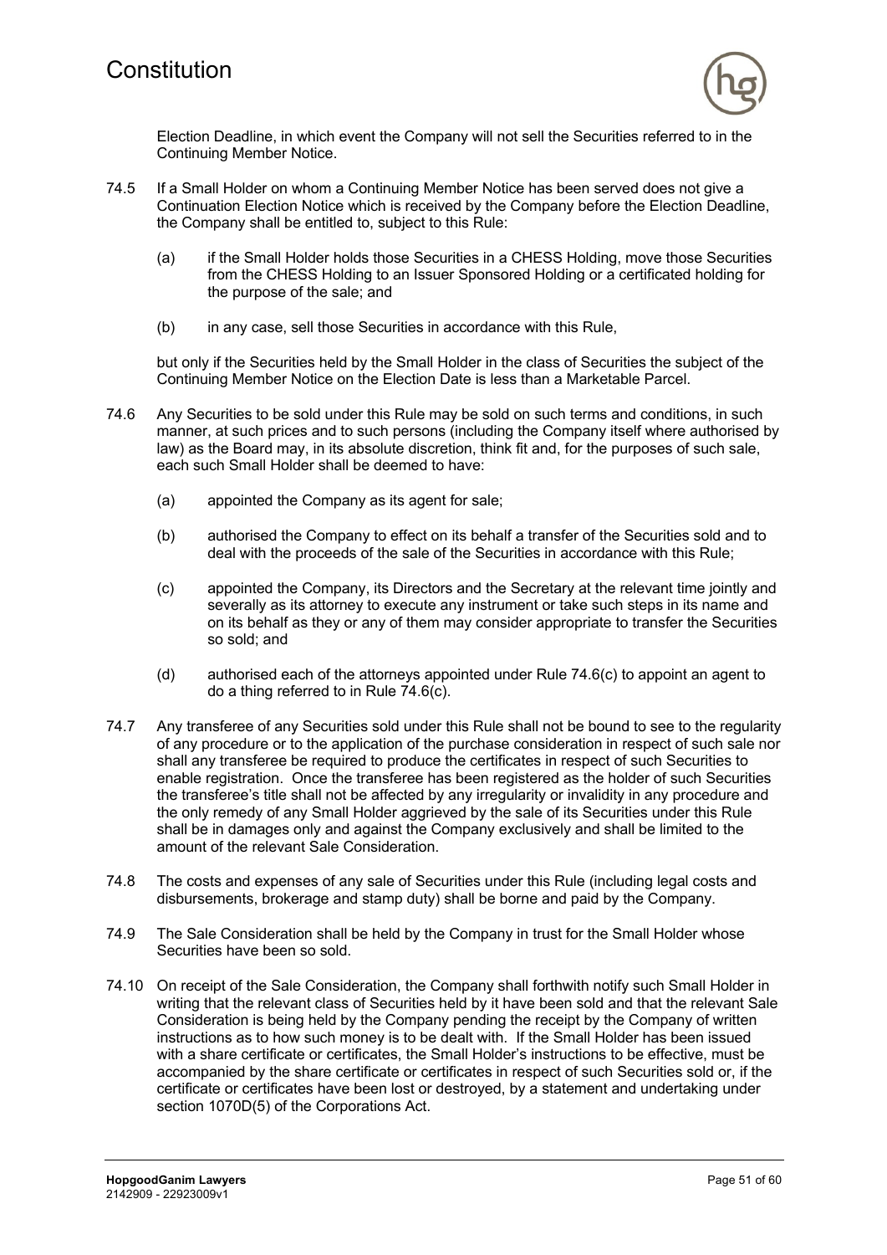

Election Deadline, in which event the Company will not sell the Securities referred to in the Continuing Member Notice.

- 74.5 If a Small Holder on whom a Continuing Member Notice has been served does not give a Continuation Election Notice which is received by the Company before the Election Deadline, the Company shall be entitled to, subject to this Rule:
	- (a) if the Small Holder holds those Securities in a CHESS Holding, move those Securities from the CHESS Holding to an Issuer Sponsored Holding or a certificated holding for the purpose of the sale; and
	- (b) in any case, sell those Securities in accordance with this Rule,

but only if the Securities held by the Small Holder in the class of Securities the subject of the Continuing Member Notice on the Election Date is less than a Marketable Parcel.

- 74.6 Any Securities to be sold under this Rule may be sold on such terms and conditions, in such manner, at such prices and to such persons (including the Company itself where authorised by law) as the Board may, in its absolute discretion, think fit and, for the purposes of such sale, each such Small Holder shall be deemed to have:
	- (a) appointed the Company as its agent for sale;
	- (b) authorised the Company to effect on its behalf a transfer of the Securities sold and to deal with the proceeds of the sale of the Securities in accordance with this Rule;
	- (c) appointed the Company, its Directors and the Secretary at the relevant time jointly and severally as its attorney to execute any instrument or take such steps in its name and on its behalf as they or any of them may consider appropriate to transfer the Securities so sold; and
	- (d) authorised each of the attorneys appointed under Rule 74.6(c) to appoint an agent to do a thing referred to in Rule 74.6(c).
- 74.7 Any transferee of any Securities sold under this Rule shall not be bound to see to the regularity of any procedure or to the application of the purchase consideration in respect of such sale nor shall any transferee be required to produce the certificates in respect of such Securities to enable registration. Once the transferee has been registered as the holder of such Securities the transferee's title shall not be affected by any irregularity or invalidity in any procedure and the only remedy of any Small Holder aggrieved by the sale of its Securities under this Rule shall be in damages only and against the Company exclusively and shall be limited to the amount of the relevant Sale Consideration.
- 74.8 The costs and expenses of any sale of Securities under this Rule (including legal costs and disbursements, brokerage and stamp duty) shall be borne and paid by the Company.
- 74.9 The Sale Consideration shall be held by the Company in trust for the Small Holder whose Securities have been so sold.
- 74.10 On receipt of the Sale Consideration, the Company shall forthwith notify such Small Holder in writing that the relevant class of Securities held by it have been sold and that the relevant Sale Consideration is being held by the Company pending the receipt by the Company of written instructions as to how such money is to be dealt with. If the Small Holder has been issued with a share certificate or certificates, the Small Holder's instructions to be effective, must be accompanied by the share certificate or certificates in respect of such Securities sold or, if the certificate or certificates have been lost or destroyed, by a statement and undertaking under section 1070D(5) of the Corporations Act.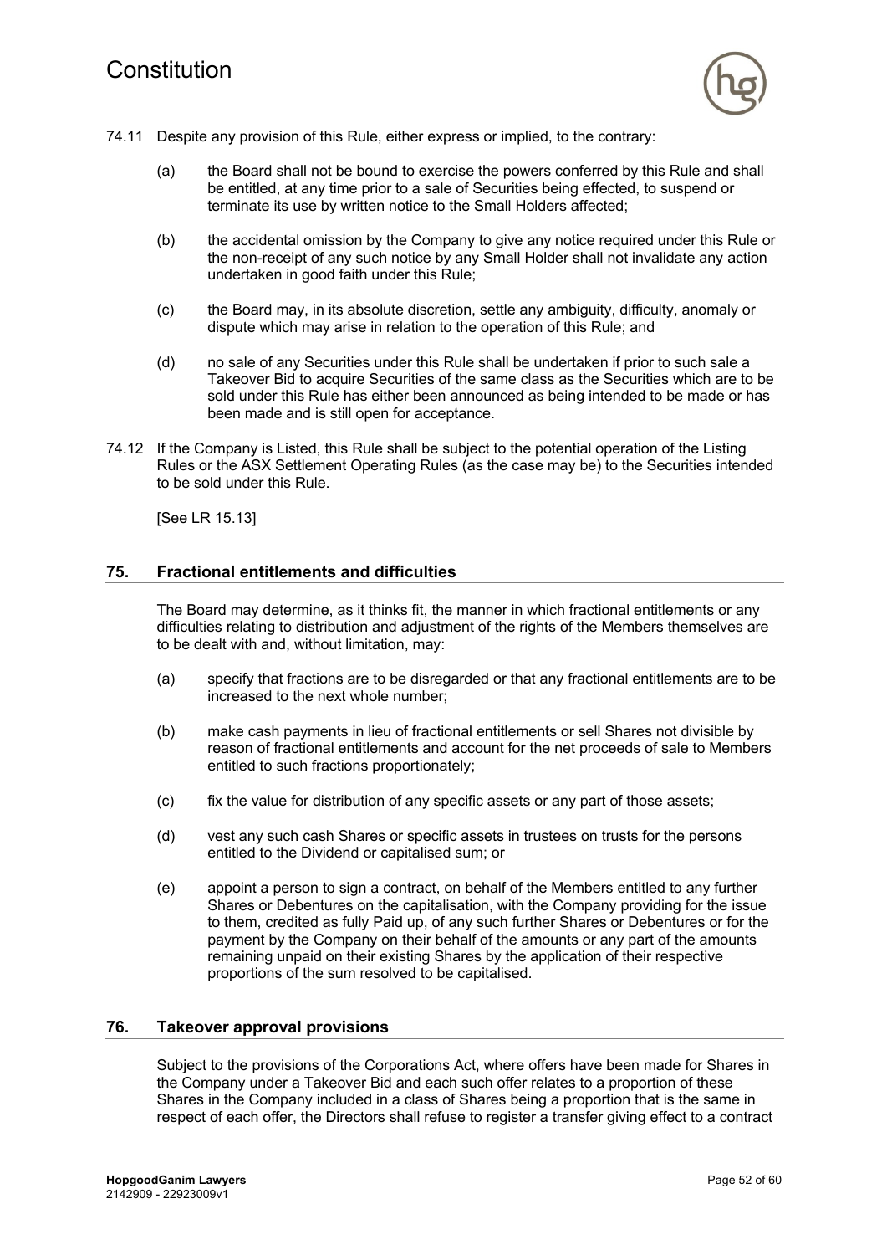

- 74.11 Despite any provision of this Rule, either express or implied, to the contrary:
	- (a) the Board shall not be bound to exercise the powers conferred by this Rule and shall be entitled, at any time prior to a sale of Securities being effected, to suspend or terminate its use by written notice to the Small Holders affected;
	- (b) the accidental omission by the Company to give any notice required under this Rule or the non-receipt of any such notice by any Small Holder shall not invalidate any action undertaken in good faith under this Rule;
	- (c) the Board may, in its absolute discretion, settle any ambiguity, difficulty, anomaly or dispute which may arise in relation to the operation of this Rule; and
	- (d) no sale of any Securities under this Rule shall be undertaken if prior to such sale a Takeover Bid to acquire Securities of the same class as the Securities which are to be sold under this Rule has either been announced as being intended to be made or has been made and is still open for acceptance.
- 74.12 If the Company is Listed, this Rule shall be subject to the potential operation of the Listing Rules or the ASX Settlement Operating Rules (as the case may be) to the Securities intended to be sold under this Rule.

[See LR 15.13]

# **75. Fractional entitlements and difficulties**

The Board may determine, as it thinks fit, the manner in which fractional entitlements or any difficulties relating to distribution and adjustment of the rights of the Members themselves are to be dealt with and, without limitation, may:

- (a) specify that fractions are to be disregarded or that any fractional entitlements are to be increased to the next whole number;
- (b) make cash payments in lieu of fractional entitlements or sell Shares not divisible by reason of fractional entitlements and account for the net proceeds of sale to Members entitled to such fractions proportionately;
- (c) fix the value for distribution of any specific assets or any part of those assets;
- (d) vest any such cash Shares or specific assets in trustees on trusts for the persons entitled to the Dividend or capitalised sum; or
- (e) appoint a person to sign a contract, on behalf of the Members entitled to any further Shares or Debentures on the capitalisation, with the Company providing for the issue to them, credited as fully Paid up, of any such further Shares or Debentures or for the payment by the Company on their behalf of the amounts or any part of the amounts remaining unpaid on their existing Shares by the application of their respective proportions of the sum resolved to be capitalised.

#### **76. Takeover approval provisions**

Subject to the provisions of the Corporations Act, where offers have been made for Shares in the Company under a Takeover Bid and each such offer relates to a proportion of these Shares in the Company included in a class of Shares being a proportion that is the same in respect of each offer, the Directors shall refuse to register a transfer giving effect to a contract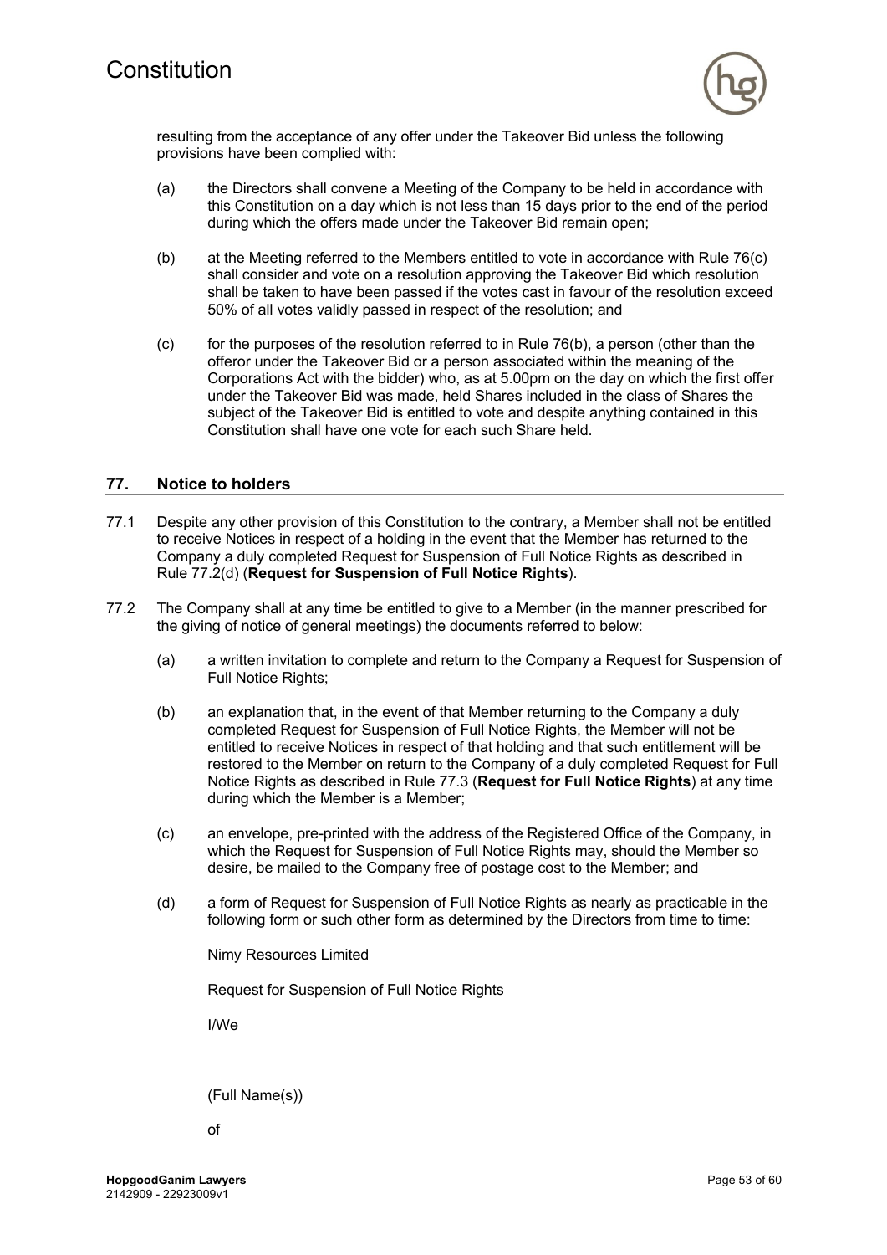

resulting from the acceptance of any offer under the Takeover Bid unless the following provisions have been complied with:

- (a) the Directors shall convene a Meeting of the Company to be held in accordance with this Constitution on a day which is not less than 15 days prior to the end of the period during which the offers made under the Takeover Bid remain open;
- (b) at the Meeting referred to the Members entitled to vote in accordance with Rule 76(c) shall consider and vote on a resolution approving the Takeover Bid which resolution shall be taken to have been passed if the votes cast in favour of the resolution exceed 50% of all votes validly passed in respect of the resolution; and
- (c) for the purposes of the resolution referred to in Rule 76(b), a person (other than the offeror under the Takeover Bid or a person associated within the meaning of the Corporations Act with the bidder) who, as at 5.00pm on the day on which the first offer under the Takeover Bid was made, held Shares included in the class of Shares the subject of the Takeover Bid is entitled to vote and despite anything contained in this Constitution shall have one vote for each such Share held.

### **77. Notice to holders**

- 77.1 Despite any other provision of this Constitution to the contrary, a Member shall not be entitled to receive Notices in respect of a holding in the event that the Member has returned to the Company a duly completed Request for Suspension of Full Notice Rights as described in Rule 77.2(d) (**Request for Suspension of Full Notice Rights**).
- 77.2 The Company shall at any time be entitled to give to a Member (in the manner prescribed for the giving of notice of general meetings) the documents referred to below:
	- (a) a written invitation to complete and return to the Company a Request for Suspension of Full Notice Rights;
	- (b) an explanation that, in the event of that Member returning to the Company a duly completed Request for Suspension of Full Notice Rights, the Member will not be entitled to receive Notices in respect of that holding and that such entitlement will be restored to the Member on return to the Company of a duly completed Request for Full Notice Rights as described in Rule 77.3 (**Request for Full Notice Rights**) at any time during which the Member is a Member;
	- (c) an envelope, pre-printed with the address of the Registered Office of the Company, in which the Request for Suspension of Full Notice Rights may, should the Member so desire, be mailed to the Company free of postage cost to the Member; and
	- (d) a form of Request for Suspension of Full Notice Rights as nearly as practicable in the following form or such other form as determined by the Directors from time to time:

Nimy Resources Limited

Request for Suspension of Full Notice Rights

I/We

(Full Name(s))

of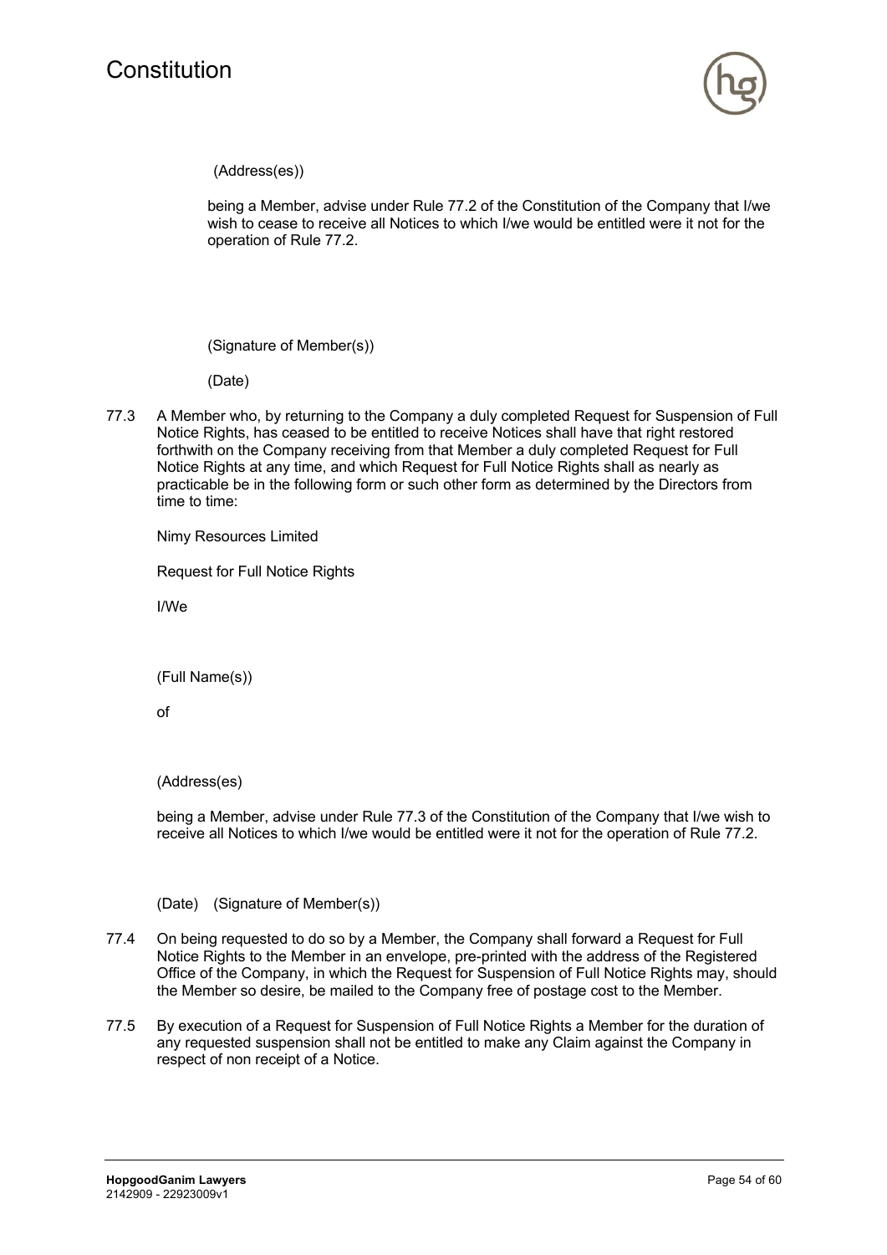

(Address(es))

being a Member, advise under Rule 77.2 of the Constitution of the Company that I/we wish to cease to receive all Notices to which I/we would be entitled were it not for the operation of Rule 77.2.

(Signature of Member(s))

(Date)

77.3 A Member who, by returning to the Company a duly completed Request for Suspension of Full Notice Rights, has ceased to be entitled to receive Notices shall have that right restored forthwith on the Company receiving from that Member a duly completed Request for Full Notice Rights at any time, and which Request for Full Notice Rights shall as nearly as practicable be in the following form or such other form as determined by the Directors from time to time:

Nimy Resources Limited

Request for Full Notice Rights

I/We

(Full Name(s))

of

(Address(es)

being a Member, advise under Rule 77.3 of the Constitution of the Company that I/we wish to receive all Notices to which I/we would be entitled were it not for the operation of Rule 77.2.

(Date) (Signature of Member(s))

- 77.4 On being requested to do so by a Member, the Company shall forward a Request for Full Notice Rights to the Member in an envelope, pre-printed with the address of the Registered Office of the Company, in which the Request for Suspension of Full Notice Rights may, should the Member so desire, be mailed to the Company free of postage cost to the Member.
- 77.5 By execution of a Request for Suspension of Full Notice Rights a Member for the duration of any requested suspension shall not be entitled to make any Claim against the Company in respect of non receipt of a Notice.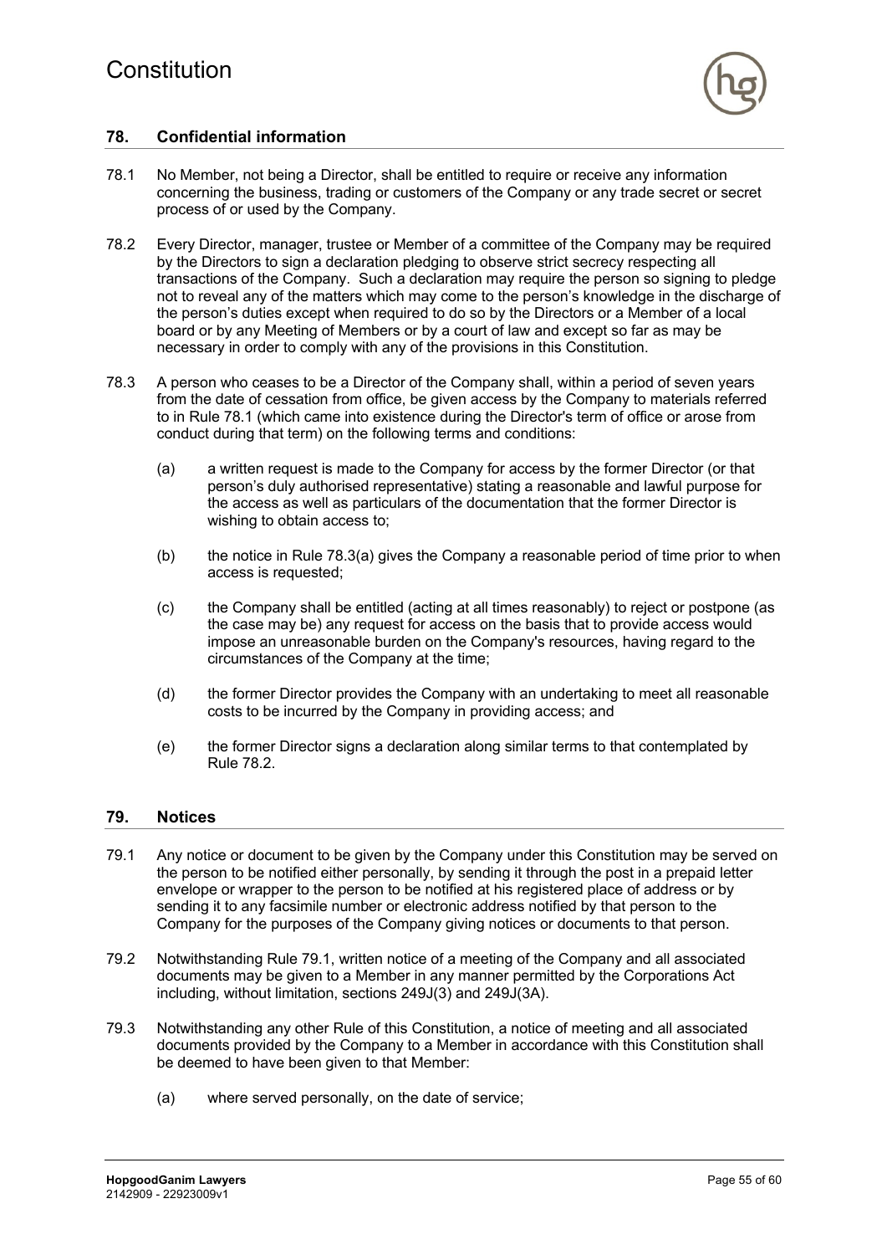

# **78. Confidential information**

- 78.1 No Member, not being a Director, shall be entitled to require or receive any information concerning the business, trading or customers of the Company or any trade secret or secret process of or used by the Company.
- 78.2 Every Director, manager, trustee or Member of a committee of the Company may be required by the Directors to sign a declaration pledging to observe strict secrecy respecting all transactions of the Company. Such a declaration may require the person so signing to pledge not to reveal any of the matters which may come to the person's knowledge in the discharge of the person's duties except when required to do so by the Directors or a Member of a local board or by any Meeting of Members or by a court of law and except so far as may be necessary in order to comply with any of the provisions in this Constitution.
- 78.3 A person who ceases to be a Director of the Company shall, within a period of seven years from the date of cessation from office, be given access by the Company to materials referred to in Rule 78.1 (which came into existence during the Director's term of office or arose from conduct during that term) on the following terms and conditions:
	- (a) a written request is made to the Company for access by the former Director (or that person's duly authorised representative) stating a reasonable and lawful purpose for the access as well as particulars of the documentation that the former Director is wishing to obtain access to;
	- (b) the notice in Rule 78.3(a) gives the Company a reasonable period of time prior to when access is requested;
	- (c) the Company shall be entitled (acting at all times reasonably) to reject or postpone (as the case may be) any request for access on the basis that to provide access would impose an unreasonable burden on the Company's resources, having regard to the circumstances of the Company at the time;
	- (d) the former Director provides the Company with an undertaking to meet all reasonable costs to be incurred by the Company in providing access; and
	- (e) the former Director signs a declaration along similar terms to that contemplated by Rule 78.2.

#### **79. Notices**

- 79.1 Any notice or document to be given by the Company under this Constitution may be served on the person to be notified either personally, by sending it through the post in a prepaid letter envelope or wrapper to the person to be notified at his registered place of address or by sending it to any facsimile number or electronic address notified by that person to the Company for the purposes of the Company giving notices or documents to that person.
- 79.2 Notwithstanding Rule 79.1, written notice of a meeting of the Company and all associated documents may be given to a Member in any manner permitted by the Corporations Act including, without limitation, sections 249J(3) and 249J(3A).
- 79.3 Notwithstanding any other Rule of this Constitution, a notice of meeting and all associated documents provided by the Company to a Member in accordance with this Constitution shall be deemed to have been given to that Member:
	- (a) where served personally, on the date of service;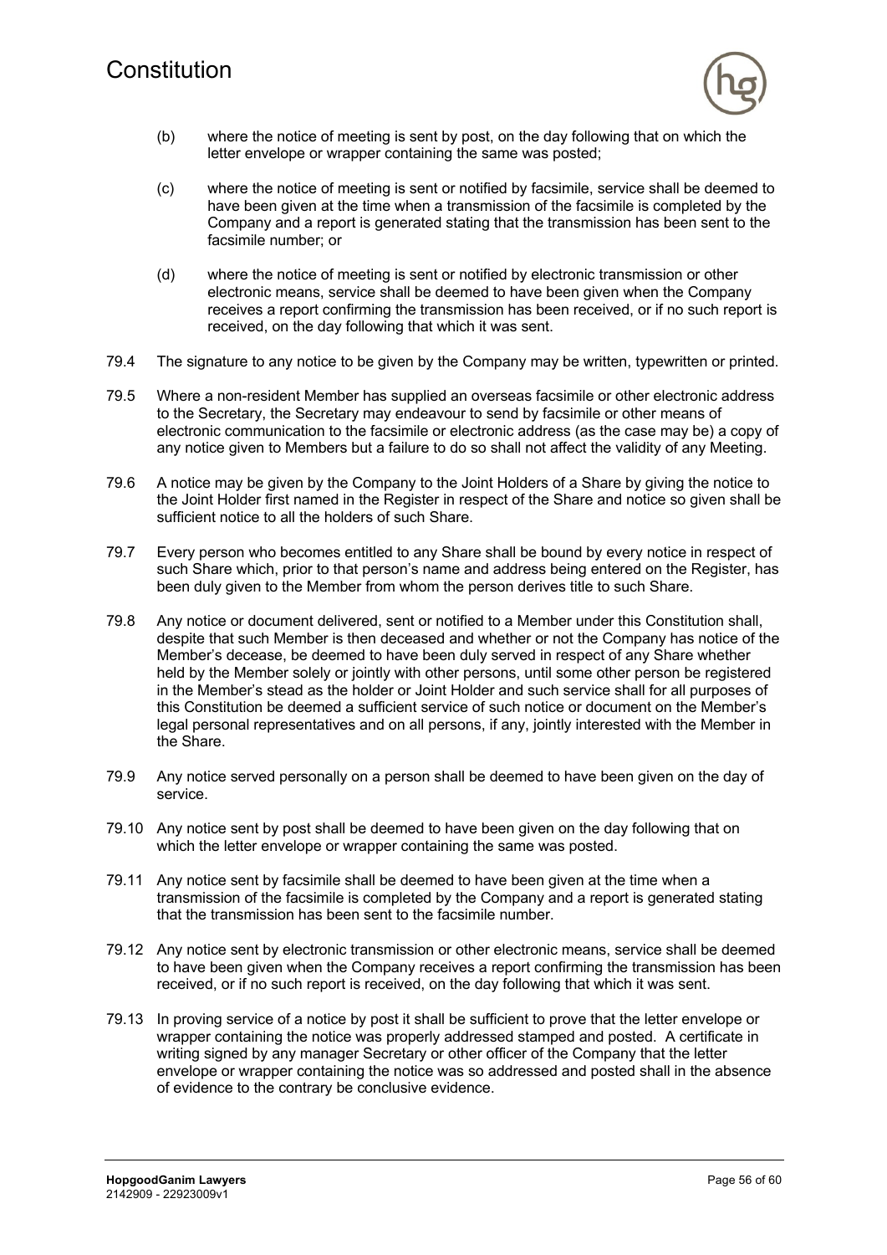

- (b) where the notice of meeting is sent by post, on the day following that on which the letter envelope or wrapper containing the same was posted;
- (c) where the notice of meeting is sent or notified by facsimile, service shall be deemed to have been given at the time when a transmission of the facsimile is completed by the Company and a report is generated stating that the transmission has been sent to the facsimile number; or
- (d) where the notice of meeting is sent or notified by electronic transmission or other electronic means, service shall be deemed to have been given when the Company receives a report confirming the transmission has been received, or if no such report is received, on the day following that which it was sent.
- 79.4 The signature to any notice to be given by the Company may be written, typewritten or printed.
- 79.5 Where a non-resident Member has supplied an overseas facsimile or other electronic address to the Secretary, the Secretary may endeavour to send by facsimile or other means of electronic communication to the facsimile or electronic address (as the case may be) a copy of any notice given to Members but a failure to do so shall not affect the validity of any Meeting.
- 79.6 A notice may be given by the Company to the Joint Holders of a Share by giving the notice to the Joint Holder first named in the Register in respect of the Share and notice so given shall be sufficient notice to all the holders of such Share.
- 79.7 Every person who becomes entitled to any Share shall be bound by every notice in respect of such Share which, prior to that person's name and address being entered on the Register, has been duly given to the Member from whom the person derives title to such Share.
- 79.8 Any notice or document delivered, sent or notified to a Member under this Constitution shall, despite that such Member is then deceased and whether or not the Company has notice of the Member's decease, be deemed to have been duly served in respect of any Share whether held by the Member solely or jointly with other persons, until some other person be registered in the Member's stead as the holder or Joint Holder and such service shall for all purposes of this Constitution be deemed a sufficient service of such notice or document on the Member's legal personal representatives and on all persons, if any, jointly interested with the Member in the Share.
- 79.9 Any notice served personally on a person shall be deemed to have been given on the day of service.
- 79.10 Any notice sent by post shall be deemed to have been given on the day following that on which the letter envelope or wrapper containing the same was posted.
- 79.11 Any notice sent by facsimile shall be deemed to have been given at the time when a transmission of the facsimile is completed by the Company and a report is generated stating that the transmission has been sent to the facsimile number.
- 79.12 Any notice sent by electronic transmission or other electronic means, service shall be deemed to have been given when the Company receives a report confirming the transmission has been received, or if no such report is received, on the day following that which it was sent.
- 79.13 In proving service of a notice by post it shall be sufficient to prove that the letter envelope or wrapper containing the notice was properly addressed stamped and posted. A certificate in writing signed by any manager Secretary or other officer of the Company that the letter envelope or wrapper containing the notice was so addressed and posted shall in the absence of evidence to the contrary be conclusive evidence.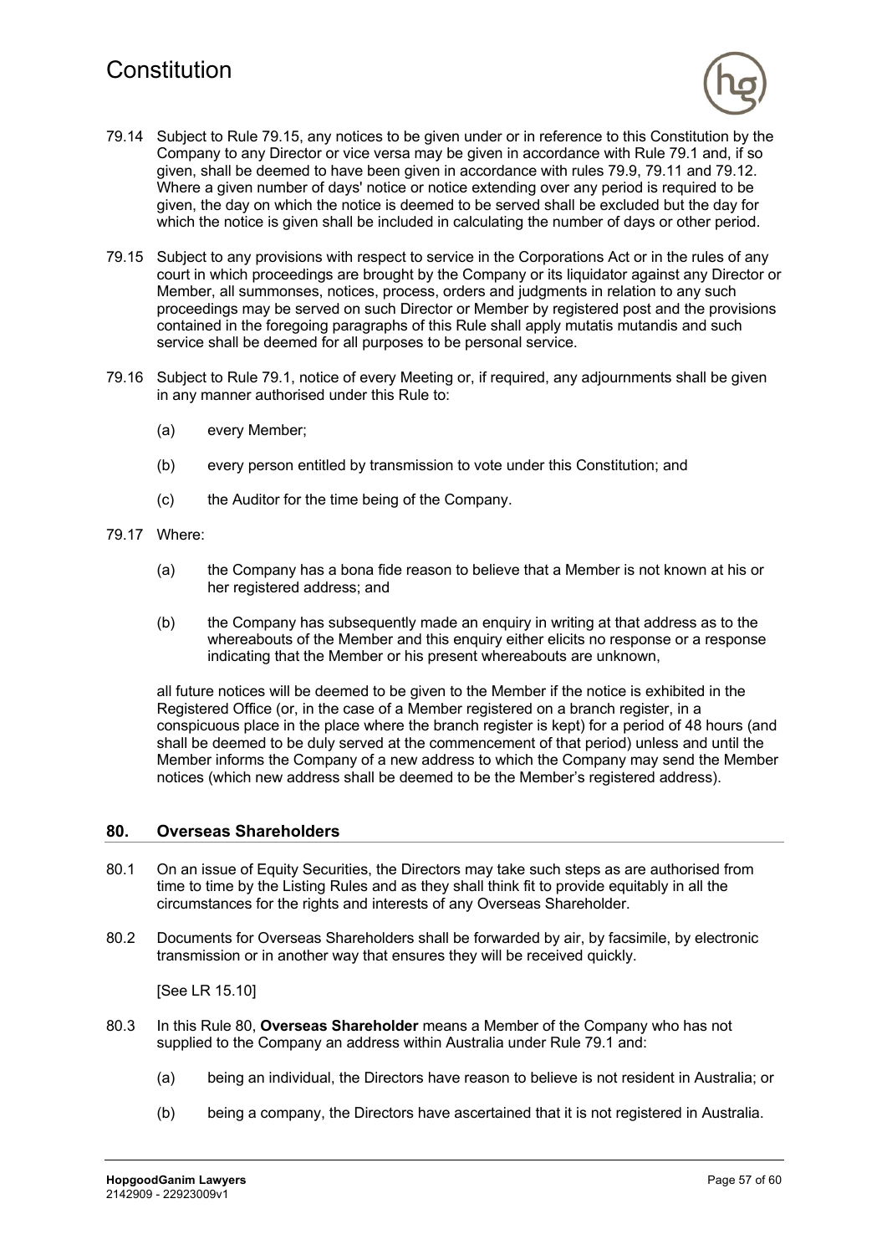

- 79.14 Subject to Rule 79.15, any notices to be given under or in reference to this Constitution by the Company to any Director or vice versa may be given in accordance with Rule 79.1 and, if so given, shall be deemed to have been given in accordance with rules 79.9, 79.11 and 79.12. Where a given number of days' notice or notice extending over any period is required to be given, the day on which the notice is deemed to be served shall be excluded but the day for which the notice is given shall be included in calculating the number of days or other period.
- 79.15 Subject to any provisions with respect to service in the Corporations Act or in the rules of any court in which proceedings are brought by the Company or its liquidator against any Director or Member, all summonses, notices, process, orders and judgments in relation to any such proceedings may be served on such Director or Member by registered post and the provisions contained in the foregoing paragraphs of this Rule shall apply mutatis mutandis and such service shall be deemed for all purposes to be personal service.
- 79.16 Subject to Rule 79.1, notice of every Meeting or, if required, any adjournments shall be given in any manner authorised under this Rule to:
	- (a) every Member;
	- (b) every person entitled by transmission to vote under this Constitution; and
	- (c) the Auditor for the time being of the Company.
- 79.17 Where:
	- (a) the Company has a bona fide reason to believe that a Member is not known at his or her registered address; and
	- (b) the Company has subsequently made an enquiry in writing at that address as to the whereabouts of the Member and this enquiry either elicits no response or a response indicating that the Member or his present whereabouts are unknown,

all future notices will be deemed to be given to the Member if the notice is exhibited in the Registered Office (or, in the case of a Member registered on a branch register, in a conspicuous place in the place where the branch register is kept) for a period of 48 hours (and shall be deemed to be duly served at the commencement of that period) unless and until the Member informs the Company of a new address to which the Company may send the Member notices (which new address shall be deemed to be the Member's registered address).

#### **80. Overseas Shareholders**

- 80.1 On an issue of Equity Securities, the Directors may take such steps as are authorised from time to time by the Listing Rules and as they shall think fit to provide equitably in all the circumstances for the rights and interests of any Overseas Shareholder.
- 80.2 Documents for Overseas Shareholders shall be forwarded by air, by facsimile, by electronic transmission or in another way that ensures they will be received quickly.

[See LR 15.10]

- 80.3 In this Rule 80, **Overseas Shareholder** means a Member of the Company who has not supplied to the Company an address within Australia under Rule 79.1 and:
	- (a) being an individual, the Directors have reason to believe is not resident in Australia; or
	- (b) being a company, the Directors have ascertained that it is not registered in Australia.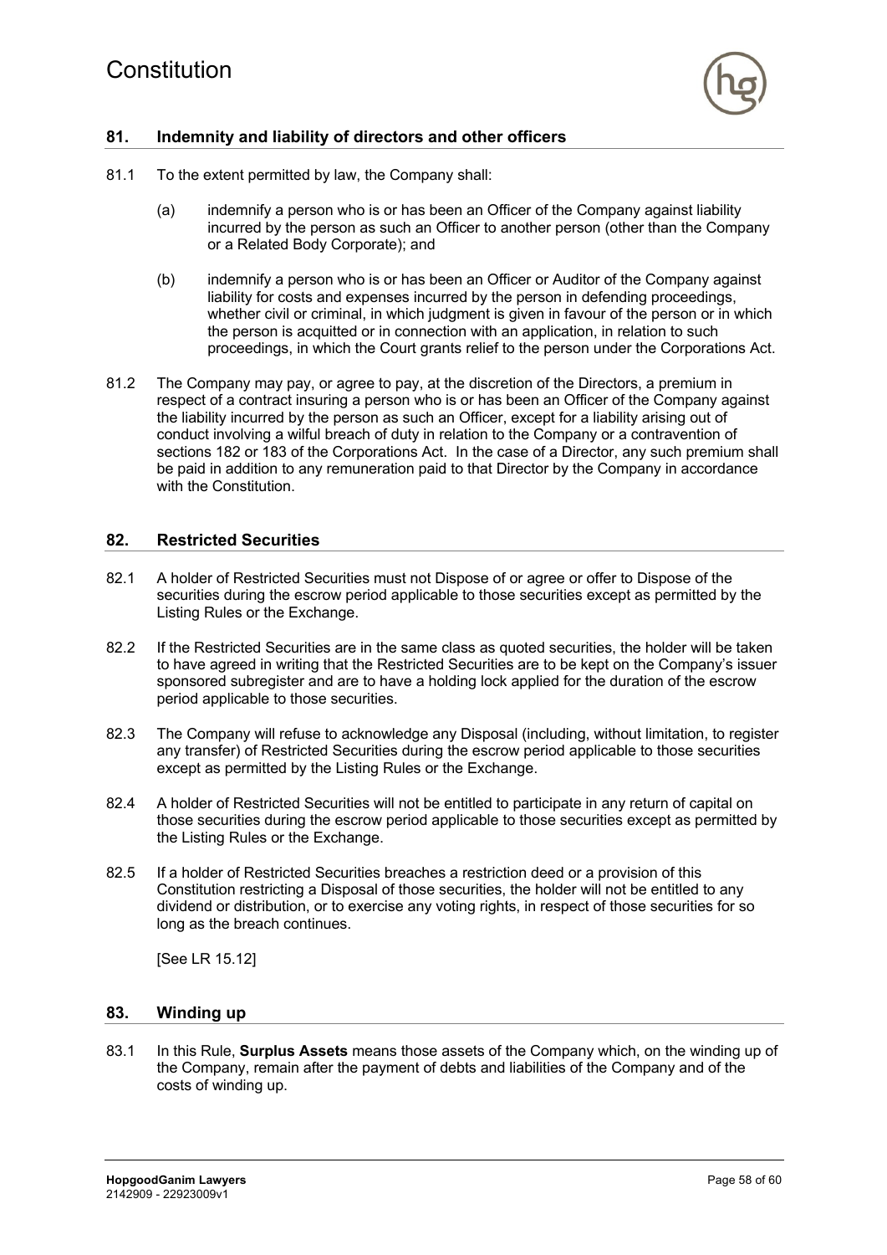

# **81. Indemnity and liability of directors and other officers**

- 81.1 To the extent permitted by law, the Company shall:
	- (a) indemnify a person who is or has been an Officer of the Company against liability incurred by the person as such an Officer to another person (other than the Company or a Related Body Corporate); and
	- (b) indemnify a person who is or has been an Officer or Auditor of the Company against liability for costs and expenses incurred by the person in defending proceedings, whether civil or criminal, in which judgment is given in favour of the person or in which the person is acquitted or in connection with an application, in relation to such proceedings, in which the Court grants relief to the person under the Corporations Act.
- 81.2 The Company may pay, or agree to pay, at the discretion of the Directors, a premium in respect of a contract insuring a person who is or has been an Officer of the Company against the liability incurred by the person as such an Officer, except for a liability arising out of conduct involving a wilful breach of duty in relation to the Company or a contravention of sections 182 or 183 of the Corporations Act. In the case of a Director, any such premium shall be paid in addition to any remuneration paid to that Director by the Company in accordance with the Constitution.

### **82. Restricted Securities**

- 82.1 A holder of Restricted Securities must not Dispose of or agree or offer to Dispose of the securities during the escrow period applicable to those securities except as permitted by the Listing Rules or the Exchange.
- 82.2 If the Restricted Securities are in the same class as quoted securities, the holder will be taken to have agreed in writing that the Restricted Securities are to be kept on the Company's issuer sponsored subregister and are to have a holding lock applied for the duration of the escrow period applicable to those securities.
- 82.3 The Company will refuse to acknowledge any Disposal (including, without limitation, to register any transfer) of Restricted Securities during the escrow period applicable to those securities except as permitted by the Listing Rules or the Exchange.
- 82.4 A holder of Restricted Securities will not be entitled to participate in any return of capital on those securities during the escrow period applicable to those securities except as permitted by the Listing Rules or the Exchange.
- 82.5 If a holder of Restricted Securities breaches a restriction deed or a provision of this Constitution restricting a Disposal of those securities, the holder will not be entitled to any dividend or distribution, or to exercise any voting rights, in respect of those securities for so long as the breach continues.

[See LR 15.12]

#### **83. Winding up**

83.1 In this Rule, **Surplus Assets** means those assets of the Company which, on the winding up of the Company, remain after the payment of debts and liabilities of the Company and of the costs of winding up.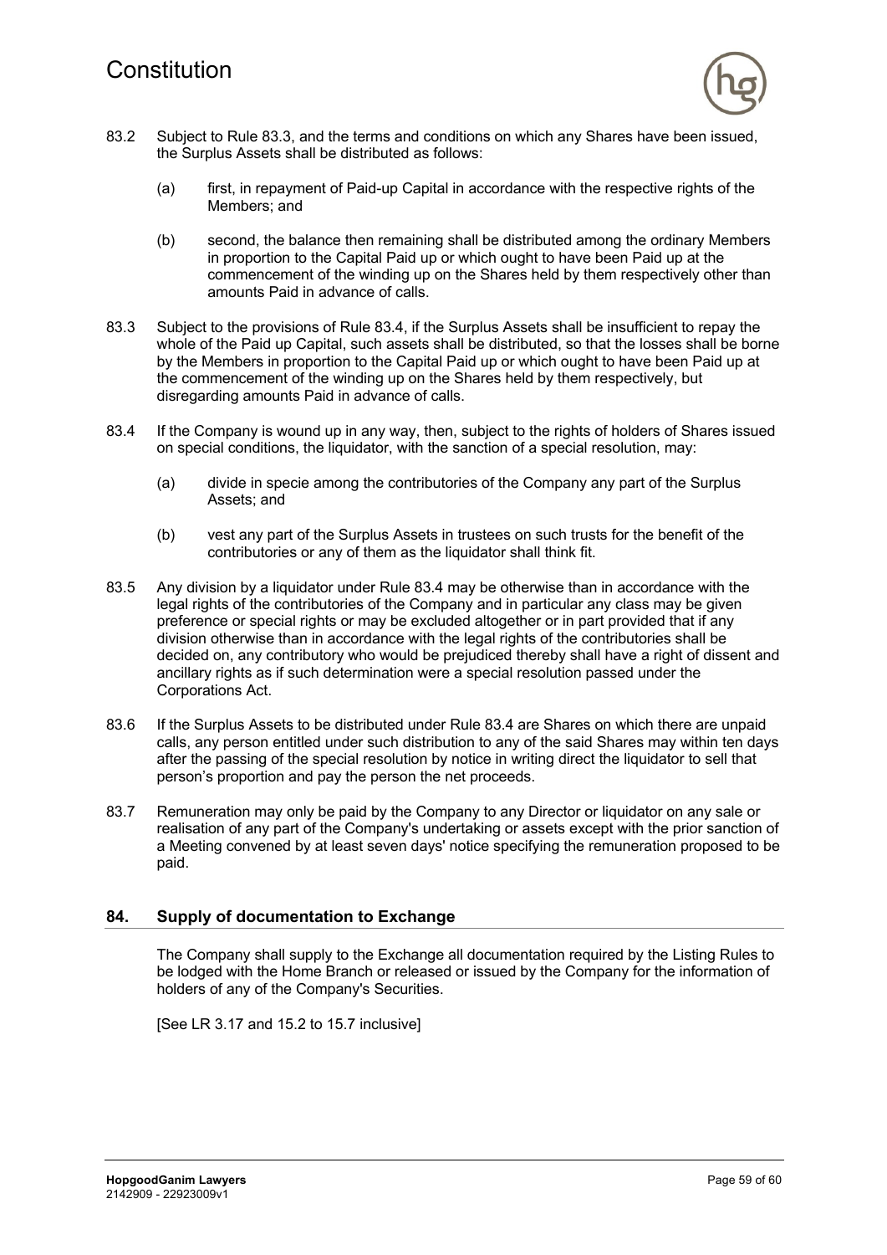

- 83.2 Subject to Rule 83.3, and the terms and conditions on which any Shares have been issued, the Surplus Assets shall be distributed as follows:
	- (a) first, in repayment of Paid-up Capital in accordance with the respective rights of the Members; and
	- (b) second, the balance then remaining shall be distributed among the ordinary Members in proportion to the Capital Paid up or which ought to have been Paid up at the commencement of the winding up on the Shares held by them respectively other than amounts Paid in advance of calls.
- 83.3 Subject to the provisions of Rule 83.4, if the Surplus Assets shall be insufficient to repay the whole of the Paid up Capital, such assets shall be distributed, so that the losses shall be borne by the Members in proportion to the Capital Paid up or which ought to have been Paid up at the commencement of the winding up on the Shares held by them respectively, but disregarding amounts Paid in advance of calls.
- 83.4 If the Company is wound up in any way, then, subject to the rights of holders of Shares issued on special conditions, the liquidator, with the sanction of a special resolution, may:
	- (a) divide in specie among the contributories of the Company any part of the Surplus Assets; and
	- (b) vest any part of the Surplus Assets in trustees on such trusts for the benefit of the contributories or any of them as the liquidator shall think fit.
- 83.5 Any division by a liquidator under Rule 83.4 may be otherwise than in accordance with the legal rights of the contributories of the Company and in particular any class may be given preference or special rights or may be excluded altogether or in part provided that if any division otherwise than in accordance with the legal rights of the contributories shall be decided on, any contributory who would be prejudiced thereby shall have a right of dissent and ancillary rights as if such determination were a special resolution passed under the Corporations Act.
- 83.6 If the Surplus Assets to be distributed under Rule 83.4 are Shares on which there are unpaid calls, any person entitled under such distribution to any of the said Shares may within ten days after the passing of the special resolution by notice in writing direct the liquidator to sell that person's proportion and pay the person the net proceeds.
- 83.7 Remuneration may only be paid by the Company to any Director or liquidator on any sale or realisation of any part of the Company's undertaking or assets except with the prior sanction of a Meeting convened by at least seven days' notice specifying the remuneration proposed to be paid.

# **84. Supply of documentation to Exchange**

The Company shall supply to the Exchange all documentation required by the Listing Rules to be lodged with the Home Branch or released or issued by the Company for the information of holders of any of the Company's Securities.

[See LR 3.17 and 15.2 to 15.7 inclusive]